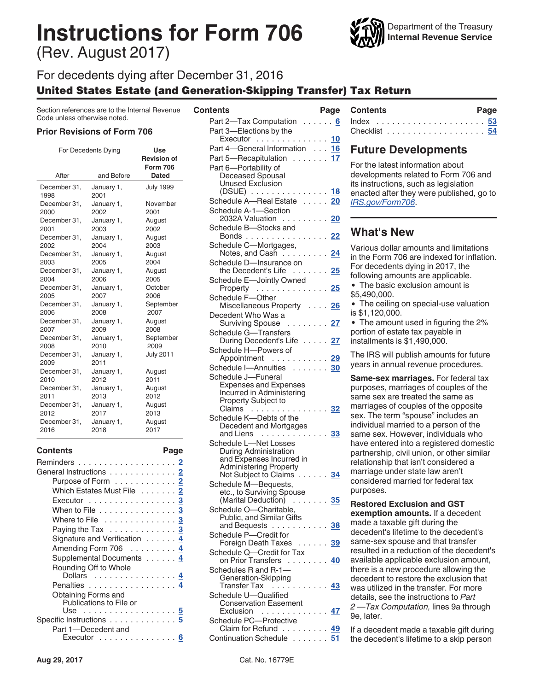# <span id="page-0-0"></span>**Instructions for Form 706**

(Rev. August 2017)



# For decedents dying after December 31, 2016 United States Estate (and Generation-Skipping Transfer) Tax Return

**Contents Page**

Section references are to the Internal Revenue Code unless otherwise noted.

#### **Prior Revisions of Form 706**

| For Decedents Dying | Use                |                  |
|---------------------|--------------------|------------------|
|                     | <b>Revision of</b> |                  |
|                     |                    | <b>Form 706</b>  |
| After               | and Before         | <b>Dated</b>     |
| December 31,        | January 1,         | <b>July 1999</b> |
| 1998                | 2001               |                  |
| December 31,        | January 1,         | November         |
| 2000                | 2002               | 2001             |
| December 31,        | January 1,         | August           |
| 2001                | 2003               | 2002             |
| December 31,        | January 1,         | August           |
| 2002                | 2004               | 2003             |
| December 31,        | January 1,         | August           |
| 2003                | 2005               | 2004             |
| December 31,        | January 1,         | August           |
| 2004                | 2006               | 2005             |
| December 31,        | January 1,         | October          |
| 2005                | 2007               | 2006             |
| December 31,        | January 1,         | September        |
| 2006                | 2008               | 2007             |
| December 31,        | January 1,         | August           |
| 2007                | 2009               | 2008             |
| December 31,        | January 1,         | September        |
| 2008                | 2010               | 2009             |
| December 31,        | January 1,         | <b>July 2011</b> |
| 2009                | 2011               |                  |
| December 31,        | January 1,         | August           |
| 2010                | 2012               | 2011             |
| December 31,        | January 1,         | August           |
| 2011                | 2013               | 2012             |
| December 31,        | January 1,         | August           |
| 2012                | 2017               | 2013             |
| December 31,        | January 1,         | August           |
| 2016                | 2018               | 2017             |

#### **Contents Page**

| General Instructions 2                           |
|--------------------------------------------------|
| Purpose of Form 2                                |
| Which Estates Must File 2                        |
| Executor 3                                       |
| When to File $\dots\dots\dots\dots\dots\dots$    |
| Where to File 3                                  |
| Paying the Tax $\ldots \ldots \ldots \ldots$     |
| Signature and Verification 4                     |
| Amending Form 706 4                              |
| Supplemental Documents 4                         |
| Rounding Off to Whole                            |
| Dollars 4                                        |
| Penalties 4                                      |
| Obtaining Forms and                              |
| Publications to File or                          |
|                                                  |
| Specific Instructions ........... <mark>5</mark> |
| Part 1-Decedent and                              |
| Executor 6                                       |

| Part 2—Tax Computation 6                                                                                                                |
|-----------------------------------------------------------------------------------------------------------------------------------------|
| Part 4-General Information 16                                                                                                           |
| Part 5-Recapitulation 17                                                                                                                |
| Part 6-Portability of<br>Deceased Spousal<br>Unused Exclusion<br>Unused Exclusion<br>(DSUE) <u>18</u>                                   |
| Schedule A-Real Estate 20                                                                                                               |
| Schedule A-1-Section                                                                                                                    |
| 2032A Valuation 20<br>Schedule B-Stocks and                                                                                             |
| Bonds <mark>22</mark>                                                                                                                   |
| Schedule C—Mortgages,<br>Notes, and Cash                                                                                                |
| 24<br>Schedule D-Insurance on                                                                                                           |
| the Decedent's Life 25                                                                                                                  |
| Schedule E-Jointly Owned<br>25                                                                                                          |
| Property<br>Schedule F-Other                                                                                                            |
| Miscellaneous Property<br>26                                                                                                            |
| Decedent Who Was a<br>Surviving Spouse<br><u> 27</u>                                                                                    |
| Schedule G-Transfers                                                                                                                    |
| During Decedent's Life<br>27                                                                                                            |
| Schedule H-Powers of<br>Appointment 29                                                                                                  |
| Schedule I-Annuities 30                                                                                                                 |
| Schedule J-Funeral<br><b>Expenses and Expenses</b><br>Incurred in Administering<br>Property Subject to                                  |
| Claims <u>32</u>                                                                                                                        |
| Schedule K-Debts of the<br>Decedent and Mortgages<br>and Liens 33                                                                       |
| Schedule L-Net Losses<br>During Administration<br>and Expenses Incurred in<br><b>Administering Property</b><br>Not Subject to Claims 34 |
| Schedule M-Bequests,                                                                                                                    |
| etc., to Surviving Spouse<br>(Marital Deduction)  35                                                                                    |
| Schedule O-Charitable,<br>Public, and Similar Gifts<br>and Bequests 38                                                                  |
| Schedule P-Credit for                                                                                                                   |
| Foreign Death Taxes<br>39                                                                                                               |
| Schedule Q-Credit for Tax<br>on Prior Transfers<br>40                                                                                   |
| Schedules R and R-1-                                                                                                                    |
| Generation-Skipping<br>Transfer Tax<br>43<br>Schedule U-Qualified                                                                       |
| <b>Conservation Easement</b>                                                                                                            |
| Exclusion 47                                                                                                                            |
| Schedule PC-Protective<br>Claim for Refund<br>49                                                                                        |
| Continuation Schedule<br>51                                                                                                             |

| <b>Contents</b> |  |  |  |  |  |  |  |  |  | Page |
|-----------------|--|--|--|--|--|--|--|--|--|------|
|                 |  |  |  |  |  |  |  |  |  |      |
|                 |  |  |  |  |  |  |  |  |  |      |

# **Future Developments**

For the latest information about developments related to Form 706 and its instructions, such as legislation enacted after they were published, go to *[IRS.gov/Form706](https://www.irs.gov/uac/Form-706,-United-States-Estate-(and-Generation-Skipping-Transfer)-Tax-Return)*.

# **What's New**

Various dollar amounts and limitations in the Form 706 are indexed for inflation. For decedents dying in 2017, the following amounts are applicable.

• The basic exclusion amount is \$5,490,000.

• The ceiling on special-use valuation is \$1,120,000.

• The amount used in figuring the 2% portion of estate tax payable in installments is \$1,490,000.

The IRS will publish amounts for future years in annual revenue procedures.

**Same-sex marriages.** For federal tax purposes, marriages of couples of the same sex are treated the same as marriages of couples of the opposite sex. The term "spouse" includes an individual married to a person of the same sex. However, individuals who have entered into a registered domestic partnership, civil union, or other similar relationship that isn't considered a marriage under state law aren't considered married for federal tax purposes.

**Restored Exclusion and GST exemption amounts.** If a decedent made a taxable gift during the decedent's lifetime to the decedent's same-sex spouse and that transfer resulted in a reduction of the decedent's available applicable exclusion amount, there is a new procedure allowing the decedent to restore the exclusion that was utilized in the transfer. For more details, see the instructions to *Part 2 —Tax Computation,* lines 9a through 9e, later.

If a decedent made a taxable gift during the decedent's lifetime to a skip person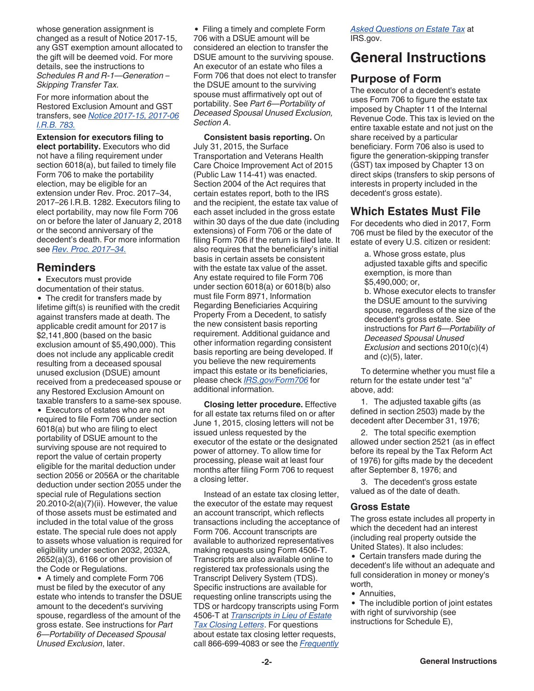<span id="page-1-0"></span>whose generation assignment is changed as a result of Notice 2017-15, any GST exemption amount allocated to the gift will be deemed void. For more details, see the instructions to *Schedules R and R-1—Generation – Skipping Transfer Tax.*

For more information about the Restored Exclusion Amount and GST transfers, see *[Notice 2017-15, 2017-06](https://www.irs.gov/pub/irs-irbs/irb17-06.pdf) [I.R.B. 783.](https://www.irs.gov/pub/irs-irbs/irb17-06.pdf)*

**Extension for executors filing to elect portability.** Executors who did not have a filing requirement under section 6018(a), but failed to timely file Form 706 to make the portability election, may be eligible for an extension under Rev. Proc. 2017–34, 2017–26 I.R.B. 1282. Executors filing to elect portability, may now file Form 706 on or before the later of January 2, 2018 or the second anniversary of the decedent's death. For more information see *[Rev. Proc. 2017–34.](https://www.irs.gov/pub/irs-irbs/irb17-26.pdf)*

# **Reminders**

Executors must provide documentation of their status.

• The credit for transfers made by lifetime gift(s) is reunified with the credit against transfers made at death. The applicable credit amount for 2017 is \$2,141,800 (based on the basic exclusion amount of \$5,490,000). This does not include any applicable credit resulting from a deceased spousal unused exclusion (DSUE) amount received from a predeceased spouse or any Restored Exclusion Amount on taxable transfers to a same-sex spouse. Executors of estates who are not

required to file Form 706 under section 6018(a) but who are filing to elect portability of DSUE amount to the surviving spouse are not required to report the value of certain property eligible for the marital deduction under section 2056 or 2056A or the charitable deduction under section 2055 under the special rule of Regulations section 20.2010-2(a)(7)(ii). However, the value of those assets must be estimated and included in the total value of the gross estate. The special rule does not apply to assets whose valuation is required for eligibility under section 2032, 2032A, 2652(a)(3), 6166 or other provision of the Code or Regulations.

A timely and complete Form 706 must be filed by the executor of any estate who intends to transfer the DSUE amount to the decedent's surviving spouse, regardless of the amount of the gross estate. See instructions for *Part 6—Portability of Deceased Spousal Unused Exclusion*, later.

Filing a timely and complete Form 706 with a DSUE amount will be considered an election to transfer the DSUE amount to the surviving spouse. An executor of an estate who files a Form 706 that does not elect to transfer the DSUE amount to the surviving spouse must affirmatively opt out of portability. See *Part 6—Portability of Deceased Spousal Unused Exclusion, Section A*.

**Consistent basis reporting.** On July 31, 2015, the Surface Transportation and Veterans Health Care Choice Improvement Act of 2015 (Public Law 114-41) was enacted. Section 2004 of the Act requires that certain estates report, both to the IRS and the recipient, the estate tax value of each asset included in the gross estate within 30 days of the due date (including extensions) of Form 706 or the date of filing Form 706 if the return is filed late. It also requires that the beneficiary's initial basis in certain assets be consistent with the estate tax value of the asset. Any estate required to file Form 706 under section 6018(a) or 6018(b) also must file Form 8971, Information Regarding Beneficiaries Acquiring Property From a Decedent, to satisfy the new consistent basis reporting requirement. Additional guidance and other information regarding consistent basis reporting are being developed. If you believe the new requirements impact this estate or its beneficiaries, please check *[IRS.gov/Form706](https://www.irs.gov/uac/Form-706,-United-States-Estate-(and-Generation-Skipping-Transfer)-Tax-Return)* for additional information.

**Closing letter procedure.** Effective for all estate tax returns filed on or after June 1, 2015, closing letters will not be issued unless requested by the executor of the estate or the designated power of attorney. To allow time for processing, please wait at least four months after filing Form 706 to request a closing letter.

Instead of an estate tax closing letter, the executor of the estate may request an account transcript, which reflects transactions including the acceptance of Form 706. Account transcripts are available to authorized representatives making requests using Form 4506-T. Transcripts are also available online to registered tax professionals using the Transcript Delivery System (TDS). Specific instructions are available for requesting online transcripts using the TDS or hardcopy transcripts using Form 4506-T at *[Transcripts in Lieu of Estate](https://www.irs.gov/irspup/businesses/small-businesses-self-employed/transcripts-in-lieu-of-estate-tax-closing-letters#tds) [Tax Closing Letters](https://www.irs.gov/irspup/businesses/small-businesses-self-employed/transcripts-in-lieu-of-estate-tax-closing-letters#tds)*. For questions about estate tax closing letter requests, call 866-699-4083 or see the *[Frequently](https://www.irs.gov/Businesses/Small-Businesses-&-Self-Employed/Frequently-Asked-Questions-on-Estate-Taxes)*  *[Asked Questions on Estate Tax](https://www.irs.gov/Businesses/Small-Businesses-&-Self-Employed/Frequently-Asked-Questions-on-Estate-Taxes)* at IRS.gov.

# **General Instructions**

# **Purpose of Form**

The executor of a decedent's estate uses Form 706 to figure the estate tax imposed by Chapter 11 of the Internal Revenue Code. This tax is levied on the entire taxable estate and not just on the share received by a particular beneficiary. Form 706 also is used to figure the generation-skipping transfer (GST) tax imposed by Chapter 13 on direct skips (transfers to skip persons of interests in property included in the decedent's gross estate).

# **Which Estates Must File**

For decedents who died in 2017, Form 706 must be filed by the executor of the estate of every U.S. citizen or resident:

a. Whose gross estate, plus adjusted taxable gifts and specific exemption, is more than \$5,490,000; or,

b. Whose executor elects to transfer the DSUE amount to the surviving spouse, regardless of the size of the decedent's gross estate. See instructions for *Part 6—Portability of Deceased Spousal Unused Exclusion* and sections 2010(c)(4) and  $(c)(5)$ , later.

To determine whether you must file a return for the estate under test "a" above, add:

1. The adjusted taxable gifts (as defined in section 2503) made by the decedent after December 31, 1976;

2. The total specific exemption allowed under section 2521 (as in effect before its repeal by the Tax Reform Act of 1976) for gifts made by the decedent after September 8, 1976; and

3. The decedent's gross estate valued as of the date of death.

#### **Gross Estate**

The gross estate includes all property in which the decedent had an interest (including real property outside the United States). It also includes:

Certain transfers made during the decedent's life without an adequate and full consideration in money or money's worth

• Annuities,

The includible portion of joint estates with right of survivorship (see instructions for Schedule E),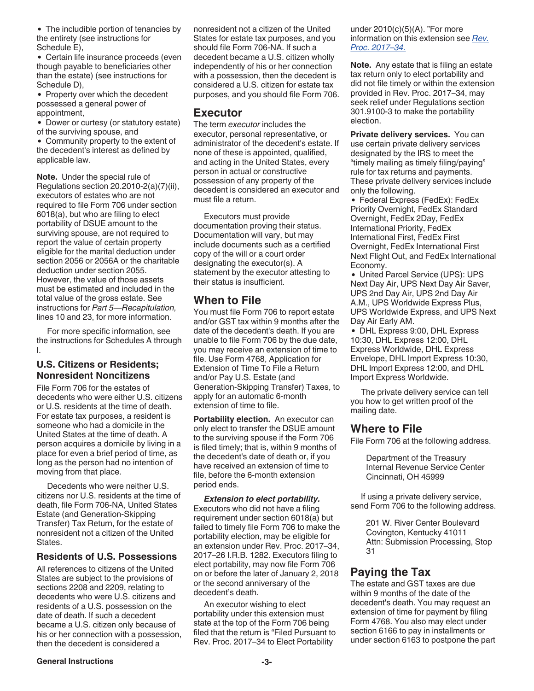<span id="page-2-0"></span>The includible portion of tenancies by the entirety (see instructions for Schedule E),

Certain life insurance proceeds (even though payable to beneficiaries other than the estate) (see instructions for Schedule D),

• Property over which the decedent possessed a general power of appointment,

Dower or curtesy (or statutory estate) of the surviving spouse, and

Community property to the extent of the decedent's interest as defined by applicable law.

**Note.** Under the special rule of Regulations section 20.2010-2(a)(7)(ii), executors of estates who are not required to file Form 706 under section 6018(a), but who are filing to elect portability of DSUE amount to the surviving spouse, are not required to report the value of certain property eligible for the marital deduction under section 2056 or 2056A or the charitable deduction under section 2055. However, the value of those assets must be estimated and included in the total value of the gross estate. See instructions for *Part 5—Recapitulation,*  lines 10 and 23, for more information.

For more specific information, see the instructions for Schedules A through I.

#### **U.S. Citizens or Residents; Nonresident Noncitizens**

File Form 706 for the estates of decedents who were either U.S. citizens or U.S. residents at the time of death. For estate tax purposes, a resident is someone who had a domicile in the United States at the time of death. A person acquires a domicile by living in a place for even a brief period of time, as long as the person had no intention of moving from that place.

Decedents who were neither U.S. citizens nor U.S. residents at the time of death, file Form 706-NA, United States Estate (and Generation-Skipping Transfer) Tax Return, for the estate of nonresident not a citizen of the United States.

### **Residents of U.S. Possessions**

All references to citizens of the United States are subject to the provisions of sections 2208 and 2209, relating to decedents who were U.S. citizens and residents of a U.S. possession on the date of death. If such a decedent became a U.S. citizen only because of his or her connection with a possession, then the decedent is considered a

nonresident not a citizen of the United States for estate tax purposes, and you should file Form 706-NA. If such a decedent became a U.S. citizen wholly independently of his or her connection with a possession, then the decedent is considered a U.S. citizen for estate tax purposes, and you should file Form 706.

### **Executor**

The term *executor* includes the executor, personal representative, or administrator of the decedent's estate. If none of these is appointed, qualified, and acting in the United States, every person in actual or constructive possession of any property of the decedent is considered an executor and must file a return.

Executors must provide documentation proving their status. Documentation will vary, but may include documents such as a certified copy of the will or a court order designating the executor(s). A statement by the executor attesting to their status is insufficient.

# **When to File**

You must file Form 706 to report estate and/or GST tax within 9 months after the date of the decedent's death. If you are unable to file Form 706 by the due date, you may receive an extension of time to file. Use Form 4768, Application for Extension of Time To File a Return and/or Pay U.S. Estate (and Generation-Skipping Transfer) Taxes, to apply for an automatic 6-month extension of time to file.

**Portability election.** An executor can only elect to transfer the DSUE amount to the surviving spouse if the Form 706 is filed timely; that is, within 9 months of the decedent's date of death or, if you have received an extension of time to file, before the 6-month extension period ends.

*Extension to elect portability.*  Executors who did not have a filing requirement under section 6018(a) but failed to timely file Form 706 to make the portability election, may be eligible for an extension under Rev. Proc. 2017–34, 2017–26 I.R.B. 1282. Executors filing to elect portability, may now file Form 706 on or before the later of January 2, 2018 or the second anniversary of the decedent's death.

An executor wishing to elect portability under this extension must state at the top of the Form 706 being filed that the return is "Filed Pursuant to Rev. Proc. 2017–34 to Elect Portability

under  $2010(c)(5)(A)$ . "For more information on this extension see *[Rev.](https://www.irs.gov/pub/irs-irbs/irb17-26.pdf)  [Proc. 2017–34.](https://www.irs.gov/pub/irs-irbs/irb17-26.pdf)*

**Note.** Any estate that is filing an estate tax return only to elect portability and did not file timely or within the extension provided in Rev. Proc. 2017–34, may seek relief under Regulations section 301.9100-3 to make the portability election.

**Private delivery services.** You can use certain private delivery services designated by the IRS to meet the "timely mailing as timely filing/paying" rule for tax returns and payments. These private delivery services include only the following.

Federal Express (FedEx): FedEx Priority Overnight, FedEx Standard Overnight, FedEx 2Day, FedEx International Priority, FedEx International First, FedEx First Overnight, FedEx International First Next Flight Out, and FedEx International Economy.

United Parcel Service (UPS): UPS Next Day Air, UPS Next Day Air Saver, UPS 2nd Day Air, UPS 2nd Day Air A.M., UPS Worldwide Express Plus, UPS Worldwide Express, and UPS Next Day Air Early AM.

DHL Express 9:00, DHL Express 10:30, DHL Express 12:00, DHL Express Worldwide, DHL Express Envelope, DHL Import Express 10:30, DHL Import Express 12:00, and DHL Import Express Worldwide.

The private delivery service can tell you how to get written proof of the mailing date.

# **Where to File**

File Form 706 at the following address.

Department of the Treasury Internal Revenue Service Center Cincinnati, OH 45999

If using a private delivery service, send Form 706 to the following address.

> 201 W. River Center Boulevard Covington, Kentucky 41011 Attn: Submission Processing, Stop 31

# **Paying the Tax**

The estate and GST taxes are due within 9 months of the date of the decedent's death. You may request an extension of time for payment by filing Form 4768. You also may elect under section 6166 to pay in installments or under section 6163 to postpone the part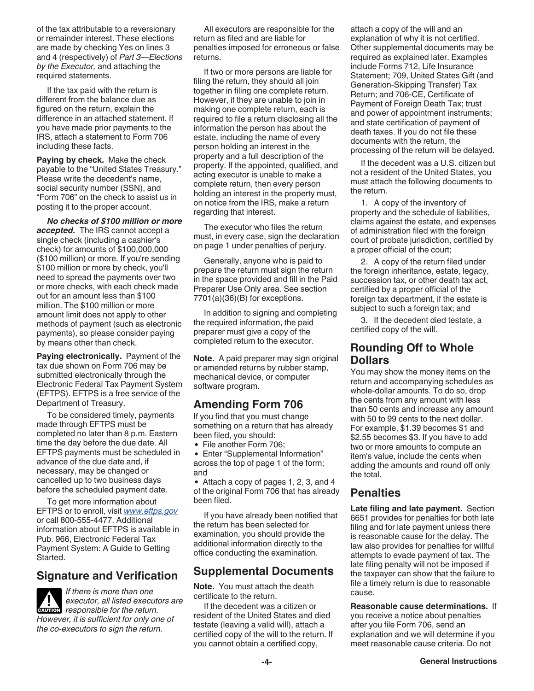<span id="page-3-0"></span>of the tax attributable to a reversionary or remainder interest. These elections are made by checking Yes on lines 3 and 4 (respectively) of *Part 3—Elections by the Executor,* and attaching the required statements.

If the tax paid with the return is different from the balance due as figured on the return, explain the difference in an attached statement. If you have made prior payments to the IRS, attach a statement to Form 706 including these facts.

**Paying by check.** Make the check payable to the "United States Treasury." Please write the decedent's name, social security number (SSN), and "Form 706" on the check to assist us in posting it to the proper account.

*No checks of \$100 million or more accepted.* The IRS cannot accept a single check (including a cashier's check) for amounts of \$100,000,000 (\$100 million) or more. If you're sending \$100 million or more by check, you'll need to spread the payments over two or more checks, with each check made out for an amount less than \$100 million. The \$100 million or more amount limit does not apply to other methods of payment (such as electronic payments), so please consider paying by means other than check.

**Paying electronically.** Payment of the tax due shown on Form 706 may be submitted electronically through the Electronic Federal Tax Payment System (EFTPS). EFTPS is a free service of the Department of Treasury.

To be considered timely, payments made through EFTPS must be completed no later than 8 p.m. Eastern time the day before the due date. All EFTPS payments must be scheduled in advance of the due date and, if necessary, may be changed or cancelled up to two business days before the scheduled payment date.

To get more information about EFTPS or to enroll, visit *[www.eftps.gov](https://www.eftps.gov/eftps/)*  or call 800-555-4477. Additional information about EFTPS is available in Pub. 966, Electronic Federal Tax Payment System: A Guide to Getting Started.

# **Signature and Verification**

*If there is more than one executor, all listed executors are*  **executor, all listed executors are return.** *However, it is sufficient for only one of the co-executors to sign the return.*

All executors are responsible for the return as filed and are liable for penalties imposed for erroneous or false returns.

If two or more persons are liable for filing the return, they should all join together in filing one complete return. However, if they are unable to join in making one complete return, each is required to file a return disclosing all the information the person has about the estate, including the name of every person holding an interest in the property and a full description of the property. If the appointed, qualified, and acting executor is unable to make a complete return, then every person holding an interest in the property must, on notice from the IRS, make a return regarding that interest.

The executor who files the return must, in every case, sign the declaration on page 1 under penalties of perjury.

Generally, anyone who is paid to prepare the return must sign the return in the space provided and fill in the Paid Preparer Use Only area. See section 7701(a)(36)(B) for exceptions.

In addition to signing and completing the required information, the paid preparer must give a copy of the completed return to the executor.

**Note.** A paid preparer may sign original or amended returns by rubber stamp, mechanical device, or computer software program.

# **Amending Form 706**

If you find that you must change something on a return that has already been filed, you should:

• File another Form 706;

Enter "Supplemental Information" across the top of page 1 of the form; and

• Attach a copy of pages 1, 2, 3, and 4 of the original Form 706 that has already been filed.

If you have already been notified that the return has been selected for examination, you should provide the additional information directly to the office conducting the examination.

# **Supplemental Documents**

**Note.** You must attach the death certificate to the return.

If the decedent was a citizen or resident of the United States and died testate (leaving a valid will), attach a certified copy of the will to the return. If you cannot obtain a certified copy,

attach a copy of the will and an explanation of why it is not certified. Other supplemental documents may be required as explained later. Examples include Forms 712, Life Insurance Statement; 709, United States Gift (and Generation-Skipping Transfer) Tax Return; and 706-CE, Certificate of Payment of Foreign Death Tax; trust and power of appointment instruments; and state certification of payment of death taxes. If you do not file these documents with the return, the processing of the return will be delayed.

If the decedent was a U.S. citizen but not a resident of the United States, you must attach the following documents to the return.

1. A copy of the inventory of property and the schedule of liabilities, claims against the estate, and expenses of administration filed with the foreign court of probate jurisdiction, certified by a proper official of the court;

2. A copy of the return filed under the foreign inheritance, estate, legacy, succession tax, or other death tax act, certified by a proper official of the foreign tax department, if the estate is subject to such a foreign tax; and

3. If the decedent died testate, a certified copy of the will.

# **Rounding Off to Whole Dollars**

You may show the money items on the return and accompanying schedules as whole-dollar amounts. To do so, drop the cents from any amount with less than 50 cents and increase any amount with 50 to 99 cents to the next dollar. For example, \$1.39 becomes \$1 and \$2.55 becomes \$3. If you have to add two or more amounts to compute an item's value, include the cents when adding the amounts and round off only the total.

# **Penalties**

**Late filing and late payment.** Section 6651 provides for penalties for both late filing and for late payment unless there is reasonable cause for the delay. The law also provides for penalties for willful attempts to evade payment of tax. The late filing penalty will not be imposed if the taxpayer can show that the failure to file a timely return is due to reasonable cause.

**Reasonable cause determinations.** If you receive a notice about penalties after you file Form 706, send an explanation and we will determine if you meet reasonable cause criteria. Do not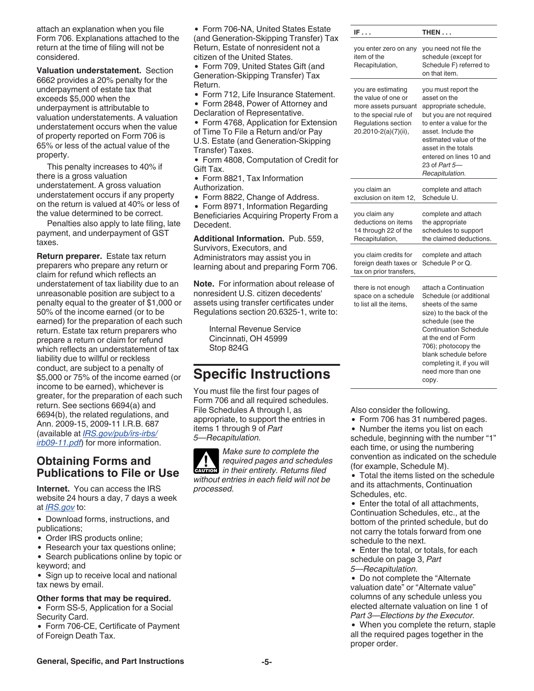<span id="page-4-0"></span>attach an explanation when you file Form 706. Explanations attached to the return at the time of filing will not be considered.

**Valuation understatement.** Section 6662 provides a 20% penalty for the underpayment of estate tax that exceeds \$5,000 when the underpayment is attributable to valuation understatements. A valuation understatement occurs when the value of property reported on Form 706 is 65% or less of the actual value of the property.

This penalty increases to 40% if there is a gross valuation understatement. A gross valuation understatement occurs if any property on the return is valued at 40% or less of the value determined to be correct.

Penalties also apply to late filing, late payment, and underpayment of GST taxes.

**Return preparer.** Estate tax return preparers who prepare any return or claim for refund which reflects an understatement of tax liability due to an unreasonable position are subject to a penalty equal to the greater of \$1,000 or 50% of the income earned (or to be earned) for the preparation of each such return. Estate tax return preparers who prepare a return or claim for refund which reflects an understatement of tax liability due to willful or reckless conduct, are subject to a penalty of \$5,000 or 75% of the income earned (or income to be earned), whichever is greater, for the preparation of each such return. See sections 6694(a) and 6694(b), the related regulations, and Ann. 2009-15, 2009-11 I.R.B. 687 (available at *[IRS.gov/pub/irs-irbs/](https://www.irs.gov/pub/irs-irbs/irb09-11.pdf) [irb09-11.pdf](https://www.irs.gov/pub/irs-irbs/irb09-11.pdf)*) for more information.

# **Obtaining Forms and Publications to File or Use**

**Internet.** You can access the IRS website 24 hours a day, 7 days a week at *[IRS.gov](https://www.irs.gov/)* to:

- Download forms, instructions, and publications;
- Order IRS products online;
- Research your tax questions online;
- Search publications online by topic or keyword; and

• Sign up to receive local and national tax news by email.

#### **Other forms that may be required.**

• Form SS-5, Application for a Social Security Card.

Form 706-CE, Certificate of Payment of Foreign Death Tax.

• Form 706-NA, United States Estate (and Generation-Skipping Transfer) Tax Return, Estate of nonresident not a citizen of the United States.

Form 709, United States Gift (and Generation-Skipping Transfer) Tax **Return** 

Form 712, Life Insurance Statement.

- Form 2848, Power of Attorney and
- Declaration of Representative.

• Form 4768, Application for Extension of Time To File a Return and/or Pay U.S. Estate (and Generation-Skipping Transfer) Taxes.

Form 4808, Computation of Credit for Gift Tax.

- Form 8821, Tax Information Authorization.
- Form 8822, Change of Address.

• Form 8971, Information Regarding Beneficiaries Acquiring Property From a Decedent.

**Additional Information.** Pub. 559, Survivors, Executors, and Administrators may assist you in learning about and preparing Form 706.

**Note.** For information about release of nonresident U.S. citizen decedents' assets using transfer certificates under Regulations section 20.6325-1, write to:

> Internal Revenue Service Cincinnati, OH 45999 Stop 824G

# **Specific Instructions**

You must file the first four pages of Form 706 and all required schedules. File Schedules A through I, as appropriate, to support the entries in items 1 through 9 of *Part 5—Recapitulation.*

*Make sure to complete the required pages and schedules*  **in their entirety. Returns filed** *without entries in each field will not be processed.*

| IF                                                                                                                                         | THEN                                                                                                                                                                                                                                                                                       |
|--------------------------------------------------------------------------------------------------------------------------------------------|--------------------------------------------------------------------------------------------------------------------------------------------------------------------------------------------------------------------------------------------------------------------------------------------|
| you enter zero on any<br>item of the<br>Recapitulation,                                                                                    | you need not file the<br>schedule (except for<br>Schedule F) referred to<br>on that item.                                                                                                                                                                                                  |
| you are estimating<br>the value of one or<br>more assets pursuant<br>to the special rule of<br>Regulations section<br>20.2010-2(a)(7)(ii), | you must report the<br>asset on the<br>appropriate schedule,<br>but you are not required<br>to enter a value for the<br>asset. Include the<br>estimated value of the<br>asset in the totals<br>entered on lines 10 and<br>23 of Part 5-<br>Recapitulation.                                 |
| you claim an<br>exclusion on item 12,                                                                                                      | complete and attach<br>Schedule U.                                                                                                                                                                                                                                                         |
| you claim any<br>deductions on items<br>14 through 22 of the<br>Recapitulation,                                                            | complete and attach<br>the appropriate<br>schedules to support<br>the claimed deductions.                                                                                                                                                                                                  |
| you claim credits for<br>foreign death taxes or<br>tax on prior transfers,                                                                 | complete and attach<br>Schedule P or Q.                                                                                                                                                                                                                                                    |
| there is not enough<br>space on a schedule<br>to list all the items,                                                                       | attach a Continuation<br>Schedule (or additional<br>sheets of the same<br>size) to the back of the<br>schedule (see the<br><b>Continuation Schedule</b><br>at the end of Form<br>706); photocopy the<br>blank schedule before<br>completing it, if you will<br>need more than one<br>copy. |

Also consider the following.

• Form 706 has 31 numbered pages.

• Number the items you list on each schedule, beginning with the number "1" each time, or using the numbering convention as indicated on the schedule (for example, Schedule M).

Total the items listed on the schedule and its attachments, Continuation Schedules, etc.

• Enter the total of all attachments, Continuation Schedules, etc., at the bottom of the printed schedule, but do not carry the totals forward from one schedule to the next.

• Enter the total, or totals, for each schedule on page 3, *Part* 

*5—Recapitulation.*

Do not complete the "Alternate valuation date" or "Alternate value" columns of any schedule unless you elected alternate valuation on line 1 of *Part 3—Elections by the Executor.*

When you complete the return, staple all the required pages together in the proper order.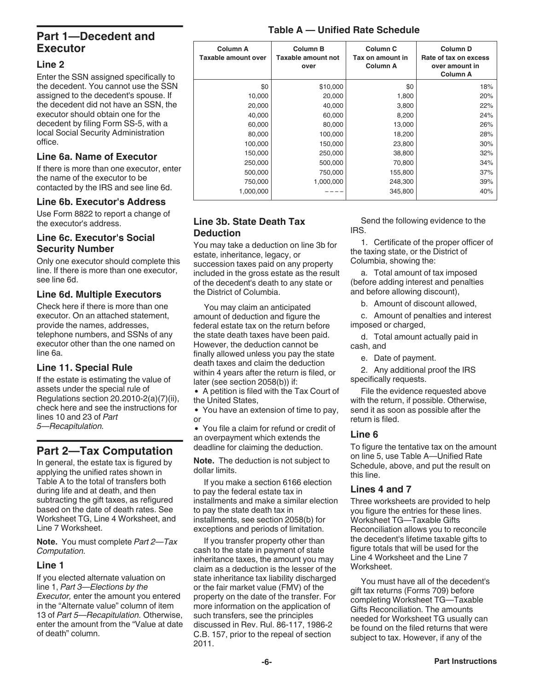# <span id="page-5-0"></span>**Part 1—Decedent and Executor**

#### **Line 2**

Enter the SSN assigned specifically to the decedent. You cannot use the SSN assigned to the decedent's spouse. If the decedent did not have an SSN, the executor should obtain one for the decedent by filing Form SS-5, with a local Social Security Administration office.

#### **Line 6a. Name of Executor**

If there is more than one executor, enter the name of the executor to be contacted by the IRS and see line 6d.

#### **Line 6b. Executor's Address**

Use Form 8822 to report a change of the executor's address.

#### **Line 6c. Executor's Social Security Number**

Only one executor should complete this line. If there is more than one executor, see line 6d.

#### **Line 6d. Multiple Executors**

Check here if there is more than one executor. On an attached statement, provide the names, addresses, telephone numbers, and SSNs of any executor other than the one named on line 6a.

### **Line 11. Special Rule**

If the estate is estimating the value of assets under the special rule of Regulations section 20.2010-2(a)(7)(ii), check here and see the instructions for lines 10 and 23 of *Part 5—Recapitulation.*

# **Part 2—Tax Computation**

In general, the estate tax is figured by applying the unified rates shown in Table A to the total of transfers both during life and at death, and then subtracting the gift taxes, as refigured based on the date of death rates. See Worksheet TG, Line 4 Worksheet, and Line 7 Worksheet.

**Note.** You must complete *Part 2—Tax Computation.*

#### **Line 1**

If you elected alternate valuation on line 1, *Part 3—Elections by the Executor,* enter the amount you entered in the "Alternate value" column of item 13 of *Part 5—Recapitulation.* Otherwise, enter the amount from the "Value at date of death" column.

| <b>Column A</b><br>Taxable amount over | <b>Column B</b><br>Taxable amount not<br>over | <b>Column C</b><br>Tax on amount in<br><b>Column A</b> | <b>Column D</b><br>Rate of tax on excess<br>over amount in<br><b>Column A</b> |
|----------------------------------------|-----------------------------------------------|--------------------------------------------------------|-------------------------------------------------------------------------------|
| \$0                                    | \$10,000                                      | \$0                                                    | 18%                                                                           |
| 10,000                                 | 20,000                                        | 1,800                                                  | 20%                                                                           |
| 20,000                                 | 40,000                                        | 3,800                                                  | 22%                                                                           |
| 40,000                                 | 60,000                                        | 8,200                                                  | 24%                                                                           |
| 60,000                                 | 80,000                                        | 13,000                                                 | 26%                                                                           |
| 80,000                                 | 100,000                                       | 18,200                                                 | 28%                                                                           |
| 100,000                                | 150,000                                       | 23,800                                                 | 30%                                                                           |
| 150,000                                | 250,000                                       | 38,800                                                 | 32%                                                                           |
| 250,000                                | 500,000                                       | 70,800                                                 | 34%                                                                           |
| 500,000                                | 750,000                                       | 155,800                                                | 37%                                                                           |
| 750,000                                | 1,000,000                                     | 248,300                                                | 39%                                                                           |
| 1,000,000                              |                                               | 345,800                                                | 40%                                                                           |
|                                        |                                               |                                                        |                                                                               |

# **Line 3b. State Death Tax Deduction**

You may take a deduction on line 3b for estate, inheritance, legacy, or succession taxes paid on any property included in the gross estate as the result of the decedent's death to any state or the District of Columbia.

You may claim an anticipated amount of deduction and figure the federal estate tax on the return before the state death taxes have been paid. However, the deduction cannot be finally allowed unless you pay the state death taxes and claim the deduction within 4 years after the return is filed, or later (see section 2058(b)) if:

A petition is filed with the Tax Court of the United States,

• You have an extension of time to pay. or

You file a claim for refund or credit of an overpayment which extends the deadline for claiming the deduction.

**Note.** The deduction is not subject to dollar limits.

If you make a section 6166 election to pay the federal estate tax in installments and make a similar election to pay the state death tax in installments, see section 2058(b) for exceptions and periods of limitation.

If you transfer property other than cash to the state in payment of state inheritance taxes, the amount you may claim as a deduction is the lesser of the state inheritance tax liability discharged or the fair market value (FMV) of the property on the date of the transfer. For more information on the application of such transfers, see the principles discussed in Rev. Rul. 86-117, 1986-2 C.B. 157, prior to the repeal of section 2011.

Send the following evidence to the IRS.

1. Certificate of the proper officer of the taxing state, or the District of Columbia, showing the:

a. Total amount of tax imposed (before adding interest and penalties and before allowing discount),

b. Amount of discount allowed,

c. Amount of penalties and interest imposed or charged,

d. Total amount actually paid in cash, and

e. Date of payment.

2. Any additional proof the IRS specifically requests.

File the evidence requested above with the return, if possible. Otherwise, send it as soon as possible after the return is filed.

#### **Line 6**

To figure the tentative tax on the amount on line 5, use Table A—Unified Rate Schedule, above, and put the result on this line.

#### **Lines 4 and 7**

Three worksheets are provided to help you figure the entries for these lines. Worksheet TG—Taxable Gifts Reconciliation allows you to reconcile the decedent's lifetime taxable gifts to figure totals that will be used for the Line 4 Worksheet and the Line 7 **Worksheet** 

You must have all of the decedent's gift tax returns (Forms 709) before completing Worksheet TG—Taxable Gifts Reconciliation. The amounts needed for Worksheet TG usually can be found on the filed returns that were subject to tax. However, if any of the

# **Table A — Unified Rate Schedule**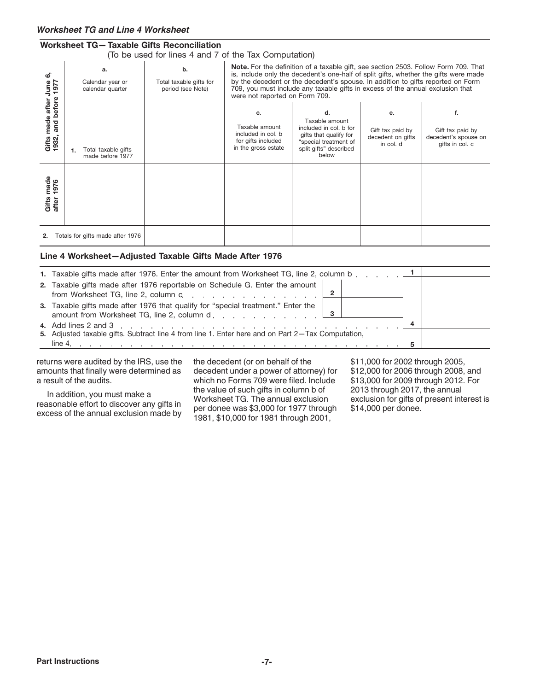#### Worksheet TG—Taxable Gifts Reconciliation (To be used for lines 4 and 7 of the Tax Computation)

| $\overline{10}$ be used for imes + and f or the Tax computation,             |                                               |                                                    |                                                                                                                                                                                                                                                                                                                                                                                    |                                                                                                                                      |                                                          |                                                                   |  |  |  |  |  |
|------------------------------------------------------------------------------|-----------------------------------------------|----------------------------------------------------|------------------------------------------------------------------------------------------------------------------------------------------------------------------------------------------------------------------------------------------------------------------------------------------------------------------------------------------------------------------------------------|--------------------------------------------------------------------------------------------------------------------------------------|----------------------------------------------------------|-------------------------------------------------------------------|--|--|--|--|--|
| ဖ<br>June<br>1977<br>made after J<br>and before<br>after<br>Gifts 1<br>1932, | a.<br>Calendar year or<br>calendar quarter    | b.<br>Total taxable gifts for<br>period (see Note) | Note. For the definition of a taxable gift, see section 2503. Follow Form 709. That<br>is, include only the decedent's one-half of split gifts, whether the gifts were made<br>by the decedent or the decedent's spouse. In addition to gifts reported on Form<br>709, you must include any taxable gifts in excess of the annual exclusion that<br>were not reported on Form 709. |                                                                                                                                      |                                                          |                                                                   |  |  |  |  |  |
|                                                                              | Total taxable gifts<br>1.<br>made before 1977 |                                                    | с.<br>Taxable amount<br>included in col. b<br>for gifts included<br>in the gross estate                                                                                                                                                                                                                                                                                            | d.<br>Taxable amount<br>included in col. b for<br>gifts that qualify for<br>"special treatment of<br>split gifts" described<br>below | e.<br>Gift tax paid by<br>decedent on gifts<br>in col. d | f.<br>Gift tax paid by<br>decedent's spouse on<br>gifts in col. c |  |  |  |  |  |
| made<br>1976<br>Gifts<br>after                                               |                                               |                                                    |                                                                                                                                                                                                                                                                                                                                                                                    |                                                                                                                                      |                                                          |                                                                   |  |  |  |  |  |
| Totals for gifts made after 1976<br>2.                                       |                                               |                                                    |                                                                                                                                                                                                                                                                                                                                                                                    |                                                                                                                                      |                                                          |                                                                   |  |  |  |  |  |

#### Line 4 Worksheet—Adjusted Taxable Gifts Made After 1976

| 1. Taxable gifts made after 1976. Enter the amount from Worksheet TG, line 2, column b $\ldots$ $\ldots$                                                                                                                                                                                                                           |                         |  |
|------------------------------------------------------------------------------------------------------------------------------------------------------------------------------------------------------------------------------------------------------------------------------------------------------------------------------------|-------------------------|--|
| 2. Taxable gifts made after 1976 reportable on Schedule G. Enter the amount<br>from Worksheet TG, line 2, column c. $\boxed{2}$                                                                                                                                                                                                    |                         |  |
| 3. Taxable gifts made after 1976 that qualify for "special treatment." Enter the<br>amount from Worksheet TG, line 2, column d 3                                                                                                                                                                                                   |                         |  |
| 4. Add lines 2 and 3 research and a series and a series are a series and a series of the series of the series of the series of the series of the series of the series of the series of the series of the series of the series<br>5. Adjusted taxable gifts. Subtract line 4 from line 1. Enter here and on Part 2-Tax Computation, | $\overline{\mathbf{4}}$ |  |
| line 4.<br>the contract of the contract of the contract of the contract of the contract of the contract of the contract of                                                                                                                                                                                                         | 5                       |  |

returns were audited by the IRS, use the amounts that finally were determined as a result of the audits.

In addition, you must make a reasonable effort to discover any gifts in excess of the annual exclusion made by the decedent (or on behalf of the decedent under a power of attorney) for which no Forms 709 were filed. Include the value of such gifts in column b of Worksheet TG. The annual exclusion per donee was \$3,000 for 1977 through 1981, \$10,000 for 1981 through 2001,

\$11,000 for 2002 through 2005, \$12,000 for 2006 through 2008, and \$13,000 for 2009 through 2012. For 2013 through 2017, the annual exclusion for gifts of present interest is \$14,000 per donee.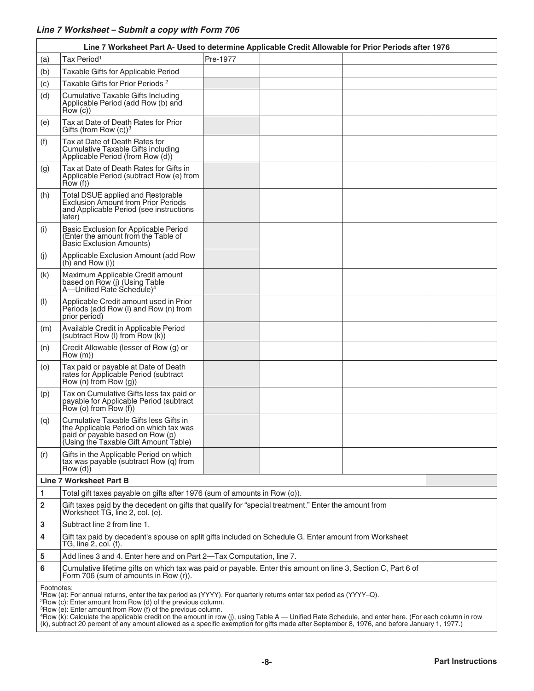|              | Line 7 Worksheet Part A- Used to determine Applicable Credit Allowable for Prior Periods after 1976                                                                                                                                                                                               |          |  |  |  |  |  |  |  |
|--------------|---------------------------------------------------------------------------------------------------------------------------------------------------------------------------------------------------------------------------------------------------------------------------------------------------|----------|--|--|--|--|--|--|--|
| (a)          | Tax Period <sup>1</sup>                                                                                                                                                                                                                                                                           | Pre-1977 |  |  |  |  |  |  |  |
| (b)          | Taxable Gifts for Applicable Period                                                                                                                                                                                                                                                               |          |  |  |  |  |  |  |  |
| (c)          | Taxable Gifts for Prior Periods <sup>2</sup>                                                                                                                                                                                                                                                      |          |  |  |  |  |  |  |  |
| (d)          | <b>Cumulative Taxable Gifts Including</b><br>Applicable Period (add Row (b) and<br>Pow(c)                                                                                                                                                                                                         |          |  |  |  |  |  |  |  |
| (e)          | Tax at Date of Death Rates for Prior<br>Gifts (from Row $(c)$ ) <sup>3</sup>                                                                                                                                                                                                                      |          |  |  |  |  |  |  |  |
| (f)          | Tax at Date of Death Rates for<br>Cumulative Taxable Gifts including<br>Applicable Period (from Row (d))                                                                                                                                                                                          |          |  |  |  |  |  |  |  |
| (g)          | Tax at Date of Death Rates for Gifts in<br>Applicable Period (subtract Row (e) from<br>Row(f)                                                                                                                                                                                                     |          |  |  |  |  |  |  |  |
| (h)          | <b>Total DSUE applied and Restorable</b><br><b>Exclusion Amount from Prior Periods</b><br>and Applicable Period (see instructions<br>later)                                                                                                                                                       |          |  |  |  |  |  |  |  |
| (i)          | Basic Exclusion for Applicable Period<br>(Enter the amount from the Table of<br>Basic Exclusion Amounts)                                                                                                                                                                                          |          |  |  |  |  |  |  |  |
| (j)          | Applicable Exclusion Amount (add Row<br>$(h)$ and Row $(i)$ )                                                                                                                                                                                                                                     |          |  |  |  |  |  |  |  |
| (k)          | Maximum Applicable Credit amount<br>based on Row (j) (Using Table<br>A-Unified Rate Schedule) <sup>4</sup>                                                                                                                                                                                        |          |  |  |  |  |  |  |  |
| (1)          | Applicable Credit amount used in Prior<br>Periods (add Row (I) and Row (n) from<br>prior period)                                                                                                                                                                                                  |          |  |  |  |  |  |  |  |
| (m)          | Available Credit in Applicable Period<br>(subtract Row (I) from Row (k))                                                                                                                                                                                                                          |          |  |  |  |  |  |  |  |
| (n)          | Credit Allowable (lesser of Row (g) or<br>Row(m)                                                                                                                                                                                                                                                  |          |  |  |  |  |  |  |  |
| (0)          | Tax paid or payable at Date of Death<br>rates for Applicable Period (subtract<br>Row (n) from Row $(g)$ )                                                                                                                                                                                         |          |  |  |  |  |  |  |  |
| (p)          | Tax on Cumulative Gifts less tax paid or<br>payable for Applicable Period (subtract<br>Row (o) from Row (f))                                                                                                                                                                                      |          |  |  |  |  |  |  |  |
| (q)          | Cumulative Taxable Gifts less Gifts in<br>the Applicable Period on which tax was<br>paid or payable based on Row (p)<br>(Using the Taxable Gift Amount Table)                                                                                                                                     |          |  |  |  |  |  |  |  |
| (r)          | Gifts in the Applicable Period on which<br>tax was payable (subtract Row (q) from<br>Row(d)                                                                                                                                                                                                       |          |  |  |  |  |  |  |  |
|              | <b>Line 7 Worksheet Part B</b>                                                                                                                                                                                                                                                                    |          |  |  |  |  |  |  |  |
| 1            | Total gift taxes payable on gifts after 1976 (sum of amounts in Row (o)).                                                                                                                                                                                                                         |          |  |  |  |  |  |  |  |
| $\mathbf{2}$ | Gift taxes paid by the decedent on gifts that qualify for "special treatment." Enter the amount from<br>Worksheet TG, line 2, col. (e).                                                                                                                                                           |          |  |  |  |  |  |  |  |
| 3            | Subtract line 2 from line 1.                                                                                                                                                                                                                                                                      |          |  |  |  |  |  |  |  |
| 4            | Gift tax paid by decedent's spouse on split gifts included on Schedule G. Enter amount from Worksheet<br>TG, line 2, col. (f).                                                                                                                                                                    |          |  |  |  |  |  |  |  |
| 5            | Add lines 3 and 4. Enter here and on Part 2-Tax Computation, line 7.                                                                                                                                                                                                                              |          |  |  |  |  |  |  |  |
| 6            | Cumulative lifetime gifts on which tax was paid or payable. Enter this amount on line 3, Section C, Part 6 of<br>Form 706 (sum of amounts in Row (r)).                                                                                                                                            |          |  |  |  |  |  |  |  |
|              | Footnotes:<br><sup>1</sup> Row (a): For annual returns, enter the tax period as (YYYY). For quarterly returns enter tax period as (YYYY–Q).<br><sup>2</sup> Row (c): Enter amount from Row (d) of the previous column.<br><sup>3</sup> Row (e): Enter amount from Row (f) of the previous column. |          |  |  |  |  |  |  |  |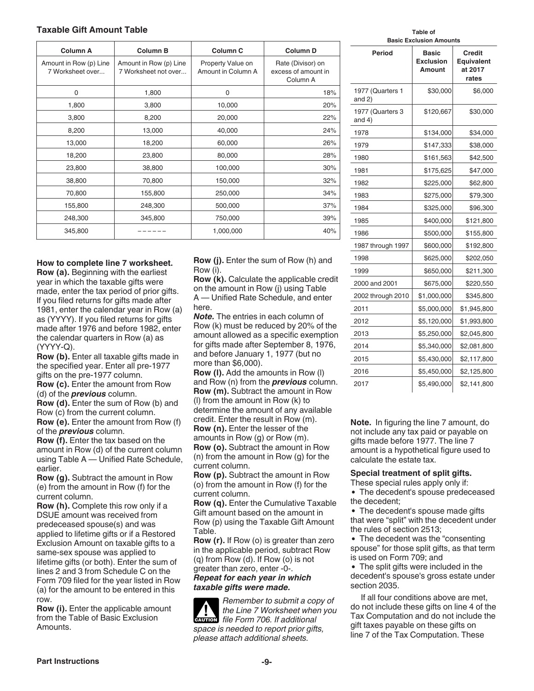| How to complete line 7 worksheet.<br>Row (a). Beginning with the earliest<br>year in which the taxable gifts were<br>made, enter the tax period of prior gifts.<br>If you filed returns for gifts made after<br>1981, enter the calendar year in Row (a)<br>as (YYYY). If you filed returns for gifts |         | <b>Row (j).</b> Enter the sum of Row (h) and<br>Row (i).<br>on the amount in Row (j) using Table<br>A — Unified Rate Schedule, and enter<br>here.<br><b>Note.</b> The entries in each column of | <b>Row (k).</b> Calculate the applicable credi |
|-------------------------------------------------------------------------------------------------------------------------------------------------------------------------------------------------------------------------------------------------------------------------------------------------------|---------|-------------------------------------------------------------------------------------------------------------------------------------------------------------------------------------------------|------------------------------------------------|
| 345,800                                                                                                                                                                                                                                                                                               |         | 1,000,000                                                                                                                                                                                       | 40%                                            |
| 248,300                                                                                                                                                                                                                                                                                               | 345,800 | 750,000                                                                                                                                                                                         | 39%                                            |
| 155,800                                                                                                                                                                                                                                                                                               | 248,300 | 500,000                                                                                                                                                                                         | 37%                                            |
| 70,800                                                                                                                                                                                                                                                                                                | 155,800 | 250,000                                                                                                                                                                                         | 34%                                            |
| 38,800                                                                                                                                                                                                                                                                                                | 70,800  | 150,000                                                                                                                                                                                         | 32%                                            |
| 23,800                                                                                                                                                                                                                                                                                                | 38,800  | 100,000                                                                                                                                                                                         | 30%                                            |
| 18,200                                                                                                                                                                                                                                                                                                | 23,800  | 80,000                                                                                                                                                                                          | 28%                                            |
| 13,000                                                                                                                                                                                                                                                                                                | 18,200  | 60,000                                                                                                                                                                                          | 26%                                            |
| 8,200                                                                                                                                                                                                                                                                                                 | 13,000  | 40,000                                                                                                                                                                                          | 24%                                            |

**Column A Column B Column C Column D**

0  $1,800$  0  $18\%$ 1,800 3,800 10,000 20% 3,800 8,200 20,000 22%

Property Value on Amount in Column A

Rate (Divisor) on excess of amount in Column A

Amount in Row (p) Line 7 Worksheet not over...

#### **Taxable Gift Amount Table**

Amount in Row (p) Line 7 Worksheet over...

made after 1976 and before 1982, enter the calendar quarters in Row (a) as (YYYY-Q).

**Row (b).** Enter all taxable gifts made in the specified year. Enter all pre-1977 gifts on the pre-1977 column.

**Row (c).** Enter the amount from Row (d) of the *previous* column.

**Row (d).** Enter the sum of Row (b) and Row (c) from the current column.

**Row (e).** Enter the amount from Row (f) of the *previous* column.

**Row (f).** Enter the tax based on the amount in Row (d) of the current column using Table A — Unified Rate Schedule, earlier.

**Row (g).** Subtract the amount in Row (e) from the amount in Row (f) for the current column.

**Row (h).** Complete this row only if a DSUE amount was received from predeceased spouse(s) and was applied to lifetime gifts or if a Restored Exclusion Amount on taxable gifts to a same-sex spouse was applied to lifetime gifts (or both). Enter the sum of lines 2 and 3 from Schedule C on the Form 709 filed for the year listed in Row (a) for the amount to be entered in this row.

**Row (i).** Enter the applicable amount from the Table of Basic Exclusion Amounts.

n each column of duced by 20% of the amount allowed as a specific exemption for gifts made after September 8, 1976, and before January 1, 1977 (but no more than \$6,000).

**Row (l).** Add the amounts in Row (l) and Row (n) from the *previous* column. **Row (m).** Subtract the amount in Row (l) from the amount in Row (k) to determine the amount of any available credit. Enter the result in Row (m).

**Row (n).** Enter the lesser of the amounts in Row (g) or Row (m). **Row (o).** Subtract the amount in Row (n) from the amount in Row (g) for the current column.

**Row (p).** Subtract the amount in Row (o) from the amount in Row (f) for the current column.

**Row (q).** Enter the Cumulative Taxable Gift amount based on the amount in Row (p) using the Taxable Gift Amount Table.

**Row (r).** If Row (o) is greater than zero in the applicable period, subtract Row (q) from Row (d). If Row (o) is not greater than zero, enter -0-. *Repeat for each year in which* 

# *taxable gifts were made.*

*Remember to submit a copy of the Line 7 Worksheet when you file Form 706. If additional space is needed to report prior gifts, please attach additional sheets.*

| <b>Period</b>              | <b>Basic</b><br><b>Exclusion</b><br>Amount | Credit<br><b>Equivalent</b><br>at 2017<br>rates |
|----------------------------|--------------------------------------------|-------------------------------------------------|
| 1977 (Quarters 1<br>and 2) | \$30,000                                   | \$6,000                                         |
| 1977 (Quarters 3<br>and 4) | \$120,667                                  | \$30,000                                        |
| 1978                       | \$134,000                                  | \$34,000                                        |
| 1979                       | \$147,333                                  | \$38,000                                        |
| 1980                       | \$161,563                                  | \$42,500                                        |
| 1981                       | \$175,625                                  | \$47,000                                        |
| 1982                       | \$225,000                                  | \$62,800                                        |
| 1983                       | \$275,000                                  | \$79,300                                        |
| 1984                       | \$325,000                                  | \$96,300                                        |
| 1985                       | \$400,000                                  | \$121,800                                       |
| 1986                       | \$500,000                                  | \$155,800                                       |
| 1987 through 1997          | \$600,000                                  | \$192,800                                       |
| 1998                       | \$625,000                                  | \$202,050                                       |
| 1999                       | \$650,000                                  | \$211,300                                       |
| 2000 and 2001              | \$675,000                                  | \$220,550                                       |
| 2002 through 2010          | \$1,000,000                                | \$345,800                                       |
| 2011                       | \$5,000,000                                | \$1,945,800                                     |
| 2012                       | \$5,120,000                                | \$1,993,800                                     |
| 2013                       | \$5,250,000                                | \$2,045,800                                     |
| 2014                       | \$5,340,000                                | \$2,081,800                                     |
| 2015                       | \$5,430,000                                | \$2,117,800                                     |
| 2016                       | \$5,450,000                                | \$2,125,800                                     |
| 2017                       | \$5,490,000                                | \$2,141,800                                     |

**Table of Basic Exclusion Amounts**

**Note.** In figuring the line 7 amount, do not include any tax paid or payable on gifts made before 1977. The line 7 amount is a hypothetical figure used to calculate the estate tax.

#### **Special treatment of split gifts.**

These special rules apply only if:

• The decedent's spouse predeceased the decedent;

• The decedent's spouse made gifts that were "split" with the decedent under the rules of section 2513;

• The decedent was the "consenting" spouse" for those split gifts, as that term is used on Form 709; and

The split gifts were included in the decedent's spouse's gross estate under section 2035.

If all four conditions above are met, do not include these gifts on line 4 of the Tax Computation and do not include the gift taxes payable on these gifts on line 7 of the Tax Computation. These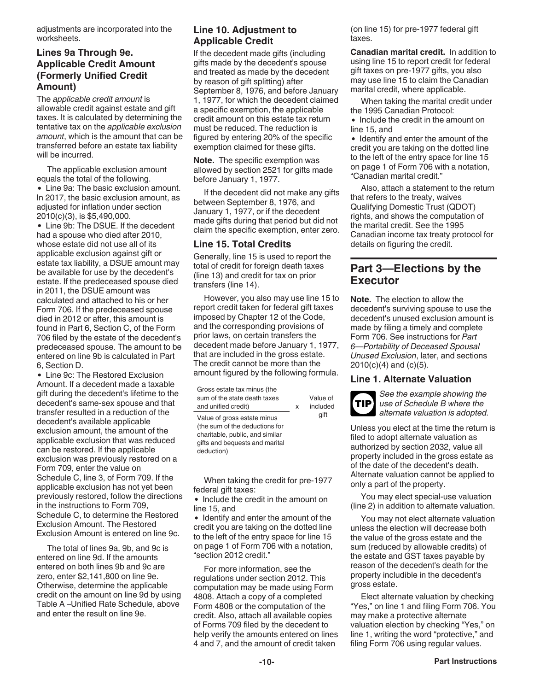<span id="page-9-0"></span>adjustments are incorporated into the worksheets.

#### **Lines 9a Through 9e. Applicable Credit Amount (Formerly Unified Credit Amount)**

The *applicable credit amount* is allowable credit against estate and gift taxes. It is calculated by determining the tentative tax on the *applicable exclusion amount*, which is the amount that can be transferred before an estate tax liability will be incurred.

The applicable exclusion amount equals the total of the following. • Line 9a: The basic exclusion amount. In 2017, the basic exclusion amount, as adjusted for inflation under section 2010(c)(3), is \$5,490,000.

Line 9b: The DSUE. If the decedent had a spouse who died after 2010, whose estate did not use all of its applicable exclusion against gift or estate tax liability, a DSUE amount may be available for use by the decedent's estate. If the predeceased spouse died in 2011, the DSUE amount was calculated and attached to his or her Form 706. If the predeceased spouse died in 2012 or after, this amount is found in Part 6, Section C, of the Form 706 filed by the estate of the decedent's predeceased spouse. The amount to be entered on line 9b is calculated in Part 6, Section D.

• Line 9c: The Restored Exclusion Amount. If a decedent made a taxable gift during the decedent's lifetime to the decedent's same-sex spouse and that transfer resulted in a reduction of the decedent's available applicable exclusion amount, the amount of the applicable exclusion that was reduced can be restored. If the applicable exclusion was previously restored on a Form 709, enter the value on Schedule C, line 3, of Form 709. If the applicable exclusion has not yet been previously restored, follow the directions in the instructions to Form 709, Schedule C, to determine the Restored Exclusion Amount. The Restored Exclusion Amount is entered on line 9c.

The total of lines 9a, 9b, and 9c is entered on line 9d. If the amounts entered on both lines 9b and 9c are zero, enter \$2,141,800 on line 9e. Otherwise, determine the applicable credit on the amount on line 9d by using Table A –Unified Rate Schedule, above and enter the result on line 9e.

### **Line 10. Adjustment to Applicable Credit**

If the decedent made gifts (including gifts made by the decedent's spouse and treated as made by the decedent by reason of gift splitting) after September 8, 1976, and before January 1, 1977, for which the decedent claimed a specific exemption, the applicable credit amount on this estate tax return must be reduced. The reduction is figured by entering 20% of the specific exemption claimed for these gifts.

**Note.** The specific exemption was allowed by section 2521 for gifts made before January 1, 1977.

If the decedent did not make any gifts between September 8, 1976, and January 1, 1977, or if the decedent made gifts during that period but did not claim the specific exemption, enter zero.

#### **Line 15. Total Credits**

Generally, line 15 is used to report the total of credit for foreign death taxes (line 13) and credit for tax on prior transfers (line 14).

However, you also may use line 15 to report credit taken for federal gift taxes imposed by Chapter 12 of the Code, and the corresponding provisions of prior laws, on certain transfers the decedent made before January 1, 1977, that are included in the gross estate. The credit cannot be more than the amount figured by the following formula.

Gross estate tax minus (the sum of the state death taxes and unified credit) x Value of included Value of gross estate minus gift (the sum of the deductions for charitable, public, and similar

gifts and bequests and marital

deduction)

When taking the credit for pre-1977 federal gift taxes:

• Include the credit in the amount on line 15, and

• Identify and enter the amount of the credit you are taking on the dotted line to the left of the entry space for line 15 on page 1 of Form 706 with a notation, "section 2012 credit."

For more information, see the regulations under section 2012. This computation may be made using Form 4808. Attach a copy of a completed Form 4808 or the computation of the credit. Also, attach all available copies of Forms 709 filed by the decedent to help verify the amounts entered on lines 4 and 7, and the amount of credit taken

(on line 15) for pre-1977 federal gift taxes.

**Canadian marital credit.** In addition to using line 15 to report credit for federal gift taxes on pre-1977 gifts, you also may use line 15 to claim the Canadian marital credit, where applicable.

When taking the marital credit under the 1995 Canadian Protocol:

• Include the credit in the amount on line 15, and

• Identify and enter the amount of the credit you are taking on the dotted line to the left of the entry space for line 15 on page 1 of Form 706 with a notation, "Canadian marital credit."

Also, attach a statement to the return that refers to the treaty, waives Qualifying Domestic Trust (QDOT) rights, and shows the computation of the marital credit. See the 1995 Canadian income tax treaty protocol for details on figuring the credit.

# **Part 3—Elections by the Executor**

**Note.** The election to allow the decedent's surviving spouse to use the decedent's unused exclusion amount is made by filing a timely and complete Form 706. See instructions for *Part 6—Portability of Deceased Spousal Unused Exclusion*, later, and sections  $2010(c)(4)$  and  $(c)(5)$ .

#### **Line 1. Alternate Valuation**



*See the example showing the use of Schedule B where the alternate valuation is adopted.*

Unless you elect at the time the return is filed to adopt alternate valuation as authorized by section 2032, value all property included in the gross estate as of the date of the decedent's death. Alternate valuation cannot be applied to only a part of the property.

You may elect special-use valuation (line 2) in addition to alternate valuation.

You may not elect alternate valuation unless the election will decrease both the value of the gross estate and the sum (reduced by allowable credits) of the estate and GST taxes payable by reason of the decedent's death for the property includible in the decedent's gross estate.

Elect alternate valuation by checking "Yes," on line 1 and filing Form 706. You may make a protective alternate valuation election by checking "Yes," on line 1, writing the word "protective," and filing Form 706 using regular values.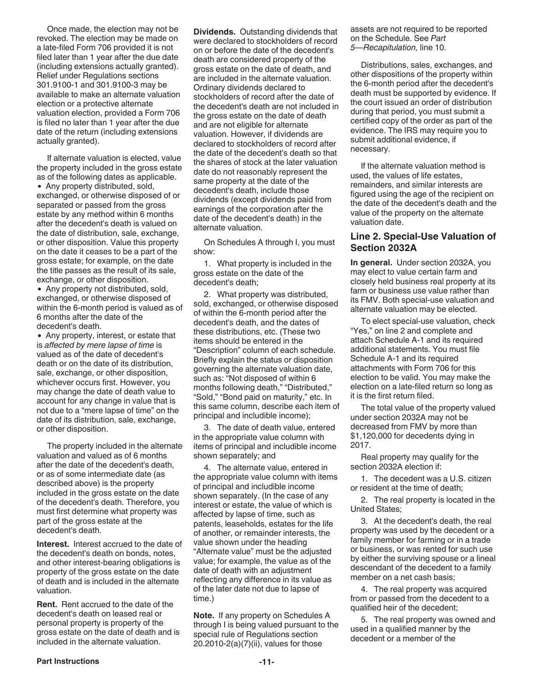<span id="page-10-0"></span>Once made, the election may not be revoked. The election may be made on a late-filed Form 706 provided it is not filed later than 1 year after the due date (including extensions actually granted). Relief under Regulations sections 301.9100-1 and 301.9100-3 may be available to make an alternate valuation election or a protective alternate valuation election, provided a Form 706 is filed no later than 1 year after the due date of the return (including extensions actually granted).

If alternate valuation is elected, value the property included in the gross estate as of the following dates as applicable. • Any property distributed, sold, exchanged, or otherwise disposed of or separated or passed from the gross estate by any method within 6 months after the decedent's death is valued on the date of distribution, sale, exchange, or other disposition. Value this property on the date it ceases to be a part of the gross estate; for example, on the date the title passes as the result of its sale, exchange, or other disposition.

• Any property not distributed, sold, exchanged, or otherwise disposed of within the 6-month period is valued as of 6 months after the date of the decedent's death.

Any property, interest, or estate that is *affected by mere lapse of time* is valued as of the date of decedent's death or on the date of its distribution, sale, exchange, or other disposition, whichever occurs first. However, you may change the date of death value to account for any change in value that is not due to a "mere lapse of time" on the date of its distribution, sale, exchange, or other disposition.

The property included in the alternate valuation and valued as of 6 months after the date of the decedent's death, or as of some intermediate date (as described above) is the property included in the gross estate on the date of the decedent's death. Therefore, you must first determine what property was part of the gross estate at the decedent's death.

**Interest.** Interest accrued to the date of the decedent's death on bonds, notes, and other interest-bearing obligations is property of the gross estate on the date of death and is included in the alternate valuation.

**Rent.** Rent accrued to the date of the decedent's death on leased real or personal property is property of the gross estate on the date of death and is included in the alternate valuation.

**Dividends.** Outstanding dividends that were declared to stockholders of record on or before the date of the decedent's death are considered property of the gross estate on the date of death, and are included in the alternate valuation. Ordinary dividends declared to stockholders of record after the date of the decedent's death are not included in the gross estate on the date of death and are not eligible for alternate valuation. However, if dividends are declared to stockholders of record after the date of the decedent's death so that the shares of stock at the later valuation date do not reasonably represent the same property at the date of the decedent's death, include those dividends (except dividends paid from earnings of the corporation after the date of the decedent's death) in the alternate valuation.

On Schedules A through I, you must show:

1. What property is included in the gross estate on the date of the decedent's death;

2. What property was distributed, sold, exchanged, or otherwise disposed of within the 6-month period after the decedent's death, and the dates of these distributions, etc. (These two items should be entered in the "Description" column of each schedule. Briefly explain the status or disposition governing the alternate valuation date, such as: "Not disposed of within 6 months following death," "Distributed," "Sold," "Bond paid on maturity," etc. In this same column, describe each item of principal and includible income);

3. The date of death value, entered in the appropriate value column with items of principal and includible income shown separately; and

4. The alternate value, entered in the appropriate value column with items of principal and includible income shown separately. (In the case of any interest or estate, the value of which is affected by lapse of time, such as patents, leaseholds, estates for the life of another, or remainder interests, the value shown under the heading "Alternate value" must be the adjusted value; for example, the value as of the date of death with an adjustment reflecting any difference in its value as of the later date not due to lapse of time.)

**Note.** If any property on Schedules A through I is being valued pursuant to the special rule of Regulations section 20.2010-2(a)(7)(ii), values for those

assets are not required to be reported on the Schedule. See *Part 5—Recapitulation,* line 10.

Distributions, sales, exchanges, and other dispositions of the property within the 6-month period after the decedent's death must be supported by evidence. If the court issued an order of distribution during that period, you must submit a certified copy of the order as part of the evidence. The IRS may require you to submit additional evidence, if necessary.

If the alternate valuation method is used, the values of life estates, remainders, and similar interests are figured using the age of the recipient on the date of the decedent's death and the value of the property on the alternate valuation date.

#### **Line 2. Special-Use Valuation of Section 2032A**

**In general.** Under section 2032A, you may elect to value certain farm and closely held business real property at its farm or business use value rather than its FMV. Both special-use valuation and alternate valuation may be elected.

To elect special-use valuation, check "Yes," on line 2 and complete and attach Schedule A-1 and its required additional statements. You must file Schedule A-1 and its required attachments with Form 706 for this election to be valid. You may make the election on a late-filed return so long as it is the first return filed.

The total value of the property valued under section 2032A may not be decreased from FMV by more than \$1,120,000 for decedents dying in 2017.

Real property may qualify for the section 2032A election if:

1. The decedent was a U.S. citizen or resident at the time of death;

2. The real property is located in the United States;

3. At the decedent's death, the real property was used by the decedent or a family member for farming or in a trade or business, or was rented for such use by either the surviving spouse or a lineal descendant of the decedent to a family member on a net cash basis;

4. The real property was acquired from or passed from the decedent to a qualified heir of the decedent;

5. The real property was owned and used in a qualified manner by the decedent or a member of the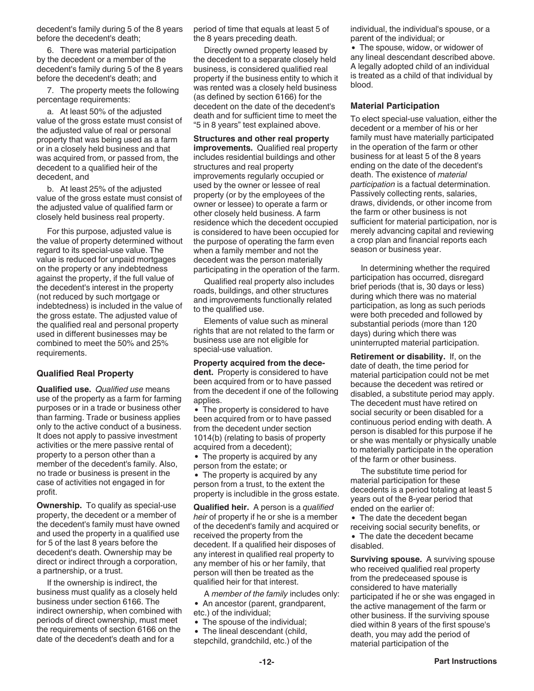<span id="page-11-0"></span>decedent's family during 5 of the 8 years before the decedent's death;

6. There was material participation by the decedent or a member of the decedent's family during 5 of the 8 years before the decedent's death; and

7. The property meets the following percentage requirements:

a. At least 50% of the adjusted value of the gross estate must consist of the adjusted value of real or personal property that was being used as a farm or in a closely held business and that was acquired from, or passed from, the decedent to a qualified heir of the decedent, and

b. At least 25% of the adjusted value of the gross estate must consist of the adjusted value of qualified farm or closely held business real property.

For this purpose, adjusted value is the value of property determined without regard to its special-use value. The value is reduced for unpaid mortgages on the property or any indebtedness against the property, if the full value of the decedent's interest in the property (not reduced by such mortgage or indebtedness) is included in the value of the gross estate. The adjusted value of the qualified real and personal property used in different businesses may be combined to meet the 50% and 25% requirements.

#### **Qualified Real Property**

**Qualified use.** *Qualified use* means use of the property as a farm for farming purposes or in a trade or business other than farming. Trade or business applies only to the active conduct of a business. It does not apply to passive investment activities or the mere passive rental of property to a person other than a member of the decedent's family. Also, no trade or business is present in the case of activities not engaged in for profit.

**Ownership.** To qualify as special-use property, the decedent or a member of the decedent's family must have owned and used the property in a qualified use for 5 of the last 8 years before the decedent's death. Ownership may be direct or indirect through a corporation, a partnership, or a trust.

If the ownership is indirect, the business must qualify as a closely held business under section 6166. The indirect ownership, when combined with periods of direct ownership, must meet the requirements of section 6166 on the date of the decedent's death and for a

period of time that equals at least 5 of the 8 years preceding death.

Directly owned property leased by the decedent to a separate closely held business, is considered qualified real property if the business entity to which it was rented was a closely held business (as defined by section 6166) for the decedent on the date of the decedent's death and for sufficient time to meet the "5 in 8 years" test explained above.

**Structures and other real property improvements.** Qualified real property includes residential buildings and other structures and real property improvements regularly occupied or used by the owner or lessee of real property (or by the employees of the owner or lessee) to operate a farm or other closely held business. A farm residence which the decedent occupied is considered to have been occupied for the purpose of operating the farm even when a family member and not the decedent was the person materially participating in the operation of the farm.

Qualified real property also includes roads, buildings, and other structures and improvements functionally related to the qualified use.

Elements of value such as mineral rights that are not related to the farm or business use are not eligible for special-use valuation.

**Property acquired from the decedent.** Property is considered to have been acquired from or to have passed from the decedent if one of the following applies.

• The property is considered to have been acquired from or to have passed from the decedent under section 1014(b) (relating to basis of property acquired from a decedent);

• The property is acquired by any person from the estate; or

• The property is acquired by any person from a trust, to the extent the property is includible in the gross estate.

**Qualified heir.** A person is a *qualified heir* of property if he or she is a member of the decedent's family and acquired or received the property from the decedent. If a qualified heir disposes of any interest in qualified real property to any member of his or her family, that person will then be treated as the qualified heir for that interest.

A *member of the family* includes only: • An ancestor (parent, grandparent, etc.) of the individual;

• The spouse of the individual:

• The lineal descendant (child, stepchild, grandchild, etc.) of the individual, the individual's spouse, or a parent of the individual; or

The spouse, widow, or widower of any lineal descendant described above. A legally adopted child of an individual is treated as a child of that individual by blood.

#### **Material Participation**

To elect special-use valuation, either the decedent or a member of his or her family must have materially participated in the operation of the farm or other business for at least 5 of the 8 years ending on the date of the decedent's death. The existence of *material participation* is a factual determination. Passively collecting rents, salaries, draws, dividends, or other income from the farm or other business is not sufficient for material participation, nor is merely advancing capital and reviewing a crop plan and financial reports each season or business year.

In determining whether the required participation has occurred, disregard brief periods (that is, 30 days or less) during which there was no material participation, as long as such periods were both preceded and followed by substantial periods (more than 120 days) during which there was uninterrupted material participation.

**Retirement or disability.** If, on the date of death, the time period for material participation could not be met because the decedent was retired or disabled, a substitute period may apply. The decedent must have retired on social security or been disabled for a continuous period ending with death. A person is disabled for this purpose if he or she was mentally or physically unable to materially participate in the operation of the farm or other business.

The substitute time period for material participation for these decedents is a period totaling at least 5 years out of the 8-year period that ended on the earlier of:

• The date the decedent began receiving social security benefits, or

The date the decedent became disabled.

**Surviving spouse.** A surviving spouse who received qualified real property from the predeceased spouse is considered to have materially participated if he or she was engaged in the active management of the farm or other business. If the surviving spouse died within 8 years of the first spouse's death, you may add the period of material participation of the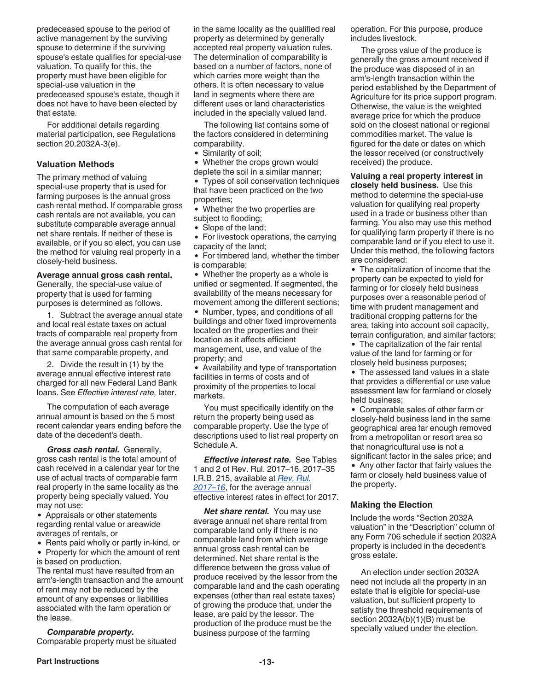<span id="page-12-0"></span>predeceased spouse to the period of active management by the surviving spouse to determine if the surviving spouse's estate qualifies for special-use valuation. To qualify for this, the property must have been eligible for special-use valuation in the predeceased spouse's estate, though it does not have to have been elected by that estate.

For additional details regarding material participation, see Regulations section 20.2032A-3(e).

#### **Valuation Methods**

The primary method of valuing special-use property that is used for farming purposes is the annual gross cash rental method. If comparable gross cash rentals are not available, you can substitute comparable average annual net share rentals. If neither of these is available, or if you so elect, you can use the method for valuing real property in a closely-held business.

**Average annual gross cash rental.**  Generally, the special-use value of property that is used for farming purposes is determined as follows.

1. Subtract the average annual state and local real estate taxes on actual tracts of comparable real property from the average annual gross cash rental for that same comparable property, and

2. Divide the result in (1) by the average annual effective interest rate charged for all new Federal Land Bank loans. See *Effective interest rate,* later.

The computation of each average annual amount is based on the 5 most recent calendar years ending before the date of the decedent's death.

*Gross cash rental.* Generally, gross cash rental is the total amount of cash received in a calendar year for the use of actual tracts of comparable farm real property in the same locality as the property being specially valued. You may not use:

Appraisals or other statements regarding rental value or areawide averages of rentals, or

• Rents paid wholly or partly in-kind, or

• Property for which the amount of rent is based on production.

The rental must have resulted from an arm's-length transaction and the amount of rent may not be reduced by the amount of any expenses or liabilities associated with the farm operation or the lease.

*Comparable property.*  Comparable property must be situated in the same locality as the qualified real property as determined by generally accepted real property valuation rules. The determination of comparability is based on a number of factors, none of which carries more weight than the others. It is often necessary to value land in segments where there are different uses or land characteristics included in the specially valued land.

The following list contains some of the factors considered in determining comparability.

- Similarity of soil;
- Whether the crops grown would
- deplete the soil in a similar manner;

Types of soil conservation techniques that have been practiced on the two properties;

- Whether the two properties are subject to flooding;
- Slope of the land;

• For livestock operations, the carrying capacity of the land;

• For timbered land, whether the timber is comparable;

Whether the property as a whole is unified or segmented. If segmented, the availability of the means necessary for movement among the different sections;

• Number, types, and conditions of all buildings and other fixed improvements located on the properties and their location as it affects efficient management, use, and value of the property; and

Availability and type of transportation facilities in terms of costs and of proximity of the properties to local markets.

You must specifically identify on the return the property being used as comparable property. Use the type of descriptions used to list real property on Schedule A.

*Effective interest rate.* See Tables 1 and 2 of Rev. Rul. 2017–16, 2017–35 I.R.B. 215, available at *[Rev, Rul.](https://www.irs.gov/pub/irs-irbs/irb17-35.pdf)  [2017–16](https://www.irs.gov/pub/irs-irbs/irb17-35.pdf)*, for the average annual effective interest rates in effect for 2017.

*Net share rental.* You may use average annual net share rental from comparable land only if there is no comparable land from which average annual gross cash rental can be determined. Net share rental is the difference between the gross value of produce received by the lessor from the comparable land and the cash operating expenses (other than real estate taxes) of growing the produce that, under the lease, are paid by the lessor. The production of the produce must be the business purpose of the farming

operation. For this purpose, produce includes livestock.

The gross value of the produce is generally the gross amount received if the produce was disposed of in an arm's-length transaction within the period established by the Department of Agriculture for its price support program. Otherwise, the value is the weighted average price for which the produce sold on the closest national or regional commodities market. The value is figured for the date or dates on which the lessor received (or constructively received) the produce.

**Valuing a real property interest in closely held business.** Use this method to determine the special-use

valuation for qualifying real property used in a trade or business other than farming. You also may use this method for qualifying farm property if there is no comparable land or if you elect to use it. Under this method, the following factors are considered:

The capitalization of income that the property can be expected to yield for farming or for closely held business purposes over a reasonable period of time with prudent management and traditional cropping patterns for the area, taking into account soil capacity, terrain configuration, and similar factors;

• The capitalization of the fair rental value of the land for farming or for closely held business purposes;

• The assessed land values in a state that provides a differential or use value assessment law for farmland or closely held business;

Comparable sales of other farm or closely-held business land in the same geographical area far enough removed from a metropolitan or resort area so that nonagricultural use is not a significant factor in the sales price; and Any other factor that fairly values the farm or closely held business value of the property.

#### **Making the Election**

Include the words "Section 2032A valuation" in the "Description" column of any Form 706 schedule if section 2032A property is included in the decedent's gross estate.

An election under section 2032A need not include all the property in an estate that is eligible for special-use valuation, but sufficient property to satisfy the threshold requirements of section 2032A(b)(1)(B) must be specially valued under the election.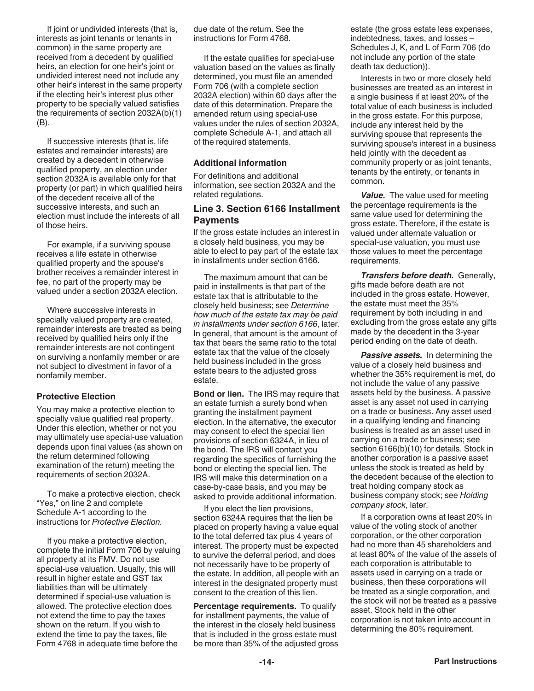<span id="page-13-0"></span>If joint or undivided interests (that is, interests as joint tenants or tenants in common) in the same property are received from a decedent by qualified heirs, an election for one heir's joint or undivided interest need not include any other heir's interest in the same property if the electing heir's interest plus other property to be specially valued satisfies the requirements of section 2032A(b)(1) (B).

If successive interests (that is, life estates and remainder interests) are created by a decedent in otherwise qualified property, an election under section 2032A is available only for that property (or part) in which qualified heirs of the decedent receive all of the successive interests, and such an election must include the interests of all of those heirs.

For example, if a surviving spouse receives a life estate in otherwise qualified property and the spouse's brother receives a remainder interest in fee, no part of the property may be valued under a section 2032A election.

Where successive interests in specially valued property are created, remainder interests are treated as being received by qualified heirs only if the remainder interests are not contingent on surviving a nonfamily member or are not subject to divestment in favor of a nonfamily member.

#### **Protective Election**

You may make a protective election to specially value qualified real property. Under this election, whether or not you may ultimately use special-use valuation depends upon final values (as shown on the return determined following examination of the return) meeting the requirements of section 2032A.

To make a protective election, check "Yes," on line 2 and complete Schedule A-1 according to the instructions for *Protective Election.*

If you make a protective election, complete the initial Form 706 by valuing all property at its FMV. Do not use special-use valuation. Usually, this will result in higher estate and GST tax liabilities than will be ultimately determined if special-use valuation is allowed. The protective election does not extend the time to pay the taxes shown on the return. If you wish to extend the time to pay the taxes, file Form 4768 in adequate time before the

due date of the return. See the instructions for Form 4768.

If the estate qualifies for special-use valuation based on the values as finally determined, you must file an amended Form 706 (with a complete section 2032A election) within 60 days after the date of this determination. Prepare the amended return using special-use values under the rules of section 2032A, complete Schedule A-1, and attach all of the required statements.

#### **Additional information**

For definitions and additional information, see section 2032A and the related regulations.

#### **Line 3. Section 6166 Installment Payments**

If the gross estate includes an interest in a closely held business, you may be able to elect to pay part of the estate tax in installments under section 6166.

The maximum amount that can be paid in installments is that part of the estate tax that is attributable to the closely held business; see *Determine how much of the estate tax may be paid in installments under section 6166*, later. In general, that amount is the amount of tax that bears the same ratio to the total estate tax that the value of the closely held business included in the gross estate bears to the adjusted gross estate.

**Bond or lien.** The IRS may require that an estate furnish a surety bond when granting the installment payment election. In the alternative, the executor may consent to elect the special lien provisions of section 6324A, in lieu of the bond. The IRS will contact you regarding the specifics of furnishing the bond or electing the special lien. The IRS will make this determination on a case-by-case basis, and you may be asked to provide additional information.

If you elect the lien provisions, section 6324A requires that the lien be placed on property having a value equal to the total deferred tax plus 4 years of interest. The property must be expected to survive the deferral period, and does not necessarily have to be property of the estate. In addition, all people with an interest in the designated property must consent to the creation of this lien.

**Percentage requirements.** To qualify for installment payments, the value of the interest in the closely held business that is included in the gross estate must be more than 35% of the adjusted gross estate (the gross estate less expenses, indebtedness, taxes, and losses – Schedules J, K, and L of Form 706 (do not include any portion of the state death tax deduction)).

Interests in two or more closely held businesses are treated as an interest in a single business if at least 20% of the total value of each business is included in the gross estate. For this purpose, include any interest held by the surviving spouse that represents the surviving spouse's interest in a business held jointly with the decedent as community property or as joint tenants, tenants by the entirety, or tenants in common.

*Value.* The value used for meeting the percentage requirements is the same value used for determining the gross estate. Therefore, if the estate is valued under alternate valuation or special-use valuation, you must use those values to meet the percentage requirements.

*Transfers before death.* Generally, gifts made before death are not included in the gross estate. However, the estate must meet the 35% requirement by both including in and excluding from the gross estate any gifts made by the decedent in the 3-year period ending on the date of death.

*Passive assets.* In determining the value of a closely held business and whether the 35% requirement is met, do not include the value of any passive assets held by the business. A passive asset is any asset not used in carrying on a trade or business. Any asset used in a qualifying lending and financing business is treated as an asset used in carrying on a trade or business; see section 6166(b)(10) for details. Stock in another corporation is a passive asset unless the stock is treated as held by the decedent because of the election to treat holding company stock as business company stock; see *Holding company stock*, later.

If a corporation owns at least 20% in value of the voting stock of another corporation, or the other corporation had no more than 45 shareholders and at least 80% of the value of the assets of each corporation is attributable to assets used in carrying on a trade or business, then these corporations will be treated as a single corporation, and the stock will not be treated as a passive asset. Stock held in the other corporation is not taken into account in determining the 80% requirement.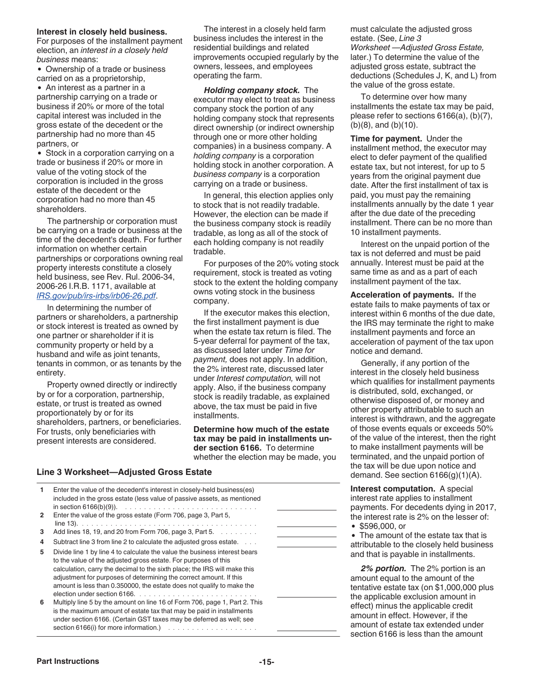#### **Interest in closely held business.**

For purposes of the installment payment election, an *interest in a closely held business* means:

• Ownership of a trade or business carried on as a proprietorship,

• An interest as a partner in a partnership carrying on a trade or business if 20% or more of the total capital interest was included in the gross estate of the decedent or the partnership had no more than 45 partners, or

• Stock in a corporation carrying on a trade or business if 20% or more in value of the voting stock of the corporation is included in the gross estate of the decedent or the corporation had no more than 45 shareholders.

The partnership or corporation must be carrying on a trade or business at the time of the decedent's death. For further information on whether certain partnerships or corporations owning real property interests constitute a closely held business, see Rev. Rul. 2006-34, 2006-26 I.R.B. 1171, available at *[IRS.gov/pub/irs-irbs/irb06-26.pdf](https://www.irs.gov/pub/irs-irbs/irb06-26.pdf)*.

In determining the number of partners or shareholders, a partnership or stock interest is treated as owned by one partner or shareholder if it is community property or held by a husband and wife as joint tenants, tenants in common, or as tenants by the entirety.

Property owned directly or indirectly by or for a corporation, partnership, estate, or trust is treated as owned proportionately by or for its shareholders, partners, or beneficiaries. For trusts, only beneficiaries with present interests are considered.

The interest in a closely held farm business includes the interest in the residential buildings and related improvements occupied regularly by the owners, lessees, and employees operating the farm.

*Holding company stock.* The executor may elect to treat as business company stock the portion of any holding company stock that represents direct ownership (or indirect ownership through one or more other holding companies) in a business company. A *holding company* is a corporation holding stock in another corporation. A *business company* is a corporation carrying on a trade or business.

In general, this election applies only to stock that is not readily tradable. However, the election can be made if the business company stock is readily tradable, as long as all of the stock of each holding company is not readily tradable.

For purposes of the 20% voting stock requirement, stock is treated as voting stock to the extent the holding company owns voting stock in the business company.

If the executor makes this election, the first installment payment is due when the estate tax return is filed. The 5-year deferral for payment of the tax, as discussed later under *Time for payment,* does not apply. In addition, the 2% interest rate, discussed later under *Interest computation,* will not apply. Also, if the business company stock is readily tradable, as explained above, the tax must be paid in five installments.

**Determine how much of the estate tax may be paid in installments under section 6166.** To determine whether the election may be made, you must calculate the adjusted gross estate. (See, *Line 3 Worksheet —Adjusted Gross Estate,*  later.) To determine the value of the adjusted gross estate, subtract the deductions (Schedules J, K, and L) from the value of the gross estate.

To determine over how many installments the estate tax may be paid, please refer to sections 6166(a), (b)(7), (b)(8), and (b)(10).

**Time for payment.** Under the installment method, the executor may elect to defer payment of the qualified estate tax, but not interest, for up to 5 years from the original payment due date. After the first installment of tax is paid, you must pay the remaining installments annually by the date 1 year after the due date of the preceding installment. There can be no more than 10 installment payments.

Interest on the unpaid portion of the tax is not deferred and must be paid annually. Interest must be paid at the same time as and as a part of each installment payment of the tax.

**Acceleration of payments.** If the estate fails to make payments of tax or interest within 6 months of the due date, the IRS may terminate the right to make installment payments and force an acceleration of payment of the tax upon notice and demand.

Generally, if any portion of the interest in the closely held business which qualifies for installment payments is distributed, sold, exchanged, or otherwise disposed of, or money and other property attributable to such an interest is withdrawn, and the aggregate of those events equals or exceeds 50% of the value of the interest, then the right to make installment payments will be terminated, and the unpaid portion of the tax will be due upon notice and demand. See section 6166(g)(1)(A).

**Interest computation.** A special interest rate applies to installment payments. For decedents dying in 2017, the interest rate is 2% on the lesser of: • \$596,000, or

• The amount of the estate tax that is attributable to the closely held business and that is payable in installments.

*2% portion.* The 2% portion is an amount equal to the amount of the tentative estate tax (on \$1,000,000 plus the applicable exclusion amount in effect) minus the applicable credit amount in effect. However, if the amount of estate tax extended under section 6166 is less than the amount

#### **Line 3 Worksheet—Adjusted Gross Estate**

| 1            | Enter the value of the decedent's interest in closely-held business(es)<br>included in the gross estate (less value of passive assets, as mentioned                                                                                                                                                                                                                                                                                                                                             |  |
|--------------|-------------------------------------------------------------------------------------------------------------------------------------------------------------------------------------------------------------------------------------------------------------------------------------------------------------------------------------------------------------------------------------------------------------------------------------------------------------------------------------------------|--|
| $\mathbf{2}$ | Enter the value of the gross estate (Form 706, page 3, Part 5,                                                                                                                                                                                                                                                                                                                                                                                                                                  |  |
| 3            | Add lines 18, 19, and 20 from Form 706, page 3, Part 5.                                                                                                                                                                                                                                                                                                                                                                                                                                         |  |
| 4            | Subtract line 3 from line 2 to calculate the adjusted gross estate.                                                                                                                                                                                                                                                                                                                                                                                                                             |  |
| 5            | Divide line 1 by line 4 to calculate the value the business interest bears<br>to the value of the adjusted gross estate. For purposes of this<br>calculation, carry the decimal to the sixth place; the IRS will make this<br>adjustment for purposes of determining the correct amount. If this<br>amount is less than 0.350000, the estate does not qualify to make the<br>election under section 6166. $\ldots$ , $\ldots$ , $\ldots$ , $\ldots$ , $\ldots$ , $\ldots$ , $\ldots$ , $\ldots$ |  |
| 6            | Multiply line 5 by the amount on line 16 of Form 706, page 1, Part 2. This<br>is the maximum amount of estate tax that may be paid in installments<br>under section 6166. (Certain GST taxes may be deferred as well; see                                                                                                                                                                                                                                                                       |  |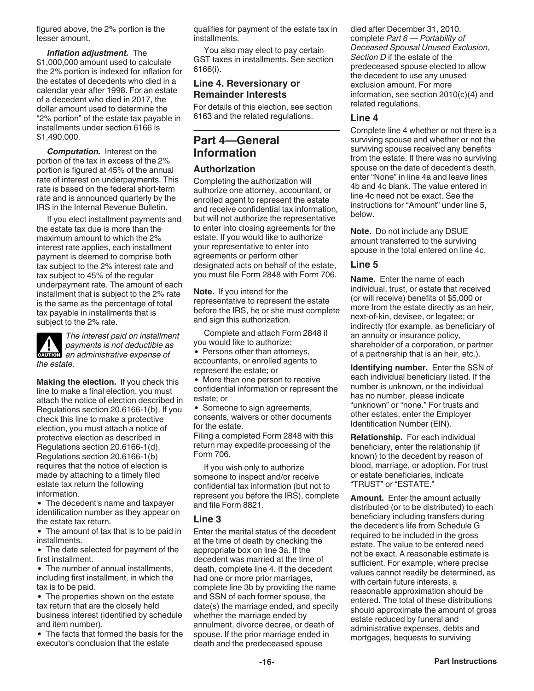<span id="page-15-0"></span>figured above, the 2% portion is the lesser amount.

*Inflation adjustment.* The \$1,000,000 amount used to calculate the 2% portion is indexed for inflation for the estates of decedents who died in a calendar year after 1998. For an estate of a decedent who died in 2017, the dollar amount used to determine the "2% portion" of the estate tax payable in installments under section 6166 is \$1,490,000.

*Computation.* Interest on the portion of the tax in excess of the 2% portion is figured at 45% of the annual rate of interest on underpayments. This rate is based on the federal short-term rate and is announced quarterly by the IRS in the Internal Revenue Bulletin.

If you elect installment payments and the estate tax due is more than the maximum amount to which the 2% interest rate applies, each installment payment is deemed to comprise both tax subject to the 2% interest rate and tax subject to 45% of the regular underpayment rate. The amount of each installment that is subject to the 2% rate is the same as the percentage of total tax payable in installments that is subject to the 2% rate.

*The interest paid on installment payments is not deductible as*  **z** *an administrative expense of the estate.*

**Making the election.** If you check this line to make a final election, you must attach the notice of election described in Regulations section 20.6166-1(b). If you check this line to make a protective election, you must attach a notice of protective election as described in Regulations section 20.6166-1(d). Regulations section 20.6166-1(b) requires that the notice of election is made by attaching to a timely filed estate tax return the following information.

The decedent's name and taxpayer identification number as they appear on the estate tax return.

• The amount of tax that is to be paid in installments.

• The date selected for payment of the first installment.

• The number of annual installments, including first installment, in which the tax is to be paid.

• The properties shown on the estate tax return that are the closely held business interest (identified by schedule and item number).

• The facts that formed the basis for the executor's conclusion that the estate

qualifies for payment of the estate tax in installments.

You also may elect to pay certain GST taxes in installments. See section 6166(i).

#### **Line 4. Reversionary or Remainder Interests**

For details of this election, see section 6163 and the related regulations.

# **Part 4—General Information**

#### **Authorization**

Completing the authorization will authorize one attorney, accountant, or enrolled agent to represent the estate and receive confidential tax information, but will not authorize the representative to enter into closing agreements for the estate. If you would like to authorize your representative to enter into agreements or perform other designated acts on behalf of the estate, you must file Form 2848 with Form 706.

**Note.** If you intend for the representative to represent the estate before the IRS, he or she must complete and sign this authorization.

Complete and attach Form 2848 if you would like to authorize:

• Persons other than attorneys, accountants, or enrolled agents to represent the estate; or

• More than one person to receive confidential information or represent the estate; or

• Someone to sign agreements, consents, waivers or other documents for the estate.

Filing a completed Form 2848 with this return may expedite processing of the Form 706.

If you wish only to authorize someone to inspect and/or receive confidential tax information (but not to represent you before the IRS), complete and file Form 8821.

#### **Line 3**

Enter the marital status of the decedent at the time of death by checking the appropriate box on line 3a. If the decedent was married at the time of death, complete line 4. If the decedent had one or more prior marriages, complete line 3b by providing the name and SSN of each former spouse, the date(s) the marriage ended, and specify whether the marriage ended by annulment, divorce decree, or death of spouse. If the prior marriage ended in death and the predeceased spouse

died after December 31, 2010, complete *Part 6 — Portability of Deceased Spousal Unused Exclusion, Section D* if the estate of the predeceased spouse elected to allow the decedent to use any unused exclusion amount. For more information, see section 2010(c)(4) and related regulations.

#### **Line 4**

Complete line 4 whether or not there is a surviving spouse and whether or not the surviving spouse received any benefits from the estate. If there was no surviving spouse on the date of decedent's death, enter "None" in line 4a and leave lines 4b and 4c blank. The value entered in line 4c need not be exact. See the instructions for "Amount" under line 5, below.

**Note.** Do not include any DSUE amount transferred to the surviving spouse in the total entered on line 4c.

#### **Line 5**

**Name.** Enter the name of each individual, trust, or estate that received (or will receive) benefits of \$5,000 or more from the estate directly as an heir, next-of-kin, devisee, or legatee; or indirectly (for example, as beneficiary of an annuity or insurance policy, shareholder of a corporation, or partner of a partnership that is an heir, etc.).

**Identifying number.** Enter the SSN of each individual beneficiary listed. If the number is unknown, or the individual has no number, please indicate "unknown" or "none." For trusts and other estates, enter the Employer Identification Number (EIN).

**Relationship.** For each individual beneficiary, enter the relationship (if known) to the decedent by reason of blood, marriage, or adoption. For trust or estate beneficiaries, indicate "TRUST" or "ESTATE."

**Amount.** Enter the amount actually distributed (or to be distributed) to each beneficiary including transfers during the decedent's life from Schedule G required to be included in the gross estate. The value to be entered need not be exact. A reasonable estimate is sufficient. For example, where precise values cannot readily be determined, as with certain future interests, a reasonable approximation should be entered. The total of these distributions should approximate the amount of gross estate reduced by funeral and administrative expenses, debts and mortgages, bequests to surviving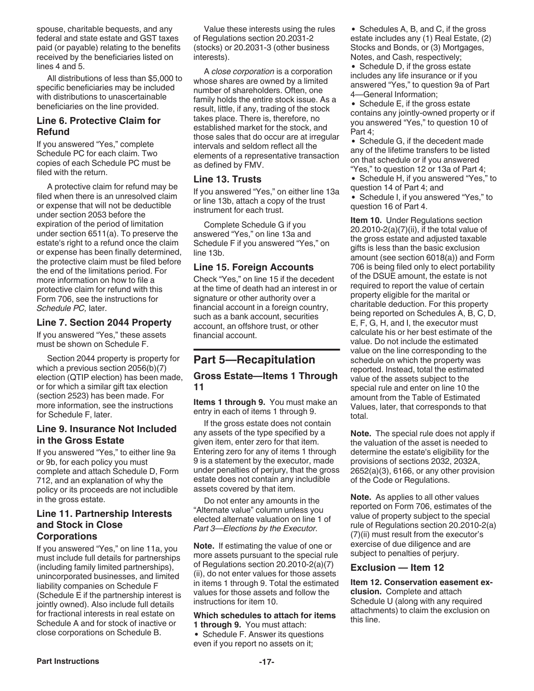<span id="page-16-0"></span>spouse, charitable bequests, and any federal and state estate and GST taxes paid (or payable) relating to the benefits received by the beneficiaries listed on lines 4 and 5.

All distributions of less than \$5,000 to specific beneficiaries may be included with distributions to unascertainable beneficiaries on the line provided.

#### **Line 6. Protective Claim for Refund**

If you answered "Yes," complete Schedule PC for each claim. Two copies of each Schedule PC must be filed with the return.

A protective claim for refund may be filed when there is an unresolved claim or expense that will not be deductible under section 2053 before the expiration of the period of limitation under section 6511(a). To preserve the estate's right to a refund once the claim or expense has been finally determined, the protective claim must be filed before the end of the limitations period. For more information on how to file a protective claim for refund with this Form 706, see the instructions for *Schedule PC,* later.

#### **Line 7. Section 2044 Property**

If you answered "Yes," these assets must be shown on Schedule F.

Section 2044 property is property for which a previous section 2056(b)(7) election (QTIP election) has been made, or for which a similar gift tax election (section 2523) has been made. For more information, see the instructions for Schedule F, later.

#### **Line 9. Insurance Not Included in the Gross Estate**

If you answered "Yes," to either line 9a or 9b, for each policy you must complete and attach Schedule D, Form 712, and an explanation of why the policy or its proceeds are not includible in the gross estate.

#### **Line 11. Partnership Interests and Stock in Close Corporations**

If you answered "Yes," on line 11a, you must include full details for partnerships (including family limited partnerships), unincorporated businesses, and limited liability companies on Schedule F (Schedule E if the partnership interest is jointly owned). Also include full details for fractional interests in real estate on Schedule A and for stock of inactive or close corporations on Schedule B.

Value these interests using the rules of Regulations section 20.2031-2 (stocks) or 20.2031-3 (other business interests).

A *close corporation* is a corporation whose shares are owned by a limited number of shareholders. Often, one family holds the entire stock issue. As a result, little, if any, trading of the stock takes place. There is, therefore, no established market for the stock, and those sales that do occur are at irregular intervals and seldom reflect all the elements of a representative transaction as defined by FMV.

#### **Line 13. Trusts**

If you answered "Yes," on either line 13a or line 13b, attach a copy of the trust instrument for each trust.

Complete Schedule G if you answered "Yes," on line 13a and Schedule F if you answered "Yes," on line 13b.

#### **Line 15. Foreign Accounts**

Check "Yes," on line 15 if the decedent at the time of death had an interest in or signature or other authority over a financial account in a foreign country, such as a bank account, securities account, an offshore trust, or other financial account.

# **Part 5—Recapitulation**

#### **Gross Estate—Items 1 Through 11**

**Items 1 through 9.** You must make an entry in each of items 1 through 9.

If the gross estate does not contain any assets of the type specified by a given item, enter zero for that item. Entering zero for any of items 1 through 9 is a statement by the executor, made under penalties of perjury, that the gross estate does not contain any includible assets covered by that item.

Do not enter any amounts in the "Alternate value" column unless you elected alternate valuation on line 1 of *Part 3—Elections by the Executor.*

**Note.** If estimating the value of one or more assets pursuant to the special rule of Regulations section 20.2010-2(a)(7) (ii), do not enter values for those assets in items 1 through 9. Total the estimated values for those assets and follow the instructions for item 10.

**Which schedules to attach for items 1 through 9.** You must attach: • Schedule F. Answer its questions even if you report no assets on it;

• Schedules A, B, and C, if the gross estate includes any (1) Real Estate, (2) Stocks and Bonds, or (3) Mortgages, Notes, and Cash, respectively;

• Schedule D, if the gross estate includes any life insurance or if you answered "Yes," to question 9a of Part 4—General Information;

• Schedule E, if the gross estate contains any jointly-owned property or if you answered "Yes," to question 10 of Part 4;

• Schedule G, if the decedent made any of the lifetime transfers to be listed on that schedule or if you answered "Yes," to question 12 or 13a of Part 4;

• Schedule H, if you answered "Yes," to question 14 of Part 4; and

• Schedule I, if you answered "Yes," to question 16 of Part 4.

**Item 10.** Under Regulations section 20.2010-2(a)(7)(ii), if the total value of the gross estate and adjusted taxable gifts is less than the basic exclusion amount (see section 6018(a)) and Form 706 is being filed only to elect portability of the DSUE amount, the estate is not required to report the value of certain property eligible for the marital or charitable deduction. For this property being reported on Schedules A, B, C, D, E, F, G, H, and I, the executor must calculate his or her best estimate of the value. Do not include the estimated value on the line corresponding to the schedule on which the property was reported. Instead, total the estimated value of the assets subject to the special rule and enter on line 10 the amount from the Table of Estimated Values, later, that corresponds to that total.

**Note.** The special rule does not apply if the valuation of the asset is needed to determine the estate's eligibility for the provisions of sections 2032, 2032A, 2652(a)(3), 6166, or any other provision of the Code or Regulations.

**Note.** As applies to all other values reported on Form 706, estimates of the value of property subject to the special rule of Regulations section 20.2010-2(a) (7)(ii) must result from the executor's exercise of due diligence and are subject to penalties of perjury.

#### **Exclusion — Item 12**

**Item 12. Conservation easement exclusion.** Complete and attach Schedule U (along with any required attachments) to claim the exclusion on this line.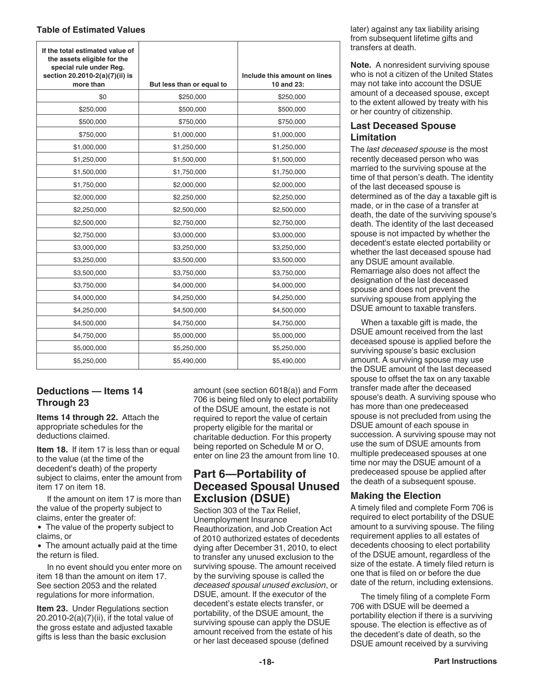#### <span id="page-17-0"></span>**Table of Estimated Values**

| If the total estimated value of<br>the assets eligible for the<br>special rule under Reg.<br>section 20.2010-2(a)(7)(ii) is<br>more than | But less than or equal to | Include this amount on lines<br>10 and 23: |
|------------------------------------------------------------------------------------------------------------------------------------------|---------------------------|--------------------------------------------|
| \$0                                                                                                                                      | \$250,000                 | \$250,000                                  |
| \$250,000                                                                                                                                | \$500,000                 | \$500,000                                  |
| \$500,000                                                                                                                                | \$750,000                 | \$750,000                                  |
| \$750,000                                                                                                                                | \$1,000,000               | \$1,000,000                                |
| \$1,000,000                                                                                                                              | \$1,250,000               | \$1,250,000                                |
| \$1,250,000                                                                                                                              | \$1,500,000               | \$1,500,000                                |
| \$1,500,000                                                                                                                              | \$1,750,000               | \$1,750,000                                |
| \$1,750,000                                                                                                                              | \$2,000,000               | \$2,000,000                                |
| \$2,000,000                                                                                                                              | \$2,250,000               | \$2,250,000                                |
| \$2,250,000                                                                                                                              | \$2,500,000               | \$2,500,000                                |
| \$2,500,000                                                                                                                              | \$2,750,000               | \$2,750,000                                |
| \$2,750,000                                                                                                                              | \$3,000,000               | \$3,000,000                                |
| \$3,000,000                                                                                                                              | \$3,250,000               | \$3,250,000                                |
| \$3,250,000                                                                                                                              | \$3,500,000               | \$3,500,000                                |
| \$3,500,000                                                                                                                              | \$3,750,000               | \$3,750,000                                |
| \$3,750,000                                                                                                                              | \$4,000,000               | \$4,000,000                                |
| \$4,000,000                                                                                                                              | \$4,250,000               | \$4,250,000                                |
| \$4,250,000                                                                                                                              | \$4,500,000               | \$4,500,000                                |
| \$4,500,000                                                                                                                              | \$4,750,000               | \$4,750,000                                |
| \$4,750,000                                                                                                                              | \$5,000,000               | \$5,000,000                                |
| \$5,000,000                                                                                                                              | \$5,250,000               | \$5,250,000                                |
| \$5,250,000                                                                                                                              | \$5,490,000               | \$5,490,000                                |

# **Deductions — Items 14 Through 23**

**Items 14 through 22.** Attach the appropriate schedules for the deductions claimed.

**Item 18.** If item 17 is less than or equal to the value (at the time of the decedent's death) of the property subject to claims, enter the amount from item 17 on item 18.

If the amount on item 17 is more than the value of the property subject to claims, enter the greater of:

• The value of the property subject to claims, or

The amount actually paid at the time the return is filed.

In no event should you enter more on item 18 than the amount on item 17. See section 2053 and the related regulations for more information.

**Item 23.** Under Regulations section  $20.2010-2(a)(7)$ (ii), if the total value of the gross estate and adjusted taxable gifts is less than the basic exclusion

amount (see section 6018(a)) and Form 706 is being filed only to elect portability of the DSUE amount, the estate is not required to report the value of certain property eligible for the marital or charitable deduction. For this property being reported on Schedule M or O, enter on line 23 the amount from line 10.

# **Part 6—Portability of Deceased Spousal Unused Exclusion (DSUE)**

Section 303 of the Tax Relief, Unemployment Insurance Reauthorization, and Job Creation Act of 2010 authorized estates of decedents dying after December 31, 2010, to elect to transfer any unused exclusion to the surviving spouse. The amount received by the surviving spouse is called the *deceased spousal unused exclusion*, or DSUE, amount. If the executor of the decedent's estate elects transfer, or portability, of the DSUE amount, the surviving spouse can apply the DSUE amount received from the estate of his or her last deceased spouse (defined

later) against any tax liability arising from subsequent lifetime gifts and transfers at death.

**Note.** A nonresident surviving spouse who is not a citizen of the United States may not take into account the DSUE amount of a deceased spouse, except to the extent allowed by treaty with his or her country of citizenship.

### **Last Deceased Spouse Limitation**

The *last deceased spouse* is the most recently deceased person who was married to the surviving spouse at the time of that person's death. The identity of the last deceased spouse is determined as of the day a taxable gift is made, or in the case of a transfer at death, the date of the surviving spouse's death. The identity of the last deceased spouse is not impacted by whether the decedent's estate elected portability or whether the last deceased spouse had any DSUE amount available. Remarriage also does not affect the designation of the last deceased spouse and does not prevent the surviving spouse from applying the DSUE amount to taxable transfers.

When a taxable gift is made, the DSUE amount received from the last deceased spouse is applied before the surviving spouse's basic exclusion amount. A surviving spouse may use the DSUE amount of the last deceased spouse to offset the tax on any taxable transfer made after the deceased spouse's death. A surviving spouse who has more than one predeceased spouse is not precluded from using the DSUE amount of each spouse in succession. A surviving spouse may not use the sum of DSUE amounts from multiple predeceased spouses at one time nor may the DSUE amount of a predeceased spouse be applied after the death of a subsequent spouse.

# **Making the Election**

A timely filed and complete Form 706 is required to elect portability of the DSUE amount to a surviving spouse. The filing requirement applies to all estates of decedents choosing to elect portability of the DSUE amount, regardless of the size of the estate. A timely filed return is one that is filed on or before the due date of the return, including extensions.

The timely filing of a complete Form 706 with DSUE will be deemed a portability election if there is a surviving spouse. The election is effective as of the decedent's date of death, so the DSUE amount received by a surviving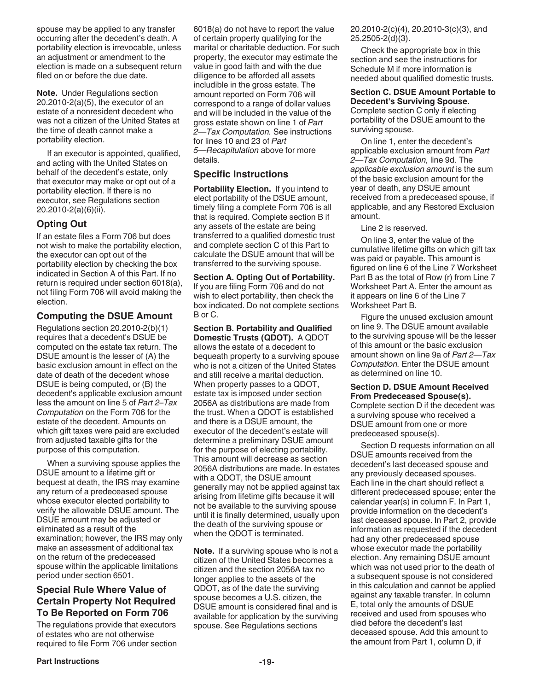<span id="page-18-0"></span>spouse may be applied to any transfer occurring after the decedent's death. A portability election is irrevocable, unless an adjustment or amendment to the election is made on a subsequent return filed on or before the due date.

**Note.** Under Regulations section 20.2010-2(a)(5), the executor of an estate of a nonresident decedent who was not a citizen of the United States at the time of death cannot make a portability election.

If an executor is appointed, qualified, and acting with the United States on behalf of the decedent's estate, only that executor may make or opt out of a portability election. If there is no executor, see Regulations section 20.2010-2(a)(6)(ii).

#### **Opting Out**

If an estate files a Form 706 but does not wish to make the portability election, the executor can opt out of the portability election by checking the box indicated in Section A of this Part. If no return is required under section 6018(a), not filing Form 706 will avoid making the election.

#### **Computing the DSUE Amount**

Regulations section 20.2010-2(b)(1) requires that a decedent's DSUE be computed on the estate tax return. The DSUE amount is the lesser of (A) the basic exclusion amount in effect on the date of death of the decedent whose DSUE is being computed, or (B) the decedent's applicable exclusion amount less the amount on line 5 of *Part 2–Tax Computation* on the Form 706 for the estate of the decedent. Amounts on which gift taxes were paid are excluded from adjusted taxable gifts for the purpose of this computation.

When a surviving spouse applies the DSUE amount to a lifetime gift or bequest at death, the IRS may examine any return of a predeceased spouse whose executor elected portability to verify the allowable DSUE amount. The DSUE amount may be adjusted or eliminated as a result of the examination; however, the IRS may only make an assessment of additional tax on the return of the predeceased spouse within the applicable limitations period under section 6501.

### **Special Rule Where Value of Certain Property Not Required To Be Reported on Form 706**

The regulations provide that executors of estates who are not otherwise required to file Form 706 under section 6018(a) do not have to report the value of certain property qualifying for the marital or charitable deduction. For such property, the executor may estimate the value in good faith and with the due diligence to be afforded all assets includible in the gross estate. The amount reported on Form 706 will correspond to a range of dollar values and will be included in the value of the gross estate shown on line 1 of *Part 2—Tax Computation.* See instructions for lines 10 and 23 of *Part 5—Recapitulation* above for more details.

#### **Specific Instructions**

**Portability Election.** If you intend to elect portability of the DSUE amount, timely filing a complete Form 706 is all that is required. Complete section B if any assets of the estate are being transferred to a qualified domestic trust and complete section C of this Part to calculate the DSUE amount that will be transferred to the surviving spouse.

**Section A. Opting Out of Portability.**  If you are filing Form 706 and do not wish to elect portability, then check the box indicated. Do not complete sections B or C.

**Section B. Portability and Qualified Domestic Trusts (QDOT).** A QDOT allows the estate of a decedent to bequeath property to a surviving spouse who is not a citizen of the United States and still receive a marital deduction. When property passes to a QDOT, estate tax is imposed under section 2056A as distributions are made from the trust. When a QDOT is established and there is a DSUE amount, the executor of the decedent's estate will determine a preliminary DSUE amount for the purpose of electing portability. This amount will decrease as section 2056A distributions are made. In estates with a QDOT, the DSUE amount generally may not be applied against tax arising from lifetime gifts because it will not be available to the surviving spouse until it is finally determined, usually upon the death of the surviving spouse or when the QDOT is terminated.

**Note.** If a surviving spouse who is not a citizen of the United States becomes a citizen and the section 2056A tax no longer applies to the assets of the QDOT, as of the date the surviving spouse becomes a U.S. citizen, the DSUE amount is considered final and is available for application by the surviving spouse. See Regulations sections

20.2010-2(c)(4), 20.2010-3(c)(3), and 25.2505-2(d)(3).

Check the appropriate box in this section and see the instructions for Schedule M if more information is needed about qualified domestic trusts.

#### **Section C. DSUE Amount Portable to Decedent's Surviving Spouse.**

Complete section C only if electing portability of the DSUE amount to the surviving spouse.

On line 1, enter the decedent's applicable exclusion amount from *Part 2—Tax Computation,* line 9d. The *applicable exclusion amount* is the sum of the basic exclusion amount for the year of death, any DSUE amount received from a predeceased spouse, if applicable, and any Restored Exclusion amount.

Line 2 is reserved.

On line 3, enter the value of the cumulative lifetime gifts on which gift tax was paid or payable. This amount is figured on line 6 of the Line 7 Worksheet Part B as the total of Row (r) from Line 7 Worksheet Part A. Enter the amount as it appears on line 6 of the Line 7 Worksheet Part B.

Figure the unused exclusion amount on line 9. The DSUE amount available to the surviving spouse will be the lesser of this amount or the basic exclusion amount shown on line 9a of *Part 2—Tax Computation.* Enter the DSUE amount as determined on line 10.

#### **Section D. DSUE Amount Received From Predeceased Spouse(s).**  Complete section D if the decedent was a surviving spouse who received a DSUE amount from one or more predeceased spouse(s).

Section D requests information on all DSUE amounts received from the decedent's last deceased spouse and any previously deceased spouses. Each line in the chart should reflect a different predeceased spouse; enter the calendar year(s) in column F. In Part 1, provide information on the decedent's last deceased spouse. In Part 2, provide information as requested if the decedent had any other predeceased spouse whose executor made the portability election. Any remaining DSUE amount which was not used prior to the death of a subsequent spouse is not considered in this calculation and cannot be applied against any taxable transfer. In column E, total only the amounts of DSUE received and used from spouses who died before the decedent's last deceased spouse. Add this amount to the amount from Part 1, column D, if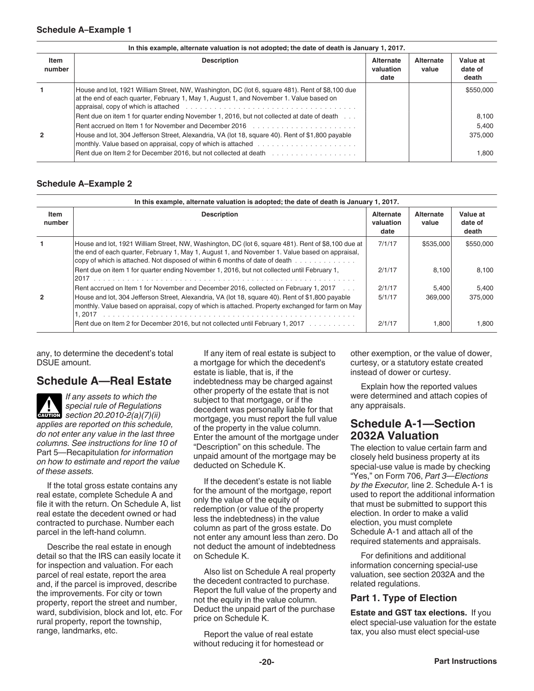#### <span id="page-19-0"></span>**Schedule A–Example 1**

|                | In this example, alternate valuation is not adopted; the date of death is January 1, 2017.                                                                                                                          |                                |                    |                              |  |  |
|----------------|---------------------------------------------------------------------------------------------------------------------------------------------------------------------------------------------------------------------|--------------------------------|--------------------|------------------------------|--|--|
| Item<br>number | <b>Description</b>                                                                                                                                                                                                  | Alternate<br>valuation<br>date | Alternate<br>value | Value at<br>date of<br>death |  |  |
|                | House and lot, 1921 William Street, NW, Washington, DC (lot 6, square 481). Rent of \$8,100 due<br>at the end of each quarter, February 1, May 1, August 1, and November 1. Value based on                          |                                |                    | \$550,000                    |  |  |
|                | Rent due on item 1 for quarter ending November 1, 2016, but not collected at date of death                                                                                                                          |                                |                    | 8.100                        |  |  |
|                | Rent accrued on Item 1 for November and December 2016                                                                                                                                                               |                                |                    | 5.400                        |  |  |
| $\overline{2}$ | House and lot, 304 Jefferson Street, Alexandria, VA (lot 18, square 40). Rent of \$1,800 payable<br>monthly. Value based on appraisal, copy of which is attached $\ldots \ldots \ldots \ldots \ldots \ldots \ldots$ |                                |                    | 375,000                      |  |  |
|                | Rent due on Item 2 for December 2016, but not collected at death response to the only the control of                                                                                                                |                                |                    | 1.800                        |  |  |

#### **Schedule A–Example 2**

|                | In this example, alternate valuation is adopted; the date of death is January 1, 2017.                                                                                                                                                                                                                             |                                       |                           |                              |  |  |  |
|----------------|--------------------------------------------------------------------------------------------------------------------------------------------------------------------------------------------------------------------------------------------------------------------------------------------------------------------|---------------------------------------|---------------------------|------------------------------|--|--|--|
| Item<br>number | <b>Description</b>                                                                                                                                                                                                                                                                                                 | <b>Alternate</b><br>valuation<br>date | <b>Alternate</b><br>value | Value at<br>date of<br>death |  |  |  |
|                | House and lot, 1921 William Street, NW, Washington, DC (lot 6, square 481). Rent of \$8,100 due at<br>the end of each quarter, February 1, May 1, August 1, and November 1. Value based on appraisal,<br>copy of which is attached. Not disposed of within 6 months of date of death $\ldots \ldots \ldots \ldots$ | 7/1/17                                | \$535,000                 | \$550,000                    |  |  |  |
|                | Rent due on item 1 for quarter ending November 1, 2016, but not collected until February 1,                                                                                                                                                                                                                        | 2/1/17                                | 8.100                     | 8.100                        |  |  |  |
|                | Rent accrued on Item 1 for November and December 2016, collected on February 1, 2017                                                                                                                                                                                                                               | 2/1/17                                | 5.400                     | 5.400                        |  |  |  |
| $\overline{2}$ | House and lot, 304 Jefferson Street, Alexandria, VA (lot 18, square 40). Rent of \$1,800 payable<br>monthly. Value based on appraisal, copy of which is attached. Property exchanged for farm on May<br>1. 2017                                                                                                    | 5/1/17                                | 369,000                   | 375,000                      |  |  |  |
|                | Rent due on Item 2 for December 2016, but not collected until February 1, 2017                                                                                                                                                                                                                                     | 2/1/17                                | 1.800                     | 1.800                        |  |  |  |

any, to determine the decedent's total DSUE amount.

# **Schedule A—Real Estate**

*If any assets to which the special rule of Regulations*  **Special rule of Regulations**<br> **Section 20.2010-2(a)(7)(ii)** *applies are reported on this schedule, do not enter any value in the last three columns. See instructions for line 10 of*  Part 5—Recapitulation *for information on how to estimate and report the value of these assets.*

If the total gross estate contains any real estate, complete Schedule A and file it with the return. On Schedule A, list real estate the decedent owned or had contracted to purchase. Number each parcel in the left-hand column.

Describe the real estate in enough detail so that the IRS can easily locate it for inspection and valuation. For each parcel of real estate, report the area and, if the parcel is improved, describe the improvements. For city or town property, report the street and number, ward, subdivision, block and lot, etc. For rural property, report the township, range, landmarks, etc.

If any item of real estate is subject to a mortgage for which the decedent's estate is liable, that is, if the indebtedness may be charged against other property of the estate that is not subject to that mortgage, or if the decedent was personally liable for that mortgage, you must report the full value of the property in the value column. Enter the amount of the mortgage under "Description" on this schedule. The unpaid amount of the mortgage may be deducted on Schedule K.

If the decedent's estate is not liable for the amount of the mortgage, report only the value of the equity of redemption (or value of the property less the indebtedness) in the value column as part of the gross estate. Do not enter any amount less than zero. Do not deduct the amount of indebtedness on Schedule K.

Also list on Schedule A real property the decedent contracted to purchase. Report the full value of the property and not the equity in the value column. Deduct the unpaid part of the purchase price on Schedule K.

Report the value of real estate without reducing it for homestead or other exemption, or the value of dower, curtesy, or a statutory estate created instead of dower or curtesy.

Explain how the reported values were determined and attach copies of any appraisals.

# **Schedule A-1—Section 2032A Valuation**

The election to value certain farm and closely held business property at its special-use value is made by checking "Yes," on Form 706, *Part 3—Elections by the Executor,* line 2. Schedule A-1 is used to report the additional information that must be submitted to support this election. In order to make a valid election, you must complete Schedule A-1 and attach all of the required statements and appraisals.

For definitions and additional information concerning special-use valuation, see section 2032A and the related regulations.

### **Part 1. Type of Election**

**Estate and GST tax elections.** If you elect special-use valuation for the estate tax, you also must elect special-use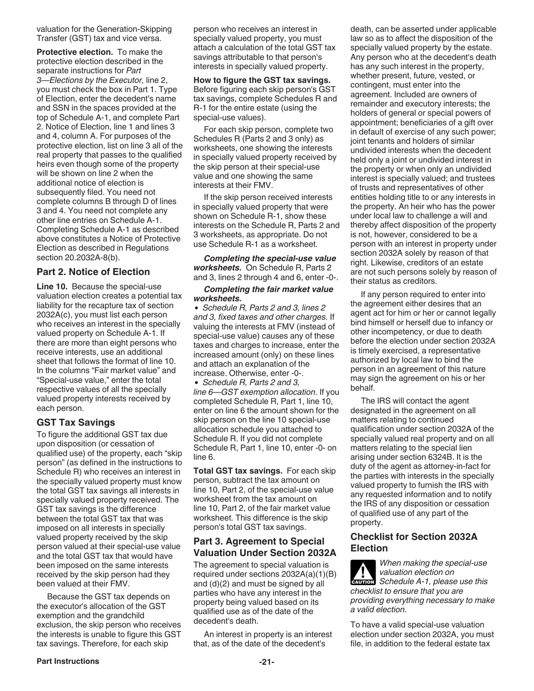valuation for the Generation-Skipping Transfer (GST) tax and vice versa.

**Protective election.** To make the protective election described in the separate instructions for *Part 3—Elections by the Executor,* line 2, you must check the box in Part 1. Type of Election, enter the decedent's name and SSN in the spaces provided at the top of Schedule A-1, and complete Part 2. Notice of Election, line 1 and lines 3 and 4, column A. For purposes of the protective election, list on line 3 all of the real property that passes to the qualified heirs even though some of the property will be shown on line 2 when the additional notice of election is subsequently filed. You need not complete columns B through D of lines 3 and 4. You need not complete any other line entries on Schedule A-1. Completing Schedule A-1 as described above constitutes a Notice of Protective Election as described in Regulations section 20.2032A-8(b).

#### **Part 2. Notice of Election**

**Line 10.** Because the special-use valuation election creates a potential tax liability for the recapture tax of section 2032A(c), you must list each person who receives an interest in the specially valued property on Schedule A-1. If there are more than eight persons who receive interests, use an additional sheet that follows the format of line 10. In the columns "Fair market value" and "Special-use value," enter the total respective values of all the specially valued property interests received by each person.

### **GST Tax Savings**

To figure the additional GST tax due upon disposition (or cessation of qualified use) of the property, each "skip person" (as defined in the instructions to Schedule R) who receives an interest in the specially valued property must know the total GST tax savings all interests in specially valued property received. The GST tax savings is the difference between the total GST tax that was imposed on all interests in specially valued property received by the skip person valued at their special-use value and the total GST tax that would have been imposed on the same interests received by the skip person had they been valued at their FMV.

Because the GST tax depends on the executor's allocation of the GST exemption and the grandchild exclusion, the skip person who receives the interests is unable to figure this GST tax savings. Therefore, for each skip

person who receives an interest in specially valued property, you must attach a calculation of the total GST tax savings attributable to that person's interests in specially valued property.

**How to figure the GST tax savings.**  Before figuring each skip person's GST tax savings, complete Schedules R and R-1 for the entire estate (using the special-use values).

For each skip person, complete two Schedules R (Parts 2 and 3 only) as worksheets, one showing the interests in specially valued property received by the skip person at their special-use value and one showing the same interests at their FMV.

If the skip person received interests in specially valued property that were shown on Schedule R-1, show these interests on the Schedule R, Parts 2 and 3 worksheets, as appropriate. Do not use Schedule R-1 as a worksheet.

*Completing the special-use value worksheets.* On Schedule R, Parts 2 and 3, lines 2 through 4 and 6, enter -0-.

#### *Completing the fair market value worksheets.*

*Schedule R, Parts 2 and 3, lines 2 and 3, fixed taxes and other charges.* If valuing the interests at FMV (instead of special-use value) causes any of these taxes and charges to increase, enter the increased amount (only) on these lines and attach an explanation of the increase. Otherwise, enter -0-.

*Schedule R, Parts 2 and 3, line 6—GST exemption allocation.* If you completed Schedule R, Part 1, line 10, enter on line 6 the amount shown for the skip person on the line 10 special-use allocation schedule you attached to Schedule R. If you did not complete Schedule R, Part 1, line 10, enter -0- on line 6.

**Total GST tax savings.** For each skip person, subtract the tax amount on line 10, Part 2, of the special-use value worksheet from the tax amount on line 10, Part 2, of the fair market value worksheet. This difference is the skip person's total GST tax savings.

### **Part 3. Agreement to Special Valuation Under Section 2032A**

The agreement to special valuation is required under sections 2032A(a)(1)(B) and (d)(2) and must be signed by all parties who have any interest in the property being valued based on its qualified use as of the date of the decedent's death.

An interest in property is an interest that, as of the date of the decedent's

death, can be asserted under applicable law so as to affect the disposition of the specially valued property by the estate. Any person who at the decedent's death has any such interest in the property, whether present, future, vested, or contingent, must enter into the agreement. Included are owners of remainder and executory interests; the holders of general or special powers of appointment; beneficiaries of a gift over in default of exercise of any such power; joint tenants and holders of similar undivided interests when the decedent held only a joint or undivided interest in the property or when only an undivided interest is specially valued; and trustees of trusts and representatives of other entities holding title to or any interests in the property. An heir who has the power under local law to challenge a will and thereby affect disposition of the property is not, however, considered to be a person with an interest in property under section 2032A solely by reason of that right. Likewise, creditors of an estate are not such persons solely by reason of their status as creditors.

If any person required to enter into the agreement either desires that an agent act for him or her or cannot legally bind himself or herself due to infancy or other incompetency, or due to death before the election under section 2032A is timely exercised, a representative authorized by local law to bind the person in an agreement of this nature may sign the agreement on his or her behalf.

The IRS will contact the agent designated in the agreement on all matters relating to continued qualification under section 2032A of the specially valued real property and on all matters relating to the special lien arising under section 6324B. It is the duty of the agent as attorney-in-fact for the parties with interests in the specially valued property to furnish the IRS with any requested information and to notify the IRS of any disposition or cessation of qualified use of any part of the property.

#### **Checklist for Section 2032A Election**

*When making the special-use valuation election on*  **CAUTION** Schedule A-1, please use this *checklist to ensure that you are providing everything necessary to make a valid election.*

To have a valid special-use valuation election under section 2032A, you must file, in addition to the federal estate tax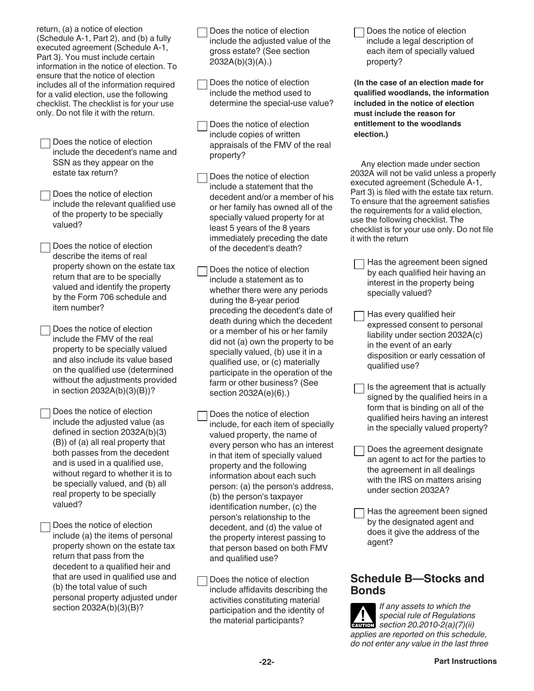<span id="page-21-0"></span>Does the notice of election include the decedent's name and SSN as they appear on the estate tax return?

Does the notice of election include the relevant qualified use of the property to be specially valued?

- Does the notice of election describe the items of real property shown on the estate tax return that are to be specially valued and identify the property by the Form 706 schedule and item number?
- Does the notice of election include the FMV of the real property to be specially valued and also include its value based on the qualified use (determined without the adjustments provided in section 2032A(b)(3)(B))?
- Does the notice of election include the adjusted value (as defined in section 2032A(b)(3) (B)) of (a) all real property that both passes from the decedent and is used in a qualified use, without regard to whether it is to be specially valued, and (b) all real property to be specially valued?
- Does the notice of election include (a) the items of personal property shown on the estate tax return that pass from the decedent to a qualified heir and that are used in qualified use and (b) the total value of such personal property adjusted under section 2032A(b)(3)(B)?
- Does the notice of election include the adjusted value of the gross estate? (See section 2032A(b)(3)(A).)
- Does the notice of election include the method used to determine the special-use value?
- Does the notice of election include copies of written appraisals of the FMV of the real property?
- Does the notice of election include a statement that the decedent and/or a member of his or her family has owned all of the specially valued property for at least 5 years of the 8 years immediately preceding the date of the decedent's death?
- Does the notice of election include a statement as to whether there were any periods during the 8-year period preceding the decedent's date of death during which the decedent or a member of his or her family did not (a) own the property to be specially valued, (b) use it in a qualified use, or (c) materially participate in the operation of the farm or other business? (See section 2032A(e)(6).)
- Does the notice of election include, for each item of specially valued property, the name of every person who has an interest in that item of specially valued property and the following information about each such person: (a) the person's address, (b) the person's taxpayer identification number, (c) the person's relationship to the decedent, and (d) the value of the property interest passing to that person based on both FMV and qualified use?
- Does the notice of election include affidavits describing the activities constituting material participation and the identity of the material participants?

Does the notice of election include a legal description of each item of specially valued property?

**(In the case of an election made for qualified woodlands, the information included in the notice of election must include the reason for entitlement to the woodlands election.)**

Any election made under section 2032A will not be valid unless a properly executed agreement (Schedule A-1, Part 3) is filed with the estate tax return. To ensure that the agreement satisfies the requirements for a valid election, use the following checklist. The checklist is for your use only. Do not file it with the return

- Has the agreement been signed by each qualified heir having an interest in the property being specially valued?
- Has every qualified heir expressed consent to personal liability under section 2032A(c) in the event of an early disposition or early cessation of qualified use?
- Is the agreement that is actually signed by the qualified heirs in a form that is binding on all of the qualified heirs having an interest in the specially valued property?
- Does the agreement designate an agent to act for the parties to the agreement in all dealings with the IRS on matters arising under section 2032A?
- Has the agreement been signed by the designated agent and does it give the address of the agent?

# **Schedule B—Stocks and Bonds**

*If any assets to which the special rule of Regulations*  **c** special rule of Regulations<br> **Section 20.2010-2(a)(7)(ii)** *applies are reported on this schedule, do not enter any value in the last three*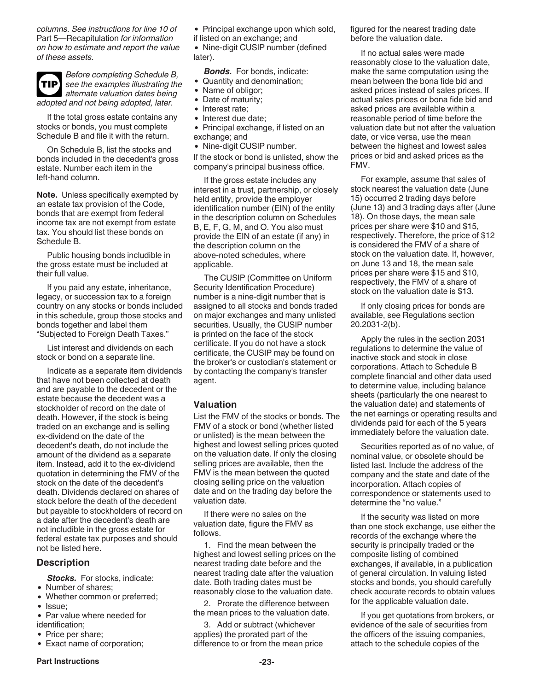*columns. See instructions for line 10 of*  Part 5—Recapitulation *for information on how to estimate and report the value of these assets.*



*Before completing Schedule B, see the examples illustrating the alternate valuation dates being adopted and not being adopted, later.*

If the total gross estate contains any stocks or bonds, you must complete Schedule B and file it with the return.

On Schedule B, list the stocks and bonds included in the decedent's gross estate. Number each item in the left-hand column.

**Note.** Unless specifically exempted by an estate tax provision of the Code, bonds that are exempt from federal income tax are not exempt from estate tax. You should list these bonds on Schedule B.

Public housing bonds includible in the gross estate must be included at their full value.

If you paid any estate, inheritance, legacy, or succession tax to a foreign country on any stocks or bonds included in this schedule, group those stocks and bonds together and label them "Subjected to Foreign Death Taxes."

List interest and dividends on each stock or bond on a separate line.

Indicate as a separate item dividends that have not been collected at death and are payable to the decedent or the estate because the decedent was a stockholder of record on the date of death. However, if the stock is being traded on an exchange and is selling ex-dividend on the date of the decedent's death, do not include the amount of the dividend as a separate item. Instead, add it to the ex-dividend quotation in determining the FMV of the stock on the date of the decedent's death. Dividends declared on shares of stock before the death of the decedent but payable to stockholders of record on a date after the decedent's death are not includible in the gross estate for federal estate tax purposes and should not be listed here.

#### **Description**

**Stocks.** For stocks, indicate:

- Number of shares:
- Whether common or preferred; • Issue:
- Par value where needed for identification;
- Price per share;
- Exact name of corporation;
- Principal exchange upon which sold,
- if listed on an exchange; and

• Nine-digit CUSIP number (defined later).

*Bonds.* For bonds, indicate: Quantity and denomination;

- Name of obligor;
- Date of maturity;
- Interest rate:
- Interest due date;
- Principal exchange, if listed on an exchange; and
- Nine-digit CUSIP number.

If the stock or bond is unlisted, show the company's principal business office.

If the gross estate includes any interest in a trust, partnership, or closely held entity, provide the employer identification number (EIN) of the entity in the description column on Schedules B, E, F, G, M, and O. You also must provide the EIN of an estate (if any) in the description column on the above-noted schedules, where applicable.

The CUSIP (Committee on Uniform Security Identification Procedure) number is a nine-digit number that is assigned to all stocks and bonds traded on major exchanges and many unlisted securities. Usually, the CUSIP number is printed on the face of the stock certificate. If you do not have a stock certificate, the CUSIP may be found on the broker's or custodian's statement or by contacting the company's transfer agent.

#### **Valuation**

List the FMV of the stocks or bonds. The FMV of a stock or bond (whether listed or unlisted) is the mean between the highest and lowest selling prices quoted on the valuation date. If only the closing selling prices are available, then the FMV is the mean between the quoted closing selling price on the valuation date and on the trading day before the valuation date.

If there were no sales on the valuation date, figure the FMV as follows.

1. Find the mean between the highest and lowest selling prices on the nearest trading date before and the nearest trading date after the valuation date. Both trading dates must be reasonably close to the valuation date.

2. Prorate the difference between the mean prices to the valuation date.

3. Add or subtract (whichever applies) the prorated part of the difference to or from the mean price figured for the nearest trading date before the valuation date.

If no actual sales were made reasonably close to the valuation date, make the same computation using the mean between the bona fide bid and asked prices instead of sales prices. If actual sales prices or bona fide bid and asked prices are available within a reasonable period of time before the valuation date but not after the valuation date, or vice versa, use the mean between the highest and lowest sales prices or bid and asked prices as the FMV.

For example, assume that sales of stock nearest the valuation date (June 15) occurred 2 trading days before (June 13) and 3 trading days after (June 18). On those days, the mean sale prices per share were \$10 and \$15, respectively. Therefore, the price of \$12 is considered the FMV of a share of stock on the valuation date. If, however, on June 13 and 18, the mean sale prices per share were \$15 and \$10, respectively, the FMV of a share of stock on the valuation date is \$13.

If only closing prices for bonds are available, see Regulations section 20.2031-2(b).

Apply the rules in the section 2031 regulations to determine the value of inactive stock and stock in close corporations. Attach to Schedule B complete financial and other data used to determine value, including balance sheets (particularly the one nearest to the valuation date) and statements of the net earnings or operating results and dividends paid for each of the 5 years immediately before the valuation date.

Securities reported as of no value, of nominal value, or obsolete should be listed last. Include the address of the company and the state and date of the incorporation. Attach copies of correspondence or statements used to determine the "no value."

If the security was listed on more than one stock exchange, use either the records of the exchange where the security is principally traded or the composite listing of combined exchanges, if available, in a publication of general circulation. In valuing listed stocks and bonds, you should carefully check accurate records to obtain values for the applicable valuation date.

If you get quotations from brokers, or evidence of the sale of securities from the officers of the issuing companies, attach to the schedule copies of the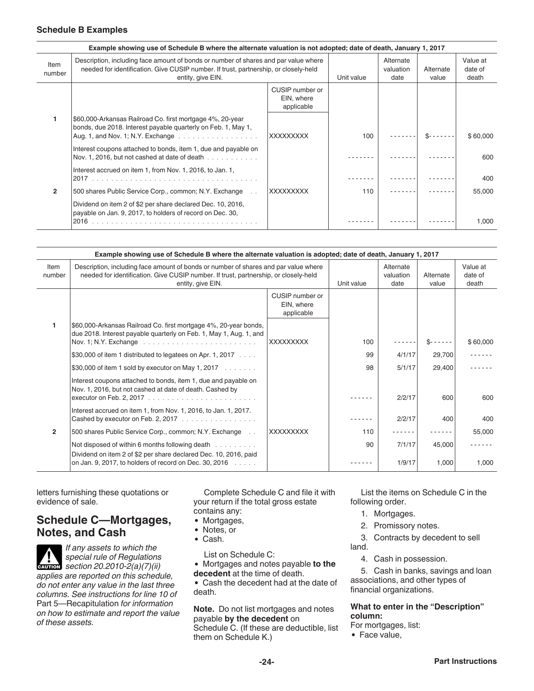#### <span id="page-23-0"></span>**Schedule B Examples**

| Example showing use of Schedule B where the alternate valuation is not adopted; date of death, January 1, 2017 |                                                                                                                                                                                                      |                  |     |                                |                    |                              |
|----------------------------------------------------------------------------------------------------------------|------------------------------------------------------------------------------------------------------------------------------------------------------------------------------------------------------|------------------|-----|--------------------------------|--------------------|------------------------------|
| Item<br>number                                                                                                 | Description, including face amount of bonds or number of shares and par value where<br>needed for identification. Give CUSIP number. If trust, partnership, or closely-held<br>entity, give EIN.     |                  |     | Alternate<br>valuation<br>date | Alternate<br>value | Value at<br>date of<br>death |
|                                                                                                                | CUSIP number or<br>EIN, where<br>applicable                                                                                                                                                          |                  |     |                                |                    |                              |
|                                                                                                                | \$60,000-Arkansas Railroad Co. first mortgage 4%, 20-year<br>bonds, due 2018. Interest payable quarterly on Feb. 1, May 1,<br>Aug. 1, and Nov. 1; N.Y. Exchange $\ldots \ldots \ldots \ldots \ldots$ | XXXXXXXXX        | 100 |                                |                    | \$60,000                     |
|                                                                                                                | Interest coupons attached to bonds, item 1, due and payable on<br>Nov. 1, 2016, but not cashed at date of death                                                                                      |                  |     |                                |                    | 600                          |
|                                                                                                                | Interest accrued on item 1, from Nov. 1, 2016, to Jan. 1,                                                                                                                                            |                  |     |                                |                    | 400                          |
| $\overline{2}$                                                                                                 | 500 shares Public Service Corp., common; N.Y. Exchange                                                                                                                                               | <b>XXXXXXXXX</b> | 110 |                                |                    | 55,000                       |
|                                                                                                                | Dividend on item 2 of \$2 per share declared Dec. 10, 2016,<br>payable on Jan. 9, 2017, to holders of record on Dec. 30,                                                                             |                  |     |                                |                    | 1,000                        |

| Example showing use of Schedule B where the alternate valuation is adopted; date of death, January 1, 2017 |                                                                                                                                                                                                                                  |                  |     |                                |                    |                              |
|------------------------------------------------------------------------------------------------------------|----------------------------------------------------------------------------------------------------------------------------------------------------------------------------------------------------------------------------------|------------------|-----|--------------------------------|--------------------|------------------------------|
| Item<br>number                                                                                             | Description, including face amount of bonds or number of shares and par value where<br>needed for identification. Give CUSIP number. If trust, partnership, or closely-held<br>entity, give EIN.                                 |                  |     | Alternate<br>valuation<br>date | Alternate<br>value | Value at<br>date of<br>death |
|                                                                                                            |                                                                                                                                                                                                                                  |                  |     |                                |                    |                              |
|                                                                                                            | \$60,000-Arkansas Railroad Co. first mortgage 4%, 20-year bonds,<br>due 2018. Interest payable quarterly on Feb. 1, May 1, Aug. 1, and<br>Nov. 1; N.Y. Exchange $\ldots \ldots \ldots \ldots \ldots \ldots \ldots \ldots \ldots$ | XXXXXXXXX        | 100 |                                | $S- - - - - -$     | \$60,000                     |
|                                                                                                            | \$30,000 of item 1 distributed to legatees on Apr. 1, 2017                                                                                                                                                                       |                  | 99  | 4/1/17                         | 29,700             |                              |
|                                                                                                            | \$30,000 of item 1 sold by executor on May 1, 2017                                                                                                                                                                               |                  | 98  | 5/1/17                         | 29,400             |                              |
|                                                                                                            | Interest coupons attached to bonds, item 1, due and payable on<br>Nov. 1, 2016, but not cashed at date of death. Cashed by                                                                                                       |                  |     | 2/2/17                         | 600                | 600                          |
|                                                                                                            | Interest accrued on item 1, from Nov. 1, 2016, to Jan. 1, 2017.                                                                                                                                                                  |                  |     | 2/2/17                         | 400                | 400                          |
| $\overline{2}$                                                                                             | 500 shares Public Service Corp., common; N.Y. Exchange                                                                                                                                                                           | <b>XXXXXXXXX</b> | 110 |                                |                    | 55,000                       |
|                                                                                                            | Not disposed of within 6 months following death<br>Dividend on item 2 of \$2 per share declared Dec. 10, 2016, paid                                                                                                              |                  | 90  | 7/1/17                         | 45,000             |                              |
|                                                                                                            | on Jan. 9, 2017, to holders of record on Dec. 30, 2016                                                                                                                                                                           |                  |     | 1/9/17                         | 1.000              | 1.000                        |

letters furnishing these quotations or evidence of sale.

# **Schedule C—Mortgages, Notes, and Cash**



*If any assets to which the special rule of Regulations*  **c** special rule of Regulations<br> **Section 20.2010-2(a)(7)(ii)** 

*applies are reported on this schedule, do not enter any value in the last three columns. See instructions for line 10 of*  Part 5—Recapitulation *for information on how to estimate and report the value of these assets.*

Complete Schedule C and file it with your return if the total gross estate contains any:

- Mortgages,
- Notes, or
- Cash.

List on Schedule C:

- Mortgages and notes payable **to the**
- **decedent** at the time of death.

Cash the decedent had at the date of death.

**Note.** Do not list mortgages and notes payable **by the decedent** on Schedule C. (If these are deductible, list them on Schedule K.)

List the items on Schedule C in the following order.

- 1. Mortgages.
- 2. Promissory notes.

3. Contracts by decedent to sell land.

4. Cash in possession.

5. Cash in banks, savings and loan associations, and other types of financial organizations.

#### **What to enter in the "Description" column:**

For mortgages, list:

• Face value,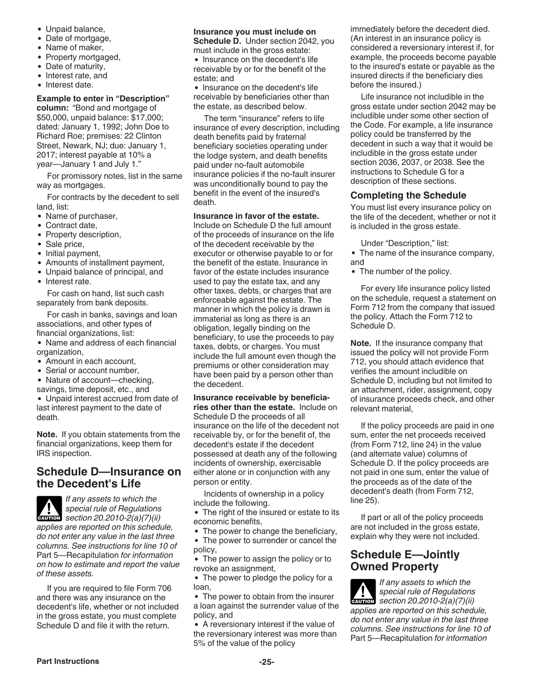- <span id="page-24-0"></span>Unpaid balance,
- Date of mortgage,
- Name of maker,
- Property mortgaged,
- Date of maturity,
- Interest rate, and
- Interest date.

#### **Example to enter in "Description"**

**column:** "Bond and mortgage of \$50,000, unpaid balance: \$17,000; dated: January 1, 1992; John Doe to Richard Roe; premises: 22 Clinton Street, Newark, NJ; due: January 1, 2017; interest payable at 10% a year—January 1 and July 1."

For promissory notes, list in the same way as mortgages.

For contracts by the decedent to sell land, list:

- Name of purchaser,
- Contract date,
- Property description,
- Sale price,
- Initial payment,
- Amounts of installment payment,
- Unpaid balance of principal, and
- Interest rate.

For cash on hand, list such cash separately from bank deposits.

For cash in banks, savings and loan associations, and other types of financial organizations, list:

• Name and address of each financial organization,

- Amount in each account,
- Serial or account number,
- Nature of account—checking, savings, time deposit, etc., and

Unpaid interest accrued from date of last interest payment to the date of death.

**Note.** If you obtain statements from the financial organizations, keep them for IRS inspection.

# **Schedule D—Insurance on the Decedent's Life**

*If any assets to which the special rule of Regulations*  **special rule of Regulations**<br> **Section 20.2010-2(a)(7)(ii)** *applies are reported on this schedule, do not enter any value in the last three columns. See instructions for line 10 of*  Part 5—Recapitulation *for information on how to estimate and report the value of these assets.*

If you are required to file Form 706 and there was any insurance on the decedent's life, whether or not included in the gross estate, you must complete Schedule D and file it with the return.

#### **Insurance you must include on**

**Schedule D.** Under section 2042, you must include in the gross estate: • Insurance on the decedent's life

receivable by or for the benefit of the estate; and

• Insurance on the decedent's life receivable by beneficiaries other than the estate, as described below.

The term "insurance" refers to life insurance of every description, including death benefits paid by fraternal beneficiary societies operating under the lodge system, and death benefits paid under no-fault automobile insurance policies if the no-fault insurer was unconditionally bound to pay the benefit in the event of the insured's death.

#### **Insurance in favor of the estate.**

Include on Schedule D the full amount of the proceeds of insurance on the life of the decedent receivable by the executor or otherwise payable to or for the benefit of the estate. Insurance in favor of the estate includes insurance used to pay the estate tax, and any other taxes, debts, or charges that are enforceable against the estate. The manner in which the policy is drawn is immaterial as long as there is an obligation, legally binding on the beneficiary, to use the proceeds to pay taxes, debts, or charges. You must include the full amount even though the premiums or other consideration may have been paid by a person other than the decedent.

#### **Insurance receivable by beneficiaries other than the estate.** Include on Schedule D the proceeds of all insurance on the life of the decedent not

receivable by, or for the benefit of, the decedent's estate if the decedent possessed at death any of the following incidents of ownership, exercisable either alone or in conjunction with any person or entity.

Incidents of ownership in a policy include the following.

The right of the insured or estate to its economic benefits,

• The power to change the beneficiary,

• The power to surrender or cancel the policy,

• The power to assign the policy or to revoke an assignment,

• The power to pledge the policy for a loan,

• The power to obtain from the insurer a loan against the surrender value of the policy, and

A reversionary interest if the value of the reversionary interest was more than 5% of the value of the policy

immediately before the decedent died. (An interest in an insurance policy is considered a reversionary interest if, for example, the proceeds become payable to the insured's estate or payable as the insured directs if the beneficiary dies before the insured.)

Life insurance not includible in the gross estate under section 2042 may be includible under some other section of the Code. For example, a life insurance policy could be transferred by the decedent in such a way that it would be includible in the gross estate under section 2036, 2037, or 2038. See the instructions to Schedule G for a description of these sections.

#### **Completing the Schedule**

You must list every insurance policy on the life of the decedent, whether or not it is included in the gross estate.

Under "Description," list:

- The name of the insurance company, and
- The number of the policy.

For every life insurance policy listed on the schedule, request a statement on Form 712 from the company that issued the policy. Attach the Form 712 to Schedule D.

**Note.** If the insurance company that issued the policy will not provide Form 712, you should attach evidence that verifies the amount includible on Schedule D, including but not limited to an attachment, rider, assignment, copy of insurance proceeds check, and other relevant material,

If the policy proceeds are paid in one sum, enter the net proceeds received (from Form 712, line 24) in the value (and alternate value) columns of Schedule D. If the policy proceeds are not paid in one sum, enter the value of the proceeds as of the date of the decedent's death (from Form 712, line 25).

If part or all of the policy proceeds are not included in the gross estate, explain why they were not included.

# **Schedule E—Jointly Owned Property**

*If any assets to which the special rule of Regulations*  **special rule of Regulations**<br> **Section 20.2010-2(a)(7)(ii)** *applies are reported on this schedule, do not enter any value in the last three columns. See instructions for line 10 of*  Part 5—Recapitulation *for information*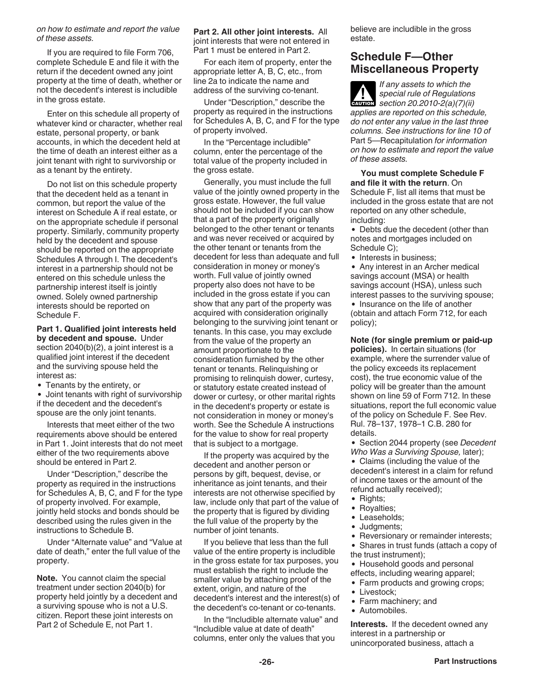#### <span id="page-25-0"></span>*on how to estimate and report the value of these assets.*

If you are required to file Form 706, complete Schedule E and file it with the return if the decedent owned any joint property at the time of death, whether or not the decedent's interest is includible in the gross estate.

Enter on this schedule all property of whatever kind or character, whether real estate, personal property, or bank accounts, in which the decedent held at the time of death an interest either as a joint tenant with right to survivorship or as a tenant by the entirety.

Do not list on this schedule property that the decedent held as a tenant in common, but report the value of the interest on Schedule A if real estate, or on the appropriate schedule if personal property. Similarly, community property held by the decedent and spouse should be reported on the appropriate Schedules A through I. The decedent's interest in a partnership should not be entered on this schedule unless the partnership interest itself is jointly owned. Solely owned partnership interests should be reported on Schedule F.

**Part 1. Qualified joint interests held by decedent and spouse.** Under section 2040(b)(2), a joint interest is a qualified joint interest if the decedent and the surviving spouse held the interest as:

• Tenants by the entirety, or

Joint tenants with right of survivorship if the decedent and the decedent's spouse are the only joint tenants.

Interests that meet either of the two requirements above should be entered in Part 1. Joint interests that do not meet either of the two requirements above should be entered in Part 2.

Under "Description," describe the property as required in the instructions for Schedules A, B, C, and F for the type of property involved. For example, jointly held stocks and bonds should be described using the rules given in the instructions to Schedule B.

Under "Alternate value" and "Value at date of death," enter the full value of the property.

**Note.** You cannot claim the special treatment under section 2040(b) for property held jointly by a decedent and a surviving spouse who is not a U.S. citizen. Report these joint interests on Part 2 of Schedule E, not Part 1.

**Part 2. All other joint interests.** All joint interests that were not entered in Part 1 must be entered in Part 2.

For each item of property, enter the appropriate letter A, B, C, etc., from line 2a to indicate the name and address of the surviving co-tenant.

Under "Description," describe the property as required in the instructions for Schedules A, B, C, and F for the type of property involved.

In the "Percentage includible" column, enter the percentage of the total value of the property included in the gross estate.

Generally, you must include the full value of the jointly owned property in the gross estate. However, the full value should not be included if you can show that a part of the property originally belonged to the other tenant or tenants and was never received or acquired by the other tenant or tenants from the decedent for less than adequate and full consideration in money or money's worth. Full value of jointly owned property also does not have to be included in the gross estate if you can show that any part of the property was acquired with consideration originally belonging to the surviving joint tenant or tenants. In this case, you may exclude from the value of the property an amount proportionate to the consideration furnished by the other tenant or tenants. Relinquishing or promising to relinquish dower, curtesy, or statutory estate created instead of dower or curtesy, or other marital rights in the decedent's property or estate is not consideration in money or money's worth. See the Schedule A instructions for the value to show for real property that is subject to a mortgage.

If the property was acquired by the decedent and another person or persons by gift, bequest, devise, or inheritance as joint tenants, and their interests are not otherwise specified by law, include only that part of the value of the property that is figured by dividing the full value of the property by the number of joint tenants.

If you believe that less than the full value of the entire property is includible in the gross estate for tax purposes, you must establish the right to include the smaller value by attaching proof of the extent, origin, and nature of the decedent's interest and the interest(s) of the decedent's co-tenant or co-tenants.

In the "Includible alternate value" and "Includible value at date of death" columns, enter only the values that you

believe are includible in the gross estate.

#### **Schedule F—Other Miscellaneous Property**

*If any assets to which the special rule of Regulations*  **c** special rule of Regulations<br> **Section 20.2010-2(a)(7)(ii)** *applies are reported on this schedule, do not enter any value in the last three columns. See instructions for line 10 of*  Part 5—Recapitulation *for information on how to estimate and report the value of these assets.*

**You must complete Schedule F and file it with the return**. On Schedule F, list all items that must be included in the gross estate that are not reported on any other schedule, including:

• Debts due the decedent (other than notes and mortgages included on Schedule C);

• Interests in business;

• Any interest in an Archer medical savings account (MSA) or health savings account (HSA), unless such interest passes to the surviving spouse; • Insurance on the life of another

(obtain and attach Form 712, for each policy);

**Note (for single premium or paid-up policies).** In certain situations (for example, where the surrender value of the policy exceeds its replacement cost), the true economic value of the policy will be greater than the amount shown on line 59 of Form 712. In these situations, report the full economic value of the policy on Schedule F. See Rev. Rul. 78–137, 1978–1 C.B. 280 for details.

Section 2044 property (see *Decedent Who Was a Surviving Spouse,* later); Claims (including the value of the

decedent's interest in a claim for refund of income taxes or the amount of the refund actually received);

- Rights;
- Royalties;
- Leaseholds;
- Judgments;
- Reversionary or remainder interests;

• Shares in trust funds (attach a copy of the trust instrument);

- Household goods and personal
- effects, including wearing apparel;
- Farm products and growing crops;
- Livestock:
- Farm machinery; and
- Automobiles.

**Interests.** If the decedent owned any interest in a partnership or unincorporated business, attach a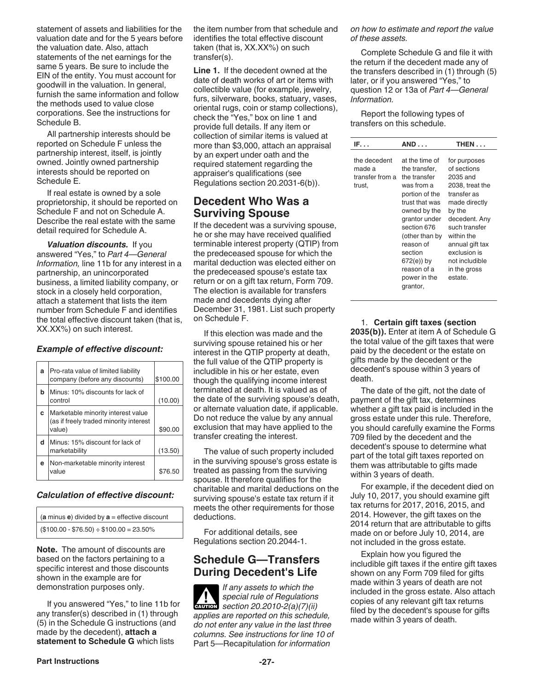<span id="page-26-0"></span>statement of assets and liabilities for the valuation date and for the 5 years before the valuation date. Also, attach statements of the net earnings for the same 5 years. Be sure to include the EIN of the entity. You must account for goodwill in the valuation. In general, furnish the same information and follow the methods used to value close corporations. See the instructions for Schedule B.

All partnership interests should be reported on Schedule F unless the partnership interest, itself, is jointly owned. Jointly owned partnership interests should be reported on Schedule E.

If real estate is owned by a sole proprietorship, it should be reported on Schedule F and not on Schedule A. Describe the real estate with the same detail required for Schedule A.

*Valuation discounts.* If you answered "Yes," to *Part 4—General Information,* line 11b for any interest in a partnership, an unincorporated business, a limited liability company, or stock in a closely held corporation, attach a statement that lists the item number from Schedule F and identifies the total effective discount taken (that is, XX.XX%) on such interest.

#### *Example of effective discount:*

| a  | Pro-rata value of limited liability<br>company (before any discounts)                  | \$100.00 |
|----|----------------------------------------------------------------------------------------|----------|
| b. | Minus: 10% discounts for lack of<br>control                                            | (10.00)  |
| c  | Marketable minority interest value<br>(as if freely traded minority interest<br>value) | \$90.00  |
| d  | Minus: 15% discount for lack of<br>marketability                                       | (13.50)  |
| e  | Non-marketable minority interest<br>value                                              | \$76.50  |

#### *Calculation of effective discount:*

| (a minus $e$ ) divided by $a$ = effective discount |
|----------------------------------------------------|
| $($100.00 - $76.50) \div $100.00 = 23.50\%$        |

**Note.** The amount of discounts are based on the factors pertaining to a specific interest and those discounts shown in the example are for demonstration purposes only.

If you answered "Yes," to line 11b for any transfer(s) described in (1) through (5) in the Schedule G instructions (and made by the decedent), **attach a statement to Schedule G** which lists

the item number from that schedule and identifies the total effective discount taken (that is, XX.XX%) on such transfer(s).

**Line 1.** If the decedent owned at the date of death works of art or items with collectible value (for example, jewelry, furs, silverware, books, statuary, vases, oriental rugs, coin or stamp collections), check the "Yes," box on line 1 and provide full details. If any item or collection of similar items is valued at more than \$3,000, attach an appraisal by an expert under oath and the required statement regarding the appraiser's qualifications (see Regulations section 20.2031-6(b)).

# **Decedent Who Was a Surviving Spouse**

If the decedent was a surviving spouse, he or she may have received qualified terminable interest property (QTIP) from the predeceased spouse for which the marital deduction was elected either on the predeceased spouse's estate tax return or on a gift tax return, Form 709. The election is available for transfers made and decedents dying after December 31, 1981. List such property on Schedule F.

If this election was made and the surviving spouse retained his or her interest in the QTIP property at death, the full value of the QTIP property is includible in his or her estate, even though the qualifying income interest terminated at death. It is valued as of the date of the surviving spouse's death, or alternate valuation date, if applicable. Do not reduce the value by any annual exclusion that may have applied to the transfer creating the interest.

The value of such property included in the surviving spouse's gross estate is treated as passing from the surviving spouse. It therefore qualifies for the charitable and marital deductions on the surviving spouse's estate tax return if it meets the other requirements for those deductions.

For additional details, see Regulations section 20.2044-1.

# **Schedule G—Transfers During Decedent's Life**

*If any assets to which the special rule of Regulations*  **c** special rule of Regulations<br> **Section 20.2010-2(a)(7)(ii)** *applies are reported on this schedule, do not enter any value in the last three columns. See instructions for line 10 of*  Part 5—Recapitulation *for information* 

#### *on how to estimate and report the value of these assets.*

Complete Schedule G and file it with the return if the decedent made any of the transfers described in (1) through (5) later, or if you answered "Yes," to question 12 or 13a of *Part 4—General Information.*

Report the following types of transfers on this schedule.

| IF.                                                 | AND                                                                                                                                                                                                                                                  | THEN                                                                                                                                                                                                                                 |
|-----------------------------------------------------|------------------------------------------------------------------------------------------------------------------------------------------------------------------------------------------------------------------------------------------------------|--------------------------------------------------------------------------------------------------------------------------------------------------------------------------------------------------------------------------------------|
| the decedent<br>made a<br>transfer from a<br>trust. | at the time of<br>the transfer,<br>the transfer<br>was from a<br>portion of the<br>trust that was<br>owned by the<br>grantor under<br>section 676<br>(other than by<br>reason of<br>section<br>672(e)) by<br>reason of a<br>power in the<br>grantor, | for purposes<br>of sections<br>2035 and<br>2038, treat the<br>transfer as<br>made directly<br>by the<br>decedent. Any<br>such transfer<br>within the<br>annual gift tax<br>exclusion is<br>not includible<br>in the gross<br>estate. |

1. **Certain gift taxes (section 2035(b)).** Enter at item A of Schedule G the total value of the gift taxes that were paid by the decedent or the estate on gifts made by the decedent or the decedent's spouse within 3 years of death.

The date of the gift, not the date of payment of the gift tax, determines whether a gift tax paid is included in the gross estate under this rule. Therefore, you should carefully examine the Forms 709 filed by the decedent and the decedent's spouse to determine what part of the total gift taxes reported on them was attributable to gifts made within 3 years of death.

For example, if the decedent died on July 10, 2017, you should examine gift tax returns for 2017, 2016, 2015, and 2014. However, the gift taxes on the 2014 return that are attributable to gifts made on or before July 10, 2014, are not included in the gross estate.

Explain how you figured the includible gift taxes if the entire gift taxes shown on any Form 709 filed for gifts made within 3 years of death are not included in the gross estate. Also attach copies of any relevant gift tax returns filed by the decedent's spouse for gifts made within 3 years of death.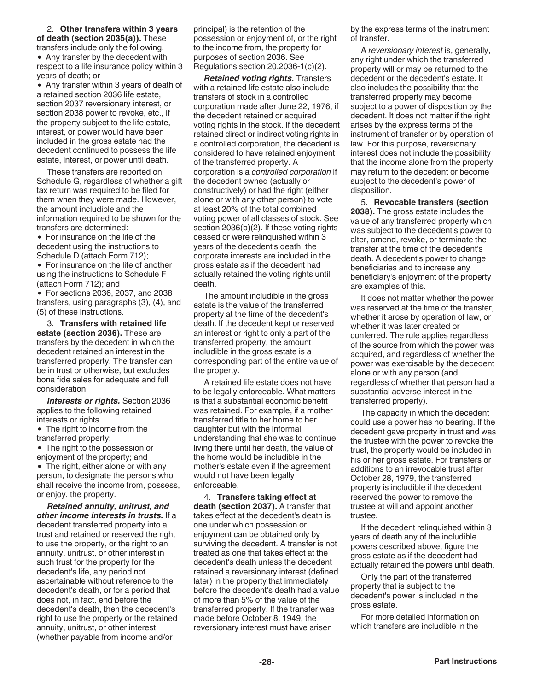2. **Other transfers within 3 years of death (section 2035(a)).** These transfers include only the following.

Any transfer by the decedent with respect to a life insurance policy within 3 years of death; or

Any transfer within 3 years of death of a retained section 2036 life estate, section 2037 reversionary interest, or section 2038 power to revoke, etc., if the property subject to the life estate, interest, or power would have been included in the gross estate had the decedent continued to possess the life estate, interest, or power until death.

These transfers are reported on Schedule G, regardless of whether a gift tax return was required to be filed for them when they were made. However, the amount includible and the information required to be shown for the transfers are determined:

• For insurance on the life of the decedent using the instructions to Schedule D (attach Form 712);

For insurance on the life of another using the instructions to Schedule F (attach Form 712); and

For sections 2036, 2037, and 2038 transfers, using paragraphs (3), (4), and (5) of these instructions.

3. **Transfers with retained life estate (section 2036).** These are transfers by the decedent in which the decedent retained an interest in the transferred property. The transfer can be in trust or otherwise, but excludes bona fide sales for adequate and full consideration.

*Interests or rights.* Section 2036 applies to the following retained interests or rights.

The right to income from the transferred property;

The right to the possession or enjoyment of the property; and

• The right, either alone or with any person, to designate the persons who shall receive the income from, possess, or enjoy, the property.

*Retained annuity, unitrust, and other income interests in trusts.* If a decedent transferred property into a trust and retained or reserved the right to use the property, or the right to an annuity, unitrust, or other interest in such trust for the property for the decedent's life, any period not ascertainable without reference to the decedent's death, or for a period that does not, in fact, end before the decedent's death, then the decedent's right to use the property or the retained annuity, unitrust, or other interest (whether payable from income and/or

principal) is the retention of the possession or enjoyment of, or the right to the income from, the property for purposes of section 2036. See Regulations section 20.2036-1(c)(2).

*Retained voting rights.* Transfers with a retained life estate also include transfers of stock in a controlled corporation made after June 22, 1976, if the decedent retained or acquired voting rights in the stock. If the decedent retained direct or indirect voting rights in a controlled corporation, the decedent is considered to have retained enjoyment of the transferred property. A corporation is a *controlled corporation* if the decedent owned (actually or constructively) or had the right (either alone or with any other person) to vote at least 20% of the total combined voting power of all classes of stock. See section 2036(b)(2). If these voting rights ceased or were relinquished within 3 years of the decedent's death, the corporate interests are included in the gross estate as if the decedent had actually retained the voting rights until death.

The amount includible in the gross estate is the value of the transferred property at the time of the decedent's death. If the decedent kept or reserved an interest or right to only a part of the transferred property, the amount includible in the gross estate is a corresponding part of the entire value of the property.

A retained life estate does not have to be legally enforceable. What matters is that a substantial economic benefit was retained. For example, if a mother transferred title to her home to her daughter but with the informal understanding that she was to continue living there until her death, the value of the home would be includible in the mother's estate even if the agreement would not have been legally enforceable.

4. **Transfers taking effect at death (section 2037).** A transfer that takes effect at the decedent's death is one under which possession or enjoyment can be obtained only by surviving the decedent. A transfer is not treated as one that takes effect at the decedent's death unless the decedent retained a reversionary interest (defined later) in the property that immediately before the decedent's death had a value of more than 5% of the value of the transferred property. If the transfer was made before October 8, 1949, the reversionary interest must have arisen

by the express terms of the instrument of transfer.

A *reversionary interest* is, generally, any right under which the transferred property will or may be returned to the decedent or the decedent's estate. It also includes the possibility that the transferred property may become subject to a power of disposition by the decedent. It does not matter if the right arises by the express terms of the instrument of transfer or by operation of law. For this purpose, reversionary interest does not include the possibility that the income alone from the property may return to the decedent or become subject to the decedent's power of disposition.

5. **Revocable transfers (section 2038).** The gross estate includes the value of any transferred property which was subject to the decedent's power to alter, amend, revoke, or terminate the transfer at the time of the decedent's death. A decedent's power to change beneficiaries and to increase any beneficiary's enjoyment of the property are examples of this.

It does not matter whether the power was reserved at the time of the transfer, whether it arose by operation of law, or whether it was later created or conferred. The rule applies regardless of the source from which the power was acquired, and regardless of whether the power was exercisable by the decedent alone or with any person (and regardless of whether that person had a substantial adverse interest in the transferred property).

The capacity in which the decedent could use a power has no bearing. If the decedent gave property in trust and was the trustee with the power to revoke the trust, the property would be included in his or her gross estate. For transfers or additions to an irrevocable trust after October 28, 1979, the transferred property is includible if the decedent reserved the power to remove the trustee at will and appoint another trustee.

If the decedent relinquished within 3 years of death any of the includible powers described above, figure the gross estate as if the decedent had actually retained the powers until death.

Only the part of the transferred property that is subject to the decedent's power is included in the gross estate.

For more detailed information on which transfers are includible in the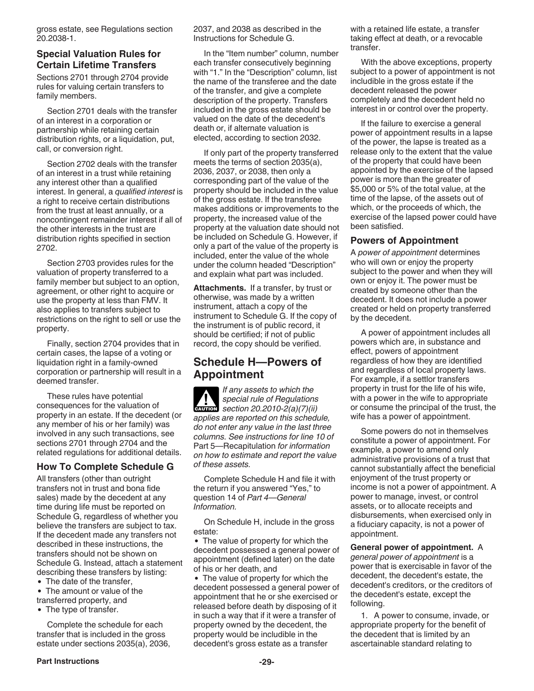<span id="page-28-0"></span>gross estate, see Regulations section 20.2038-1.

#### **Special Valuation Rules for Certain Lifetime Transfers**

Sections 2701 through 2704 provide rules for valuing certain transfers to family members.

Section 2701 deals with the transfer of an interest in a corporation or partnership while retaining certain distribution rights, or a liquidation, put, call, or conversion right.

Section 2702 deals with the transfer of an interest in a trust while retaining any interest other than a qualified interest. In general, a *qualified interest* is a right to receive certain distributions from the trust at least annually, or a noncontingent remainder interest if all of the other interests in the trust are distribution rights specified in section 2702.

Section 2703 provides rules for the valuation of property transferred to a family member but subject to an option, agreement, or other right to acquire or use the property at less than FMV. It also applies to transfers subject to restrictions on the right to sell or use the property.

Finally, section 2704 provides that in certain cases, the lapse of a voting or liquidation right in a family-owned corporation or partnership will result in a deemed transfer.

These rules have potential consequences for the valuation of property in an estate. If the decedent (or any member of his or her family) was involved in any such transactions, see sections 2701 through 2704 and the related regulations for additional details.

### **How To Complete Schedule G**

All transfers (other than outright transfers not in trust and bona fide sales) made by the decedent at any time during life must be reported on Schedule G, regardless of whether you believe the transfers are subject to tax. If the decedent made any transfers not described in these instructions, the transfers should not be shown on Schedule G. Instead, attach a statement describing these transfers by listing:

- The date of the transfer,
- The amount or value of the transferred property, and
- The type of transfer.

Complete the schedule for each transfer that is included in the gross estate under sections 2035(a), 2036, 2037, and 2038 as described in the Instructions for Schedule G.

In the "Item number" column, number each transfer consecutively beginning with "1." In the "Description" column, list the name of the transferee and the date of the transfer, and give a complete description of the property. Transfers included in the gross estate should be valued on the date of the decedent's death or, if alternate valuation is elected, according to section 2032.

If only part of the property transferred meets the terms of section 2035(a), 2036, 2037, or 2038, then only a corresponding part of the value of the property should be included in the value of the gross estate. If the transferee makes additions or improvements to the property, the increased value of the property at the valuation date should not be included on Schedule G. However, if only a part of the value of the property is included, enter the value of the whole under the column headed "Description" and explain what part was included.

**Attachments.** If a transfer, by trust or otherwise, was made by a written instrument, attach a copy of the instrument to Schedule G. If the copy of the instrument is of public record, it should be certified; if not of public record, the copy should be verified.

# **Schedule H—Powers of Appointment**

*If any assets to which the special rule of Regulations*  **c** special rule of Regulations<br> **Section 20.2010-2(a)(7)(ii)** *applies are reported on this schedule, do not enter any value in the last three columns. See instructions for line 10 of*  Part 5—Recapitulation *for information on how to estimate and report the value of these assets.*

Complete Schedule H and file it with the return if you answered "Yes," to question 14 of *Part 4—General Information.*

On Schedule H, include in the gross estate:

• The value of property for which the decedent possessed a general power of appointment (defined later) on the date of his or her death, and

• The value of property for which the decedent possessed a general power of appointment that he or she exercised or released before death by disposing of it in such a way that if it were a transfer of property owned by the decedent, the property would be includible in the decedent's gross estate as a transfer

with a retained life estate, a transfer taking effect at death, or a revocable transfer.

With the above exceptions, property subject to a power of appointment is not includible in the gross estate if the decedent released the power completely and the decedent held no interest in or control over the property.

If the failure to exercise a general power of appointment results in a lapse of the power, the lapse is treated as a release only to the extent that the value of the property that could have been appointed by the exercise of the lapsed power is more than the greater of \$5,000 or 5% of the total value, at the time of the lapse, of the assets out of which, or the proceeds of which, the exercise of the lapsed power could have been satisfied.

#### **Powers of Appointment**

A *power of appointment* determines who will own or enjoy the property subject to the power and when they will own or enjoy it. The power must be created by someone other than the decedent. It does not include a power created or held on property transferred by the decedent.

A power of appointment includes all powers which are, in substance and effect, powers of appointment regardless of how they are identified and regardless of local property laws. For example, if a settlor transfers property in trust for the life of his wife, with a power in the wife to appropriate or consume the principal of the trust, the wife has a power of appointment.

Some powers do not in themselves constitute a power of appointment. For example, a power to amend only administrative provisions of a trust that cannot substantially affect the beneficial enjoyment of the trust property or income is not a power of appointment. A power to manage, invest, or control assets, or to allocate receipts and disbursements, when exercised only in a fiduciary capacity, is not a power of appointment.

#### **General power of appointment.** A

*general power of appointment* is a power that is exercisable in favor of the decedent, the decedent's estate, the decedent's creditors, or the creditors of the decedent's estate, except the following.

1. A power to consume, invade, or appropriate property for the benefit of the decedent that is limited by an ascertainable standard relating to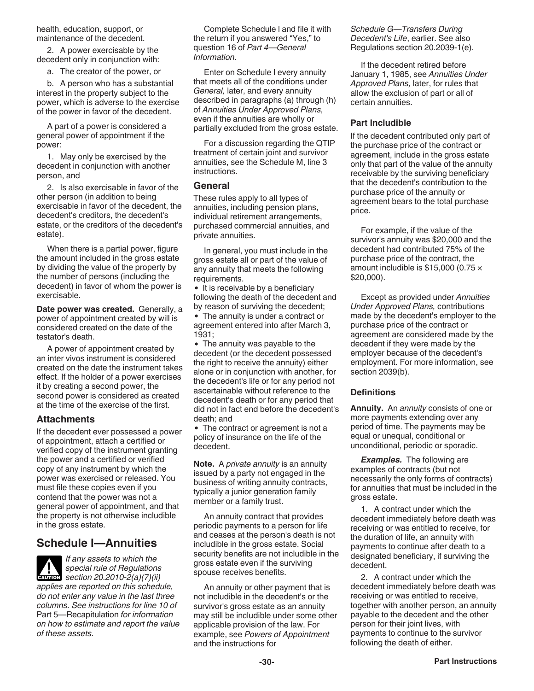<span id="page-29-0"></span>health, education, support, or maintenance of the decedent.

2. A power exercisable by the decedent only in conjunction with:

a. The creator of the power, or

b. A person who has a substantial interest in the property subject to the power, which is adverse to the exercise of the power in favor of the decedent.

A part of a power is considered a general power of appointment if the power:

1. May only be exercised by the decedent in conjunction with another person, and

2. Is also exercisable in favor of the other person (in addition to being exercisable in favor of the decedent, the decedent's creditors, the decedent's estate, or the creditors of the decedent's estate).

When there is a partial power, figure the amount included in the gross estate by dividing the value of the property by the number of persons (including the decedent) in favor of whom the power is exercisable.

**Date power was created.** Generally, a power of appointment created by will is considered created on the date of the testator's death.

A power of appointment created by an inter vivos instrument is considered created on the date the instrument takes effect. If the holder of a power exercises it by creating a second power, the second power is considered as created at the time of the exercise of the first.

#### **Attachments**

If the decedent ever possessed a power of appointment, attach a certified or verified copy of the instrument granting the power and a certified or verified copy of any instrument by which the power was exercised or released. You must file these copies even if you contend that the power was not a general power of appointment, and that the property is not otherwise includible in the gross estate.

# **Schedule I—Annuities**

*If any assets to which the special rule of Regulations*  **special rule of Regulations**<br> **Section 20.2010-2(a)(7)(ii)** *applies are reported on this schedule, do not enter any value in the last three columns. See instructions for line 10 of*  Part 5—Recapitulation *for information on how to estimate and report the value of these assets.*

Complete Schedule l and file it with the return if you answered "Yes," to question 16 of *Part 4—General Information.*

Enter on Schedule I every annuity that meets all of the conditions under *General,* later, and every annuity described in paragraphs (a) through (h) of *Annuities Under Approved Plans,*  even if the annuities are wholly or partially excluded from the gross estate.

For a discussion regarding the QTIP treatment of certain joint and survivor annuities, see the Schedule M, line 3 instructions.

#### **General**

These rules apply to all types of annuities, including pension plans, individual retirement arrangements, purchased commercial annuities, and private annuities.

In general, you must include in the gross estate all or part of the value of any annuity that meets the following requirements.

• It is receivable by a beneficiary following the death of the decedent and by reason of surviving the decedent; • The annuity is under a contract or agreement entered into after March 3, 1931;

The annuity was payable to the decedent (or the decedent possessed the right to receive the annuity) either alone or in conjunction with another, for the decedent's life or for any period not ascertainable without reference to the decedent's death or for any period that did not in fact end before the decedent's death; and

• The contract or agreement is not a policy of insurance on the life of the decedent.

**Note.** A *private annuity* is an annuity issued by a party not engaged in the business of writing annuity contracts, typically a junior generation family member or a family trust.

An annuity contract that provides periodic payments to a person for life and ceases at the person's death is not includible in the gross estate. Social security benefits are not includible in the gross estate even if the surviving spouse receives benefits.

An annuity or other payment that is not includible in the decedent's or the survivor's gross estate as an annuity may still be includible under some other applicable provision of the law. For example, see *Powers of Appointment*  and the instructions for

*Schedule G—Transfers During Decedent's Life*, earlier. See also Regulations section 20.2039-1(e).

If the decedent retired before January 1, 1985, see *Annuities Under Approved Plans,* later, for rules that allow the exclusion of part or all of certain annuities.

#### **Part Includible**

If the decedent contributed only part of the purchase price of the contract or agreement, include in the gross estate only that part of the value of the annuity receivable by the surviving beneficiary that the decedent's contribution to the purchase price of the annuity or agreement bears to the total purchase price.

For example, if the value of the survivor's annuity was \$20,000 and the decedent had contributed 75% of the purchase price of the contract, the amount includible is \$15,000 (0.75 × \$20,000).

Except as provided under *Annuities Under Approved Plans,* contributions made by the decedent's employer to the purchase price of the contract or agreement are considered made by the decedent if they were made by the employer because of the decedent's employment. For more information, see section 2039(b).

#### **Definitions**

**Annuity.** An *annuity* consists of one or more payments extending over any period of time. The payments may be equal or unequal, conditional or unconditional, periodic or sporadic.

**Examples.** The following are examples of contracts (but not necessarily the only forms of contracts) for annuities that must be included in the gross estate.

1. A contract under which the decedent immediately before death was receiving or was entitled to receive, for the duration of life, an annuity with payments to continue after death to a designated beneficiary, if surviving the decedent.

2. A contract under which the decedent immediately before death was receiving or was entitled to receive, together with another person, an annuity payable to the decedent and the other person for their joint lives, with payments to continue to the survivor following the death of either.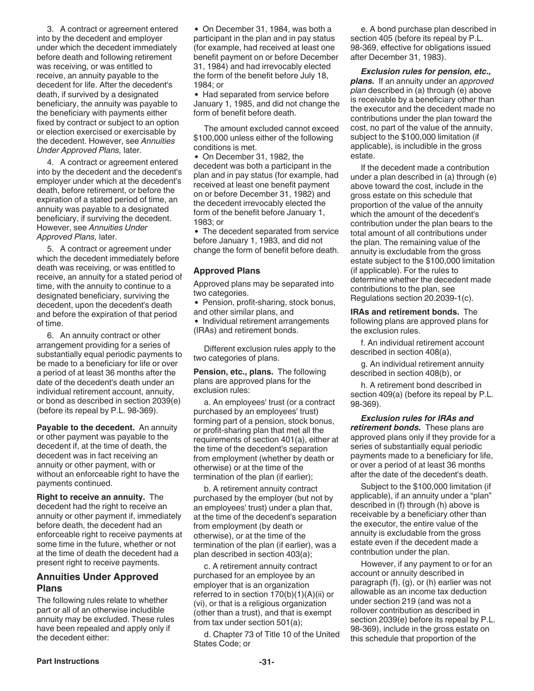3. A contract or agreement entered into by the decedent and employer under which the decedent immediately before death and following retirement was receiving, or was entitled to receive, an annuity payable to the decedent for life. After the decedent's death, if survived by a designated beneficiary, the annuity was payable to the beneficiary with payments either fixed by contract or subject to an option or election exercised or exercisable by the decedent. However, see *Annuities Under Approved Plans,* later.

4. A contract or agreement entered into by the decedent and the decedent's employer under which at the decedent's death, before retirement, or before the expiration of a stated period of time, an annuity was payable to a designated beneficiary, if surviving the decedent. However, see *Annuities Under Approved Plans,* later.

5. A contract or agreement under which the decedent immediately before death was receiving, or was entitled to receive, an annuity for a stated period of time, with the annuity to continue to a designated beneficiary, surviving the decedent, upon the decedent's death and before the expiration of that period of time.

6. An annuity contract or other arrangement providing for a series of substantially equal periodic payments to be made to a beneficiary for life or over a period of at least 36 months after the date of the decedent's death under an individual retirement account, annuity, or bond as described in section 2039(e) (before its repeal by P.L. 98-369).

**Payable to the decedent.** An annuity or other payment was payable to the decedent if, at the time of death, the decedent was in fact receiving an annuity or other payment, with or without an enforceable right to have the payments continued.

**Right to receive an annuity.** The decedent had the right to receive an annuity or other payment if, immediately before death, the decedent had an enforceable right to receive payments at some time in the future, whether or not at the time of death the decedent had a present right to receive payments.

#### **Annuities Under Approved Plans**

The following rules relate to whether part or all of an otherwise includible annuity may be excluded. These rules have been repealed and apply only if the decedent either:

• On December 31, 1984, was both a participant in the plan and in pay status (for example, had received at least one benefit payment on or before December 31, 1984) and had irrevocably elected the form of the benefit before July 18, 1984; or

• Had separated from service before January 1, 1985, and did not change the form of benefit before death.

The amount excluded cannot exceed \$100,000 unless either of the following conditions is met.

On December 31, 1982, the decedent was both a participant in the plan and in pay status (for example, had received at least one benefit payment on or before December 31, 1982) and the decedent irrevocably elected the form of the benefit before January 1, 1983; or

• The decedent separated from service before January 1, 1983, and did not change the form of benefit before death.

#### **Approved Plans**

Approved plans may be separated into two categories.

• Pension, profit-sharing, stock bonus, and other similar plans, and

• Individual retirement arrangements (IRAs) and retirement bonds.

Different exclusion rules apply to the two categories of plans.

**Pension, etc., plans.** The following plans are approved plans for the exclusion rules:

a. An employees' trust (or a contract purchased by an employees' trust) forming part of a pension, stock bonus, or profit-sharing plan that met all the requirements of section 401(a), either at the time of the decedent's separation from employment (whether by death or otherwise) or at the time of the termination of the plan (if earlier);

b. A retirement annuity contract purchased by the employer (but not by an employees' trust) under a plan that, at the time of the decedent's separation from employment (by death or otherwise), or at the time of the termination of the plan (if earlier), was a plan described in section 403(a);

c. A retirement annuity contract purchased for an employee by an employer that is an organization referred to in section 170(b)(1)(A)(ii) or (vi), or that is a religious organization (other than a trust), and that is exempt from tax under section 501(a);

d. Chapter 73 of Title 10 of the United States Code; or

e. A bond purchase plan described in section 405 (before its repeal by P.L. 98-369, effective for obligations issued after December 31, 1983).

*Exclusion rules for pension, etc., plans.* If an annuity under an *approved plan* described in (a) through (e) above is receivable by a beneficiary other than the executor and the decedent made no contributions under the plan toward the cost, no part of the value of the annuity, subject to the \$100,000 limitation (if applicable), is includible in the gross estate.

If the decedent made a contribution under a plan described in (a) through (e) above toward the cost, include in the gross estate on this schedule that proportion of the value of the annuity which the amount of the decedent's contribution under the plan bears to the total amount of all contributions under the plan. The remaining value of the annuity is excludable from the gross estate subject to the \$100,000 limitation (if applicable). For the rules to determine whether the decedent made contributions to the plan, see Regulations section 20.2039-1(c).

**IRAs and retirement bonds.** The following plans are approved plans for the exclusion rules.

f. An individual retirement account described in section 408(a),

g. An individual retirement annuity described in section 408(b), or

h. A retirement bond described in section 409(a) (before its repeal by P.L. 98-369).

*Exclusion rules for IRAs and retirement bonds.* These plans are approved plans only if they provide for a series of substantially equal periodic payments made to a beneficiary for life, or over a period of at least 36 months after the date of the decedent's death.

Subject to the \$100,000 limitation (if applicable), if an annuity under a "plan" described in (f) through (h) above is receivable by a beneficiary other than the executor, the entire value of the annuity is excludable from the gross estate even if the decedent made a contribution under the plan.

However, if any payment to or for an account or annuity described in paragraph (f), (g), or (h) earlier was not allowable as an income tax deduction under section 219 (and was not a rollover contribution as described in section 2039(e) before its repeal by P.L. 98-369), include in the gross estate on this schedule that proportion of the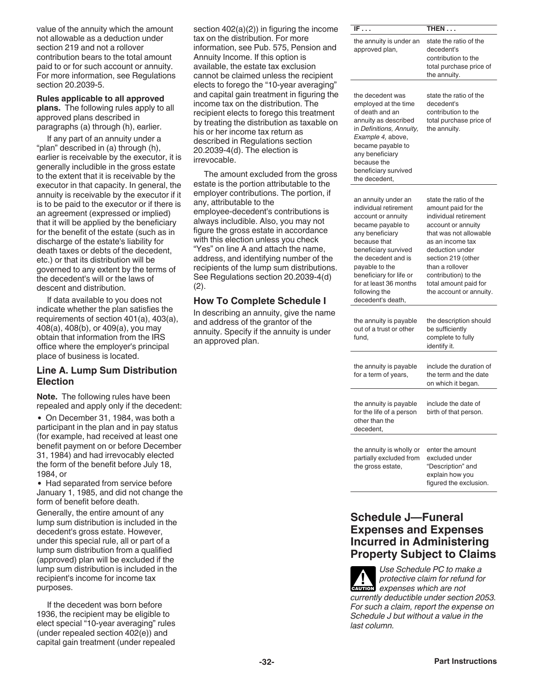<span id="page-31-0"></span>value of the annuity which the amount not allowable as a deduction under section 219 and not a rollover contribution bears to the total amount paid to or for such account or annuity. For more information, see Regulations section 20.2039-5.

**Rules applicable to all approved plans.** The following rules apply to all approved plans described in paragraphs (a) through (h), earlier.

If any part of an annuity under a "plan" described in (a) through (h), earlier is receivable by the executor, it is generally includible in the gross estate to the extent that it is receivable by the executor in that capacity. In general, the annuity is receivable by the executor if it is to be paid to the executor or if there is an agreement (expressed or implied) that it will be applied by the beneficiary for the benefit of the estate (such as in discharge of the estate's liability for death taxes or debts of the decedent, etc.) or that its distribution will be governed to any extent by the terms of the decedent's will or the laws of descent and distribution.

If data available to you does not indicate whether the plan satisfies the requirements of section 401(a), 403(a), 408(a), 408(b), or 409(a), you may obtain that information from the IRS office where the employer's principal place of business is located.

### **Line A. Lump Sum Distribution Election**

**Note.** The following rules have been repealed and apply only if the decedent:

On December 31, 1984, was both a participant in the plan and in pay status (for example, had received at least one benefit payment on or before December 31, 1984) and had irrevocably elected the form of the benefit before July 18, 1984, or

• Had separated from service before January 1, 1985, and did not change the form of benefit before death.

Generally, the entire amount of any lump sum distribution is included in the decedent's gross estate. However, under this special rule, all or part of a lump sum distribution from a qualified (approved) plan will be excluded if the lump sum distribution is included in the recipient's income for income tax purposes.

If the decedent was born before 1936, the recipient may be eligible to elect special "10-year averaging" rules (under repealed section 402(e)) and capital gain treatment (under repealed

section 402(a)(2)) in figuring the income tax on the distribution. For more information, see Pub. 575, Pension and Annuity Income. If this option is available, the estate tax exclusion cannot be claimed unless the recipient elects to forego the "10-year averaging" and capital gain treatment in figuring the income tax on the distribution. The recipient elects to forego this treatment by treating the distribution as taxable on his or her income tax return as described in Regulations section 20.2039-4(d). The election is irrevocable.

The amount excluded from the gross estate is the portion attributable to the employer contributions. The portion, if any, attributable to the employee-decedent's contributions is always includible. Also, you may not figure the gross estate in accordance with this election unless you check "Yes" on line A and attach the name, address, and identifying number of the recipients of the lump sum distributions. See Regulations section 20.2039-4(d) (2).

### **How To Complete Schedule I**

In describing an annuity, give the name and address of the grantor of the annuity. Specify if the annuity is under an approved plan.

| IF                                                                                                                                                                                                                                                                                     | THEN                                                                                                                                                                                                                                                                               |
|----------------------------------------------------------------------------------------------------------------------------------------------------------------------------------------------------------------------------------------------------------------------------------------|------------------------------------------------------------------------------------------------------------------------------------------------------------------------------------------------------------------------------------------------------------------------------------|
| the annuity is under an<br>approved plan,                                                                                                                                                                                                                                              | state the ratio of the<br>decedent's<br>contribution to the<br>total purchase price of<br>the annuity.                                                                                                                                                                             |
| the decedent was<br>employed at the time<br>of death and an<br>annuity as described<br>in Definitions, Annuity,<br>Example 4, above,<br>became payable to<br>any beneficiary<br>because the<br>beneficiary survived<br>the decedent,                                                   | state the ratio of the<br>decedent's<br>contribution to the<br>total purchase price of<br>the annuity.                                                                                                                                                                             |
| an annuity under an<br>individual retirement<br>account or annuity<br>became payable to<br>any beneficiary<br>because that<br>beneficiary survived<br>the decedent and is<br>payable to the<br>beneficiary for life or<br>for at least 36 months<br>following the<br>decedent's death, | state the ratio of the<br>amount paid for the<br>individual retirement<br>account or annuity<br>that was not allowable<br>as an income tax<br>deduction under<br>section 219 (other<br>than a rollover<br>contribution) to the<br>total amount paid for<br>the account or annuity. |
| the annuity is payable<br>out of a trust or other<br>fund,                                                                                                                                                                                                                             | the description should<br>be sufficiently<br>complete to fully<br>identify it.                                                                                                                                                                                                     |
| the annuity is payable<br>for a term of years,                                                                                                                                                                                                                                         | include the duration of<br>the term and the date<br>on which it began.                                                                                                                                                                                                             |
| the annuity is payable<br>for the life of a person<br>other than the<br>decedent.                                                                                                                                                                                                      | include the date of<br>birth of that person                                                                                                                                                                                                                                        |
| the annuity is wholly or<br>partially excluded from<br>the gross estate,                                                                                                                                                                                                               | enter the amount<br>excluded under<br>"Description" and<br>explain how you<br>figured the exclusion.                                                                                                                                                                               |

# **Schedule J—Funeral Expenses and Expenses Incurred in Administering Property Subject to Claims**

*Use Schedule PC to make a protective claim for refund for*  **Protective claim for refuration expenses which are not** *currently deductible under section 2053. For such a claim, report the expense on Schedule J but without a value in the last column.*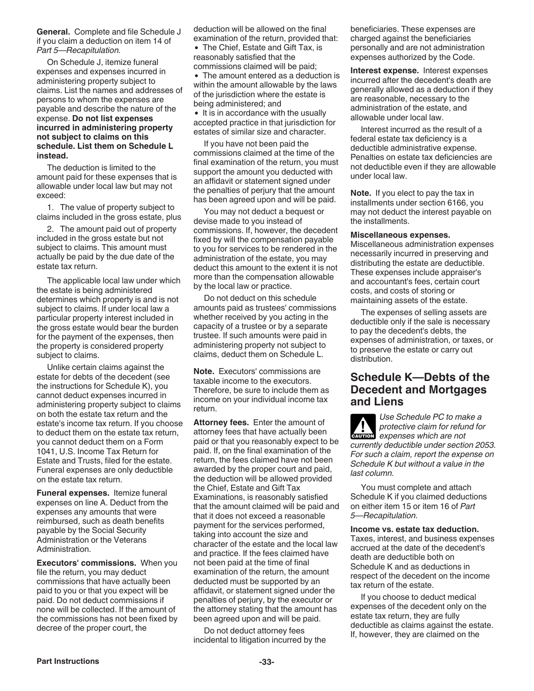<span id="page-32-0"></span>**General.** Complete and file Schedule J if you claim a deduction on item 14 of *Part 5—Recapitulation.*

On Schedule J, itemize funeral expenses and expenses incurred in administering property subject to claims. List the names and addresses of persons to whom the expenses are payable and describe the nature of the expense. **Do not list expenses incurred in administering property not subject to claims on this schedule. List them on Schedule L instead.**

The deduction is limited to the amount paid for these expenses that is allowable under local law but may not exceed:

1. The value of property subject to claims included in the gross estate, plus

2. The amount paid out of property included in the gross estate but not subject to claims. This amount must actually be paid by the due date of the estate tax return.

The applicable local law under which the estate is being administered determines which property is and is not subject to claims. If under local law a particular property interest included in the gross estate would bear the burden for the payment of the expenses, then the property is considered property subject to claims.

Unlike certain claims against the estate for debts of the decedent (see the instructions for Schedule K), you cannot deduct expenses incurred in administering property subject to claims on both the estate tax return and the estate's income tax return. If you choose to deduct them on the estate tax return, you cannot deduct them on a Form 1041, U.S. Income Tax Return for Estate and Trusts, filed for the estate. Funeral expenses are only deductible on the estate tax return.

**Funeral expenses.** Itemize funeral expenses on line A. Deduct from the expenses any amounts that were reimbursed, such as death benefits payable by the Social Security Administration or the Veterans Administration.

**Executors' commissions.** When you file the return, you may deduct commissions that have actually been paid to you or that you expect will be paid. Do not deduct commissions if none will be collected. If the amount of the commissions has not been fixed by decree of the proper court, the

deduction will be allowed on the final examination of the return, provided that: • The Chief, Estate and Gift Tax, is reasonably satisfied that the commissions claimed will be paid;

The amount entered as a deduction is within the amount allowable by the laws of the jurisdiction where the estate is being administered; and

• It is in accordance with the usually accepted practice in that jurisdiction for estates of similar size and character.

If you have not been paid the commissions claimed at the time of the final examination of the return, you must support the amount you deducted with an affidavit or statement signed under the penalties of perjury that the amount has been agreed upon and will be paid.

You may not deduct a bequest or devise made to you instead of commissions. If, however, the decedent fixed by will the compensation payable to you for services to be rendered in the administration of the estate, you may deduct this amount to the extent it is not more than the compensation allowable by the local law or practice.

Do not deduct on this schedule amounts paid as trustees' commissions whether received by you acting in the capacity of a trustee or by a separate trustee. If such amounts were paid in administering property not subject to claims, deduct them on Schedule L.

**Note.** Executors' commissions are taxable income to the executors. Therefore, be sure to include them as income on your individual income tax return.

**Attorney fees.** Enter the amount of attorney fees that have actually been paid or that you reasonably expect to be paid. If, on the final examination of the return, the fees claimed have not been awarded by the proper court and paid, the deduction will be allowed provided the Chief, Estate and Gift Tax Examinations, is reasonably satisfied that the amount claimed will be paid and that it does not exceed a reasonable payment for the services performed, taking into account the size and character of the estate and the local law and practice. If the fees claimed have not been paid at the time of final examination of the return, the amount deducted must be supported by an affidavit, or statement signed under the penalties of perjury, by the executor or the attorney stating that the amount has been agreed upon and will be paid.

Do not deduct attorney fees incidental to litigation incurred by the beneficiaries. These expenses are charged against the beneficiaries personally and are not administration expenses authorized by the Code.

**Interest expense.** Interest expenses incurred after the decedent's death are generally allowed as a deduction if they are reasonable, necessary to the administration of the estate, and allowable under local law.

Interest incurred as the result of a federal estate tax deficiency is a deductible administrative expense. Penalties on estate tax deficiencies are not deductible even if they are allowable under local law.

**Note.** If you elect to pay the tax in installments under section 6166, you may not deduct the interest payable on the installments.

#### **Miscellaneous expenses.**

Miscellaneous administration expenses necessarily incurred in preserving and distributing the estate are deductible. These expenses include appraiser's and accountant's fees, certain court costs, and costs of storing or maintaining assets of the estate.

The expenses of selling assets are deductible only if the sale is necessary to pay the decedent's debts, the expenses of administration, or taxes, or to preserve the estate or carry out distribution.

# **Schedule K—Debts of the Decedent and Mortgages and Liens**

*Use Schedule PC to make a protective claim for refund for*  **Protective claim for refunding the expenses which are not** *currently deductible under section 2053. For such a claim, report the expense on Schedule K but without a value in the last column.*

You must complete and attach Schedule K if you claimed deductions on either item 15 or item 16 of *Part 5—Recapitulation.*

#### **Income vs. estate tax deduction.**

Taxes, interest, and business expenses accrued at the date of the decedent's death are deductible both on Schedule K and as deductions in respect of the decedent on the income tax return of the estate.

If you choose to deduct medical expenses of the decedent only on the estate tax return, they are fully deductible as claims against the estate. If, however, they are claimed on the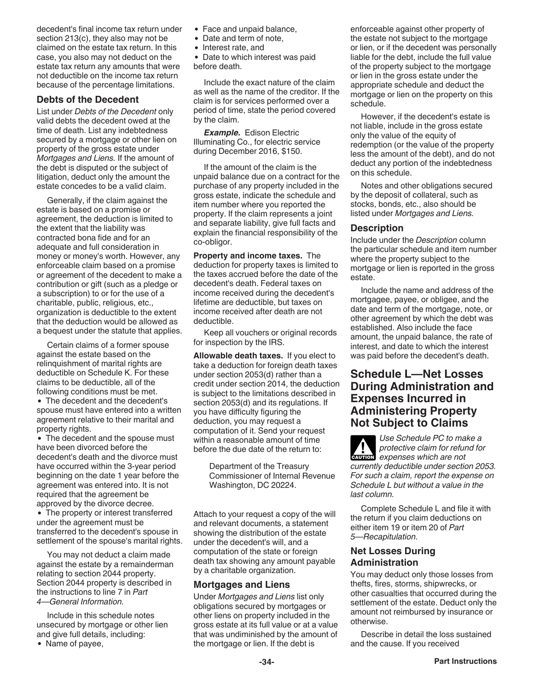<span id="page-33-0"></span>decedent's final income tax return under section 213(c), they also may not be claimed on the estate tax return. In this case, you also may not deduct on the estate tax return any amounts that were not deductible on the income tax return because of the percentage limitations.

#### **Debts of the Decedent**

List under *Debts of the Decedent* only valid debts the decedent owed at the time of death. List any indebtedness secured by a mortgage or other lien on property of the gross estate under *Mortgages and Liens.* If the amount of the debt is disputed or the subject of litigation, deduct only the amount the estate concedes to be a valid claim.

Generally, if the claim against the estate is based on a promise or agreement, the deduction is limited to the extent that the liability was contracted bona fide and for an adequate and full consideration in money or money's worth. However, any enforceable claim based on a promise or agreement of the decedent to make a contribution or gift (such as a pledge or a subscription) to or for the use of a charitable, public, religious, etc., organization is deductible to the extent that the deduction would be allowed as a bequest under the statute that applies.

Certain claims of a former spouse against the estate based on the relinquishment of marital rights are deductible on Schedule K. For these claims to be deductible, all of the following conditions must be met.

The decedent and the decedent's spouse must have entered into a written agreement relative to their marital and property rights.

• The decedent and the spouse must have been divorced before the decedent's death and the divorce must have occurred within the 3-year period beginning on the date 1 year before the agreement was entered into. It is not required that the agreement be approved by the divorce decree.

The property or interest transferred under the agreement must be transferred to the decedent's spouse in settlement of the spouse's marital rights.

You may not deduct a claim made against the estate by a remainderman relating to section 2044 property. Section 2044 property is described in the instructions to line 7 in *Part 4—General Information.*

Include in this schedule notes unsecured by mortgage or other lien and give full details, including: Name of payee,

- Face and unpaid balance,
- Date and term of note,
- Interest rate, and

• Date to which interest was paid before death.

Include the exact nature of the claim as well as the name of the creditor. If the claim is for services performed over a period of time, state the period covered by the claim.

*Example.* Edison Electric Illuminating Co., for electric service during December 2016, \$150.

If the amount of the claim is the unpaid balance due on a contract for the purchase of any property included in the gross estate, indicate the schedule and item number where you reported the property. If the claim represents a joint and separate liability, give full facts and explain the financial responsibility of the co-obligor.

**Property and income taxes.** The deduction for property taxes is limited to the taxes accrued before the date of the decedent's death. Federal taxes on income received during the decedent's lifetime are deductible, but taxes on income received after death are not deductible.

Keep all vouchers or original records for inspection by the IRS.

**Allowable death taxes.** If you elect to take a deduction for foreign death taxes under section 2053(d) rather than a credit under section 2014, the deduction is subject to the limitations described in section 2053(d) and its regulations. If you have difficulty figuring the deduction, you may request a computation of it. Send your request within a reasonable amount of time before the due date of the return to:

Department of the Treasury Commissioner of Internal Revenue Washington, DC 20224.

Attach to your request a copy of the will and relevant documents, a statement showing the distribution of the estate under the decedent's will, and a computation of the state or foreign death tax showing any amount payable by a charitable organization.

#### **Mortgages and Liens**

Under *Mortgages and Liens* list only obligations secured by mortgages or other liens on property included in the gross estate at its full value or at a value that was undiminished by the amount of the mortgage or lien. If the debt is

enforceable against other property of the estate not subject to the mortgage or lien, or if the decedent was personally liable for the debt, include the full value of the property subject to the mortgage or lien in the gross estate under the appropriate schedule and deduct the mortgage or lien on the property on this schedule.

However, if the decedent's estate is not liable, include in the gross estate only the value of the equity of redemption (or the value of the property less the amount of the debt), and do not deduct any portion of the indebtedness on this schedule.

Notes and other obligations secured by the deposit of collateral, such as stocks, bonds, etc., also should be listed under *Mortgages and Liens.*

#### **Description**

Include under the *Description* column the particular schedule and item number where the property subject to the mortgage or lien is reported in the gross estate.

Include the name and address of the mortgagee, payee, or obligee, and the date and term of the mortgage, note, or other agreement by which the debt was established. Also include the face amount, the unpaid balance, the rate of interest, and date to which the interest was paid before the decedent's death.

# **Schedule L—Net Losses During Administration and Expenses Incurred in Administering Property Not Subject to Claims**

*Use Schedule PC to make a protective claim for refund for*  **Protective claim for refunding the expenses which are not** *currently deductible under section 2053. For such a claim, report the expense on Schedule L but without a value in the last column.*

Complete Schedule L and file it with the return if you claim deductions on either item 19 or item 20 of *Part 5—Recapitulation.*

#### **Net Losses During Administration**

You may deduct only those losses from thefts, fires, storms, shipwrecks, or other casualties that occurred during the settlement of the estate. Deduct only the amount not reimbursed by insurance or otherwise.

Describe in detail the loss sustained and the cause. If you received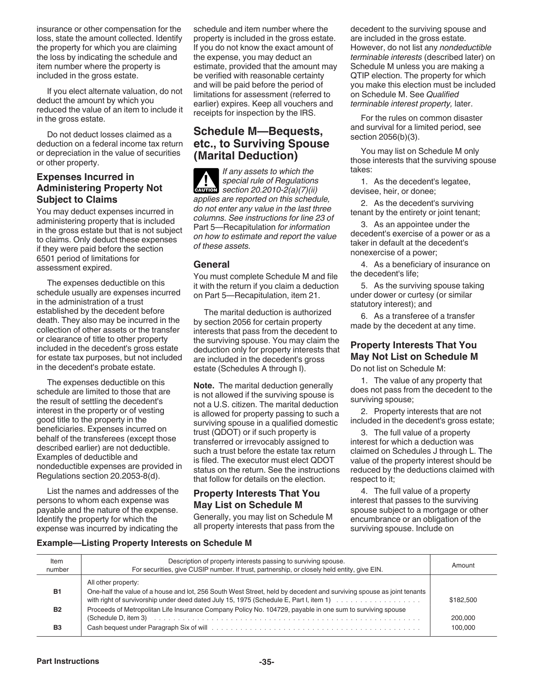<span id="page-34-0"></span>insurance or other compensation for the loss, state the amount collected. Identify the property for which you are claiming the loss by indicating the schedule and item number where the property is included in the gross estate.

If you elect alternate valuation, do not deduct the amount by which you reduced the value of an item to include it in the gross estate.

Do not deduct losses claimed as a deduction on a federal income tax return or depreciation in the value of securities or other property.

#### **Expenses Incurred in Administering Property Not Subject to Claims**

You may deduct expenses incurred in administering property that is included in the gross estate but that is not subject to claims. Only deduct these expenses if they were paid before the section 6501 period of limitations for assessment expired.

The expenses deductible on this schedule usually are expenses incurred in the administration of a trust established by the decedent before death. They also may be incurred in the collection of other assets or the transfer or clearance of title to other property included in the decedent's gross estate for estate tax purposes, but not included in the decedent's probate estate.

The expenses deductible on this schedule are limited to those that are the result of settling the decedent's interest in the property or of vesting good title to the property in the beneficiaries. Expenses incurred on behalf of the transferees (except those described earlier) are not deductible. Examples of deductible and nondeductible expenses are provided in Regulations section 20.2053-8(d).

List the names and addresses of the persons to whom each expense was payable and the nature of the expense. Identify the property for which the expense was incurred by indicating the

schedule and item number where the property is included in the gross estate. If you do not know the exact amount of the expense, you may deduct an estimate, provided that the amount may be verified with reasonable certainty and will be paid before the period of limitations for assessment (referred to earlier) expires. Keep all vouchers and receipts for inspection by the IRS.

# **Schedule M—Bequests, etc., to Surviving Spouse (Marital Deduction)**

*If any assets to which the special rule of Regulations*  **special rule of Regulations**<br> **Section 20.2010-2(a)(7)(ii)** *applies are reported on this schedule, do not enter any value in the last three columns. See instructions for line 23 of*  Part 5—Recapitulation *for information on how to estimate and report the value of these assets.*

#### **General**

You must complete Schedule M and file it with the return if you claim a deduction on Part 5—Recapitulation, item 21.

The marital deduction is authorized by section 2056 for certain property interests that pass from the decedent to the surviving spouse. You may claim the deduction only for property interests that are included in the decedent's gross estate (Schedules A through I).

**Note.** The marital deduction generally is not allowed if the surviving spouse is not a U.S. citizen. The marital deduction is allowed for property passing to such a surviving spouse in a qualified domestic trust (QDOT) or if such property is transferred or irrevocably assigned to such a trust before the estate tax return is filed. The executor must elect QDOT status on the return. See the instructions that follow for details on the election.

### **Property Interests That You May List on Schedule M**

Generally, you may list on Schedule M all property interests that pass from the decedent to the surviving spouse and are included in the gross estate. However, do not list any *nondeductible terminable interests* (described later) on Schedule M unless you are making a QTIP election. The property for which you make this election must be included on Schedule M. See *Qualified terminable interest property,* later.

For the rules on common disaster and survival for a limited period, see section 2056(b)(3).

You may list on Schedule M only those interests that the surviving spouse takes:

1. As the decedent's legatee, devisee, heir, or donee;

2. As the decedent's surviving tenant by the entirety or joint tenant;

3. As an appointee under the decedent's exercise of a power or as a taker in default at the decedent's nonexercise of a power;

4. As a beneficiary of insurance on the decedent's life;

5. As the surviving spouse taking under dower or curtesy (or similar statutory interest); and

6. As a transferee of a transfer made by the decedent at any time.

#### **Property Interests That You May Not List on Schedule M**

Do not list on Schedule M:

1. The value of any property that does not pass from the decedent to the surviving spouse;

2. Property interests that are not included in the decedent's gross estate;

3. The full value of a property interest for which a deduction was claimed on Schedules J through L. The value of the property interest should be reduced by the deductions claimed with respect to it;

4. The full value of a property interest that passes to the surviving spouse subject to a mortgage or other encumbrance or an obligation of the surviving spouse. Include on

#### **Example—Listing Property Interests on Schedule M**

| Item<br>number | Description of property interests passing to surviving spouse.<br>For securities, give CUSIP number. If trust, partnership, or closely held entity, give EIN.                                                                 | Amount    |
|----------------|-------------------------------------------------------------------------------------------------------------------------------------------------------------------------------------------------------------------------------|-----------|
| <b>B1</b>      | All other property:<br>One-half the value of a house and lot, 256 South West Street, held by decedent and surviving spouse as joint tenants                                                                                   | \$182,500 |
| <b>B2</b>      | Proceeds of Metropolitan Life Insurance Company Policy No. 104729, payable in one sum to surviving spouse                                                                                                                     | 200,000   |
| B <sub>3</sub> | Cash bequest under Paragraph Six of will with a state of the context of the context of the context of the context of the context of the context of the context of the context of the context of the context of the context of | 100.000   |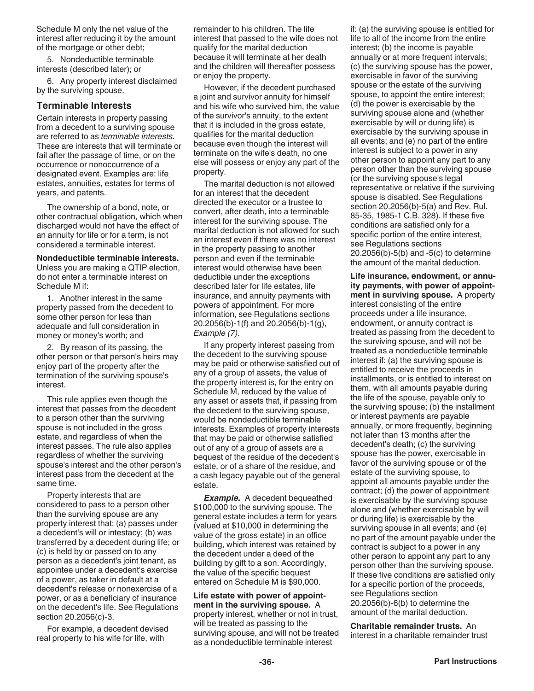<span id="page-35-0"></span>Schedule M only the net value of the interest after reducing it by the amount of the mortgage or other debt;

5. Nondeductible terminable interests (described later); or

6. Any property interest disclaimed by the surviving spouse.

#### **Terminable Interests**

Certain interests in property passing from a decedent to a surviving spouse are referred to as *terminable interests.*  These are interests that will terminate or fail after the passage of time, or on the occurrence or nonoccurrence of a designated event. Examples are: life estates, annuities, estates for terms of years, and patents.

The ownership of a bond, note, or other contractual obligation, which when discharged would not have the effect of an annuity for life or for a term, is not considered a terminable interest.

**Nondeductible terminable interests.**  Unless you are making a QTIP election, do not enter a terminable interest on Schedule M if:

1. Another interest in the same property passed from the decedent to some other person for less than adequate and full consideration in money or money's worth; and

2. By reason of its passing, the other person or that person's heirs may enjoy part of the property after the termination of the surviving spouse's interest.

This rule applies even though the interest that passes from the decedent to a person other than the surviving spouse is not included in the gross estate, and regardless of when the interest passes. The rule also applies regardless of whether the surviving spouse's interest and the other person's interest pass from the decedent at the same time.

Property interests that are considered to pass to a person other than the surviving spouse are any property interest that: (a) passes under a decedent's will or intestacy; (b) was transferred by a decedent during life; or (c) is held by or passed on to any person as a decedent's joint tenant, as appointee under a decedent's exercise of a power, as taker in default at a decedent's release or nonexercise of a power, or as a beneficiary of insurance on the decedent's life. See Regulations section 20.2056(c)-3.

For example, a decedent devised real property to his wife for life, with

remainder to his children. The life interest that passed to the wife does not qualify for the marital deduction because it will terminate at her death and the children will thereafter possess or enjoy the property.

However, if the decedent purchased a joint and survivor annuity for himself and his wife who survived him, the value of the survivor's annuity, to the extent that it is included in the gross estate, qualifies for the marital deduction because even though the interest will terminate on the wife's death, no one else will possess or enjoy any part of the property.

The marital deduction is not allowed for an interest that the decedent directed the executor or a trustee to convert, after death, into a terminable interest for the surviving spouse. The marital deduction is not allowed for such an interest even if there was no interest in the property passing to another person and even if the terminable interest would otherwise have been deductible under the exceptions described later for life estates, life insurance, and annuity payments with powers of appointment. For more information, see Regulations sections 20.2056(b)-1(f) and 20.2056(b)-1(g), *Example (7)*.

If any property interest passing from the decedent to the surviving spouse may be paid or otherwise satisfied out of any of a group of assets, the value of the property interest is, for the entry on Schedule M, reduced by the value of any asset or assets that, if passing from the decedent to the surviving spouse, would be nondeductible terminable interests. Examples of property interests that may be paid or otherwise satisfied out of any of a group of assets are a bequest of the residue of the decedent's estate, or of a share of the residue, and a cash legacy payable out of the general estate.

*Example.* A decedent bequeathed \$100,000 to the surviving spouse. The general estate includes a term for years (valued at \$10,000 in determining the value of the gross estate) in an office building, which interest was retained by the decedent under a deed of the building by gift to a son. Accordingly, the value of the specific bequest entered on Schedule M is \$90,000.

**Life estate with power of appointment in the surviving spouse.** A property interest, whether or not in trust, will be treated as passing to the surviving spouse, and will not be treated as a nondeductible terminable interest

if: (a) the surviving spouse is entitled for life to all of the income from the entire interest; (b) the income is payable annually or at more frequent intervals; (c) the surviving spouse has the power, exercisable in favor of the surviving spouse or the estate of the surviving spouse, to appoint the entire interest; (d) the power is exercisable by the surviving spouse alone and (whether exercisable by will or during life) is exercisable by the surviving spouse in all events; and (e) no part of the entire interest is subject to a power in any other person to appoint any part to any person other than the surviving spouse (or the surviving spouse's legal representative or relative if the surviving spouse is disabled. See Regulations section 20.2056(b)-5(a) and Rev. Rul. 85-35, 1985-1 C.B. 328). If these five conditions are satisfied only for a specific portion of the entire interest, see Regulations sections 20.2056(b)-5(b) and -5(c) to determine the amount of the marital deduction.

**Life insurance, endowment, or annuity payments, with power of appointment in surviving spouse.** A property interest consisting of the entire proceeds under a life insurance, endowment, or annuity contract is treated as passing from the decedent to the surviving spouse, and will not be treated as a nondeductible terminable interest if: (a) the surviving spouse is entitled to receive the proceeds in installments, or is entitled to interest on them, with all amounts payable during the life of the spouse, payable only to the surviving spouse; (b) the installment or interest payments are payable annually, or more frequently, beginning not later than 13 months after the decedent's death; (c) the surviving spouse has the power, exercisable in favor of the surviving spouse or of the estate of the surviving spouse, to appoint all amounts payable under the contract; (d) the power of appointment is exercisable by the surviving spouse alone and (whether exercisable by will or during life) is exercisable by the surviving spouse in all events; and (e) no part of the amount payable under the contract is subject to a power in any other person to appoint any part to any person other than the surviving spouse. If these five conditions are satisfied only for a specific portion of the proceeds, see Regulations section 20.2056(b)-6(b) to determine the amount of the marital deduction.

**Charitable remainder trusts.** An interest in a charitable remainder trust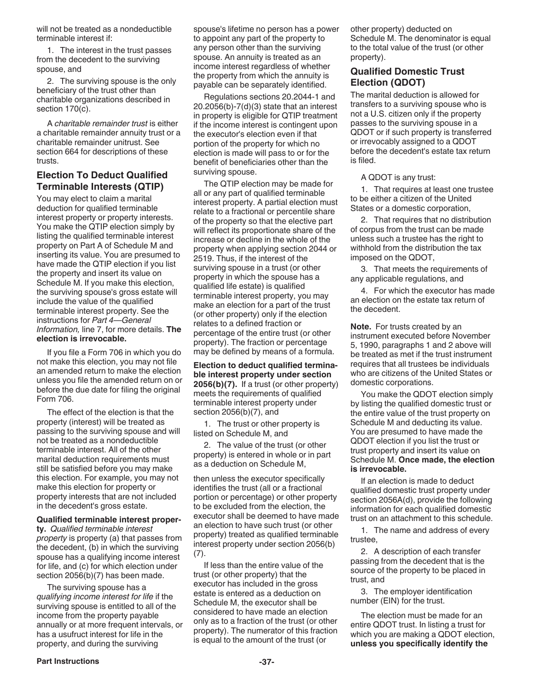<span id="page-36-0"></span>will not be treated as a nondeductible terminable interest if:

1. The interest in the trust passes from the decedent to the surviving spouse, and

2. The surviving spouse is the only beneficiary of the trust other than charitable organizations described in section 170(c).

A *charitable remainder trust* is either a charitable remainder annuity trust or a charitable remainder unitrust. See section 664 for descriptions of these trusts.

#### **Election To Deduct Qualified Terminable Interests (QTIP)**

You may elect to claim a marital deduction for qualified terminable interest property or property interests. You make the QTIP election simply by listing the qualified terminable interest property on Part A of Schedule M and inserting its value. You are presumed to have made the QTIP election if you list the property and insert its value on Schedule M. If you make this election, the surviving spouse's gross estate will include the value of the qualified terminable interest property. See the instructions for *Part 4—General Information,* line 7, for more details. **The election is irrevocable.**

If you file a Form 706 in which you do not make this election, you may not file an amended return to make the election unless you file the amended return on or before the due date for filing the original Form 706.

The effect of the election is that the property (interest) will be treated as passing to the surviving spouse and will not be treated as a nondeductible terminable interest. All of the other marital deduction requirements must still be satisfied before you may make this election. For example, you may not make this election for property or property interests that are not included in the decedent's gross estate.

#### **Qualified terminable interest proper-**

**ty.** *Qualified terminable interest property* is property (a) that passes from the decedent, (b) in which the surviving spouse has a qualifying income interest for life, and (c) for which election under section 2056(b)(7) has been made.

The surviving spouse has a *qualifying income interest for life* if the surviving spouse is entitled to all of the income from the property payable annually or at more frequent intervals, or has a usufruct interest for life in the property, and during the surviving

spouse's lifetime no person has a power to appoint any part of the property to any person other than the surviving spouse. An annuity is treated as an income interest regardless of whether the property from which the annuity is payable can be separately identified.

Regulations sections 20.2044-1 and 20.2056(b)-7(d)(3) state that an interest in property is eligible for QTIP treatment if the income interest is contingent upon the executor's election even if that portion of the property for which no election is made will pass to or for the benefit of beneficiaries other than the surviving spouse.

The QTIP election may be made for all or any part of qualified terminable interest property. A partial election must relate to a fractional or percentile share of the property so that the elective part will reflect its proportionate share of the increase or decline in the whole of the property when applying section 2044 or 2519. Thus, if the interest of the surviving spouse in a trust (or other property in which the spouse has a qualified life estate) is qualified terminable interest property, you may make an election for a part of the trust (or other property) only if the election relates to a defined fraction or percentage of the entire trust (or other property). The fraction or percentage may be defined by means of a formula.

**Election to deduct qualified terminable interest property under section 2056(b)(7).** If a trust (or other property) meets the requirements of qualified terminable interest property under section 2056(b)(7), and

1. The trust or other property is listed on Schedule M, and

2. The value of the trust (or other property) is entered in whole or in part as a deduction on Schedule M,

then unless the executor specifically identifies the trust (all or a fractional portion or percentage) or other property to be excluded from the election, the executor shall be deemed to have made an election to have such trust (or other property) treated as qualified terminable interest property under section 2056(b) (7).

If less than the entire value of the trust (or other property) that the executor has included in the gross estate is entered as a deduction on Schedule M, the executor shall be considered to have made an election only as to a fraction of the trust (or other property). The numerator of this fraction is equal to the amount of the trust (or

other property) deducted on Schedule M. The denominator is equal to the total value of the trust (or other property).

#### **Qualified Domestic Trust Election (QDOT)**

The marital deduction is allowed for transfers to a surviving spouse who is not a U.S. citizen only if the property passes to the surviving spouse in a QDOT or if such property is transferred or irrevocably assigned to a QDOT before the decedent's estate tax return is filed.

A QDOT is any trust:

1. That requires at least one trustee to be either a citizen of the United States or a domestic corporation,

2. That requires that no distribution of corpus from the trust can be made unless such a trustee has the right to withhold from the distribution the tax imposed on the QDOT,

3. That meets the requirements of any applicable regulations, and

4. For which the executor has made an election on the estate tax return of the decedent.

**Note.** For trusts created by an instrument executed before November 5, 1990, paragraphs 1 and 2 above will be treated as met if the trust instrument requires that all trustees be individuals who are citizens of the United States or domestic corporations.

You make the QDOT election simply by listing the qualified domestic trust or the entire value of the trust property on Schedule M and deducting its value. You are presumed to have made the QDOT election if you list the trust or trust property and insert its value on Schedule M. **Once made, the election is irrevocable.**

If an election is made to deduct qualified domestic trust property under section 2056A(d), provide the following information for each qualified domestic trust on an attachment to this schedule.

1. The name and address of every trustee,

2. A description of each transfer passing from the decedent that is the source of the property to be placed in trust, and

3. The employer identification number (EIN) for the trust.

The election must be made for an entire QDOT trust. In listing a trust for which you are making a QDOT election, **unless you specifically identify the**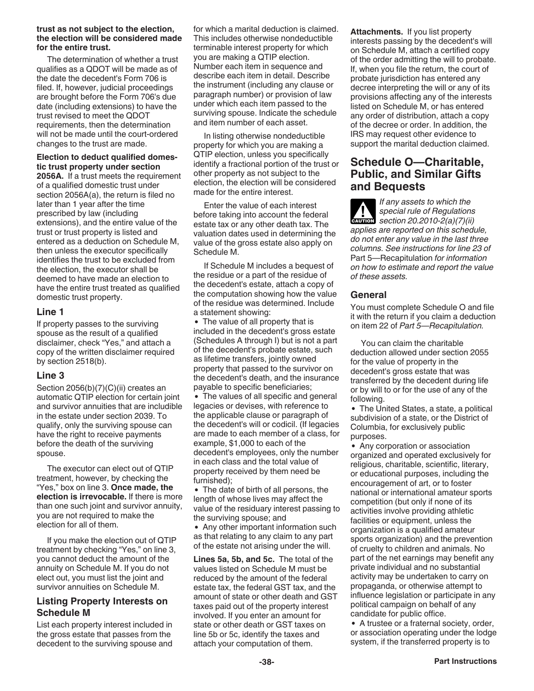#### <span id="page-37-0"></span>**trust as not subject to the election, the election will be considered made for the entire trust.**

The determination of whether a trust qualifies as a QDOT will be made as of the date the decedent's Form 706 is filed. If, however, judicial proceedings are brought before the Form 706's due date (including extensions) to have the trust revised to meet the QDOT requirements, then the determination will not be made until the court-ordered changes to the trust are made.

#### **Election to deduct qualified domestic trust property under section**

**2056A.** If a trust meets the requirement of a qualified domestic trust under section 2056A(a), the return is filed no later than 1 year after the time prescribed by law (including extensions), and the entire value of the trust or trust property is listed and entered as a deduction on Schedule M, then unless the executor specifically identifies the trust to be excluded from the election, the executor shall be deemed to have made an election to have the entire trust treated as qualified domestic trust property.

#### **Line 1**

If property passes to the surviving spouse as the result of a qualified disclaimer, check "Yes," and attach a copy of the written disclaimer required by section 2518(b).

#### **Line 3**

Section 2056(b)(7)(C)(ii) creates an automatic QTIP election for certain joint and survivor annuities that are includible in the estate under section 2039. To qualify, only the surviving spouse can have the right to receive payments before the death of the surviving spouse.

The executor can elect out of QTIP treatment, however, by checking the "Yes," box on line 3. **Once made, the election is irrevocable.** If there is more than one such joint and survivor annuity, you are not required to make the election for all of them.

If you make the election out of QTIP treatment by checking "Yes," on line 3, you cannot deduct the amount of the annuity on Schedule M. If you do not elect out, you must list the joint and survivor annuities on Schedule M.

#### **Listing Property Interests on Schedule M**

List each property interest included in the gross estate that passes from the decedent to the surviving spouse and

for which a marital deduction is claimed. This includes otherwise nondeductible terminable interest property for which you are making a QTIP election. Number each item in sequence and describe each item in detail. Describe the instrument (including any clause or paragraph number) or provision of law under which each item passed to the surviving spouse. Indicate the schedule and item number of each asset.

In listing otherwise nondeductible property for which you are making a QTIP election, unless you specifically identify a fractional portion of the trust or other property as not subject to the election, the election will be considered made for the entire interest.

Enter the value of each interest before taking into account the federal estate tax or any other death tax. The valuation dates used in determining the value of the gross estate also apply on Schedule M.

If Schedule M includes a bequest of the residue or a part of the residue of the decedent's estate, attach a copy of the computation showing how the value of the residue was determined. Include a statement showing:

• The value of all property that is included in the decedent's gross estate (Schedules A through I) but is not a part of the decedent's probate estate, such as lifetime transfers, jointly owned property that passed to the survivor on the decedent's death, and the insurance payable to specific beneficiaries;

The values of all specific and general legacies or devises, with reference to the applicable clause or paragraph of the decedent's will or codicil. (If legacies are made to each member of a class, for example, \$1,000 to each of the decedent's employees, only the number in each class and the total value of property received by them need be furnished);

The date of birth of all persons, the length of whose lives may affect the value of the residuary interest passing to the surviving spouse; and

• Any other important information such as that relating to any claim to any part of the estate not arising under the will.

**Lines 5a, 5b, and 5c.** The total of the values listed on Schedule M must be reduced by the amount of the federal estate tax, the federal GST tax, and the amount of state or other death and GST taxes paid out of the property interest involved. If you enter an amount for state or other death or GST taxes on line 5b or 5c, identify the taxes and attach your computation of them.

**Attachments.** If you list property interests passing by the decedent's will on Schedule M, attach a certified copy of the order admitting the will to probate. If, when you file the return, the court of probate jurisdiction has entered any decree interpreting the will or any of its provisions affecting any of the interests listed on Schedule M, or has entered any order of distribution, attach a copy of the decree or order. In addition, the IRS may request other evidence to support the marital deduction claimed.

# **Schedule O—Charitable, Public, and Similar Gifts and Bequests**

*If any assets to which the special rule of Regulations*  **c** special rule of Regulations<br> **Section 20.2010-2(a)(7)(ii)** *applies are reported on this schedule, do not enter any value in the last three columns. See instructions for line 23 of*  Part 5—Recapitulation *for information on how to estimate and report the value of these assets.*

#### **General**

You must complete Schedule O and file it with the return if you claim a deduction on item 22 of *Part 5—Recapitulation.*

You can claim the charitable deduction allowed under section 2055 for the value of property in the decedent's gross estate that was transferred by the decedent during life or by will to or for the use of any of the following.

• The United States, a state, a political subdivision of a state, or the District of Columbia, for exclusively public purposes.

Any corporation or association organized and operated exclusively for religious, charitable, scientific, literary, or educational purposes, including the encouragement of art, or to foster national or international amateur sports competition (but only if none of its activities involve providing athletic facilities or equipment, unless the organization is a qualified amateur sports organization) and the prevention of cruelty to children and animals. No part of the net earnings may benefit any private individual and no substantial activity may be undertaken to carry on propaganda, or otherwise attempt to influence legislation or participate in any political campaign on behalf of any candidate for public office.

A trustee or a fraternal society, order, or association operating under the lodge system, if the transferred property is to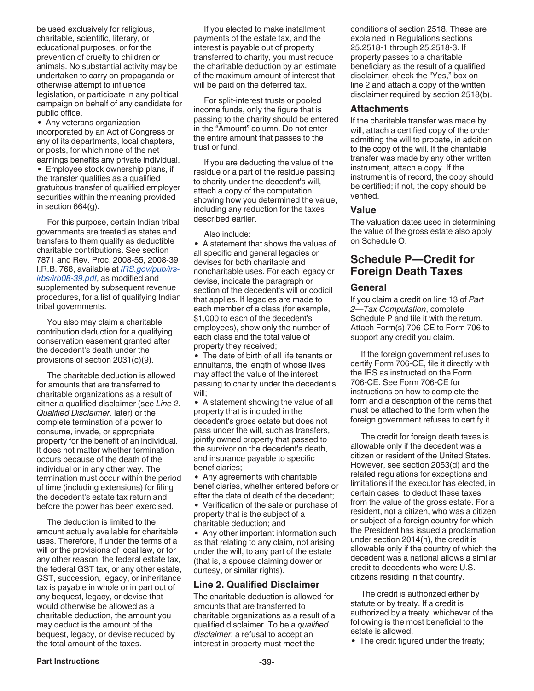<span id="page-38-0"></span>be used exclusively for religious, charitable, scientific, literary, or educational purposes, or for the prevention of cruelty to children or animals. No substantial activity may be undertaken to carry on propaganda or otherwise attempt to influence legislation, or participate in any political campaign on behalf of any candidate for public office.

Any veterans organization incorporated by an Act of Congress or any of its departments, local chapters, or posts, for which none of the net earnings benefits any private individual. Employee stock ownership plans, if the transfer qualifies as a qualified gratuitous transfer of qualified employer securities within the meaning provided in section 664(g).

For this purpose, certain Indian tribal governments are treated as states and transfers to them qualify as deductible charitable contributions. See section 7871 and Rev. Proc. 2008-55, 2008-39 I.R.B. 768, available at *[IRS.gov/pub/irs](https://www.irs.gov/pub/irs-irbs/irb08-39.pdf)[irbs/irb08-39.pdf](https://www.irs.gov/pub/irs-irbs/irb08-39.pdf)*, as modified and supplemented by subsequent revenue procedures, for a list of qualifying Indian tribal governments.

You also may claim a charitable contribution deduction for a qualifying conservation easement granted after the decedent's death under the provisions of section 2031(c)(9).

The charitable deduction is allowed for amounts that are transferred to charitable organizations as a result of either a qualified disclaimer (see *Line 2. Qualified Disclaimer,* later) or the complete termination of a power to consume, invade, or appropriate property for the benefit of an individual. It does not matter whether termination occurs because of the death of the individual or in any other way. The termination must occur within the period of time (including extensions) for filing the decedent's estate tax return and before the power has been exercised.

The deduction is limited to the amount actually available for charitable uses. Therefore, if under the terms of a will or the provisions of local law, or for any other reason, the federal estate tax, the federal GST tax, or any other estate, GST, succession, legacy, or inheritance tax is payable in whole or in part out of any bequest, legacy, or devise that would otherwise be allowed as a charitable deduction, the amount you may deduct is the amount of the bequest, legacy, or devise reduced by the total amount of the taxes.

If you elected to make installment payments of the estate tax, and the interest is payable out of property transferred to charity, you must reduce the charitable deduction by an estimate of the maximum amount of interest that will be paid on the deferred tax.

For split-interest trusts or pooled income funds, only the figure that is passing to the charity should be entered in the "Amount" column. Do not enter the entire amount that passes to the trust or fund.

If you are deducting the value of the residue or a part of the residue passing to charity under the decedent's will, attach a copy of the computation showing how you determined the value, including any reduction for the taxes described earlier.

#### Also include:

A statement that shows the values of all specific and general legacies or devises for both charitable and noncharitable uses. For each legacy or devise, indicate the paragraph or section of the decedent's will or codicil that applies. If legacies are made to each member of a class (for example, \$1,000 to each of the decedent's employees), show only the number of each class and the total value of property they received;

The date of birth of all life tenants or annuitants, the length of whose lives may affect the value of the interest passing to charity under the decedent's will;

• A statement showing the value of all property that is included in the decedent's gross estate but does not pass under the will, such as transfers, jointly owned property that passed to the survivor on the decedent's death, and insurance payable to specific beneficiaries;

• Any agreements with charitable beneficiaries, whether entered before or after the date of death of the decedent;

Verification of the sale or purchase of property that is the subject of a charitable deduction; and

• Any other important information such as that relating to any claim, not arising under the will, to any part of the estate (that is, a spouse claiming dower or curtesy, or similar rights).

#### **Line 2. Qualified Disclaimer**

The charitable deduction is allowed for amounts that are transferred to charitable organizations as a result of a qualified disclaimer. To be a *qualified disclaimer*, a refusal to accept an interest in property must meet the

conditions of section 2518. These are explained in Regulations sections 25.2518-1 through 25.2518-3. If property passes to a charitable beneficiary as the result of a qualified disclaimer, check the "Yes," box on line 2 and attach a copy of the written disclaimer required by section 2518(b).

#### **Attachments**

If the charitable transfer was made by will, attach a certified copy of the order admitting the will to probate, in addition to the copy of the will. If the charitable transfer was made by any other written instrument, attach a copy. If the instrument is of record, the copy should be certified; if not, the copy should be verified.

#### **Value**

The valuation dates used in determining the value of the gross estate also apply on Schedule O.

# **Schedule P—Credit for Foreign Death Taxes**

#### **General**

If you claim a credit on line 13 of *Part 2—Tax Computation*, complete Schedule P and file it with the return. Attach Form(s) 706-CE to Form 706 to support any credit you claim.

If the foreign government refuses to certify Form 706-CE, file it directly with the IRS as instructed on the Form 706-CE. See Form 706-CE for instructions on how to complete the form and a description of the items that must be attached to the form when the foreign government refuses to certify it.

The credit for foreign death taxes is allowable only if the decedent was a citizen or resident of the United States. However, see section 2053(d) and the related regulations for exceptions and limitations if the executor has elected, in certain cases, to deduct these taxes from the value of the gross estate. For a resident, not a citizen, who was a citizen or subject of a foreign country for which the President has issued a proclamation under section 2014(h), the credit is allowable only if the country of which the decedent was a national allows a similar credit to decedents who were U.S. citizens residing in that country.

The credit is authorized either by statute or by treaty. If a credit is authorized by a treaty, whichever of the following is the most beneficial to the estate is allowed.

• The credit figured under the treaty;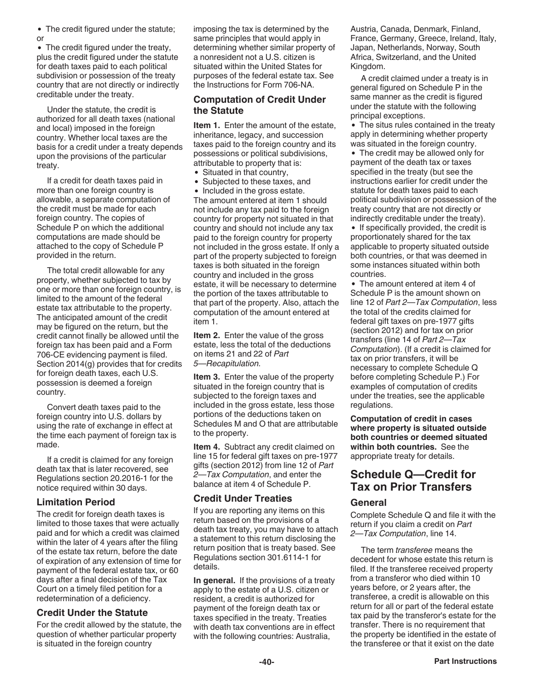<span id="page-39-0"></span>• The credit figured under the statute; or

• The credit figured under the treaty, plus the credit figured under the statute for death taxes paid to each political subdivision or possession of the treaty country that are not directly or indirectly creditable under the treaty.

Under the statute, the credit is authorized for all death taxes (national and local) imposed in the foreign country. Whether local taxes are the basis for a credit under a treaty depends upon the provisions of the particular treaty.

If a credit for death taxes paid in more than one foreign country is allowable, a separate computation of the credit must be made for each foreign country. The copies of Schedule P on which the additional computations are made should be attached to the copy of Schedule P provided in the return.

The total credit allowable for any property, whether subjected to tax by one or more than one foreign country, is limited to the amount of the federal estate tax attributable to the property. The anticipated amount of the credit may be figured on the return, but the credit cannot finally be allowed until the foreign tax has been paid and a Form 706-CE evidencing payment is filed. Section 2014(g) provides that for credits for foreign death taxes, each U.S. possession is deemed a foreign country.

Convert death taxes paid to the foreign country into U.S. dollars by using the rate of exchange in effect at the time each payment of foreign tax is made.

If a credit is claimed for any foreign death tax that is later recovered, see Regulations section 20.2016-1 for the notice required within 30 days.

#### **Limitation Period**

The credit for foreign death taxes is limited to those taxes that were actually paid and for which a credit was claimed within the later of 4 years after the filing of the estate tax return, before the date of expiration of any extension of time for payment of the federal estate tax, or 60 days after a final decision of the Tax Court on a timely filed petition for a redetermination of a deficiency.

#### **Credit Under the Statute**

For the credit allowed by the statute, the question of whether particular property is situated in the foreign country

imposing the tax is determined by the same principles that would apply in determining whether similar property of a nonresident not a U.S. citizen is situated within the United States for purposes of the federal estate tax. See the Instructions for Form 706-NA.

#### **Computation of Credit Under the Statute**

**Item 1.** Enter the amount of the estate, inheritance, legacy, and succession taxes paid to the foreign country and its possessions or political subdivisions, attributable to property that is:

- Situated in that country,
- Subjected to these taxes, and

• Included in the gross estate. The amount entered at item 1 should not include any tax paid to the foreign country for property not situated in that country and should not include any tax paid to the foreign country for property not included in the gross estate. If only a part of the property subjected to foreign taxes is both situated in the foreign country and included in the gross estate, it will be necessary to determine the portion of the taxes attributable to that part of the property. Also, attach the computation of the amount entered at item 1.

**Item 2.** Enter the value of the gross estate, less the total of the deductions on items 21 and 22 of *Part 5—Recapitulation.*

**Item 3.** Enter the value of the property situated in the foreign country that is subjected to the foreign taxes and included in the gross estate, less those portions of the deductions taken on Schedules M and O that are attributable to the property.

**Item 4.** Subtract any credit claimed on line 15 for federal gift taxes on pre-1977 gifts (section 2012) from line 12 of *Part 2—Tax Computation*, and enter the balance at item 4 of Schedule P.

### **Credit Under Treaties**

If you are reporting any items on this return based on the provisions of a death tax treaty, you may have to attach a statement to this return disclosing the return position that is treaty based. See Regulations section 301.6114-1 for details.

**In general.** If the provisions of a treaty apply to the estate of a U.S. citizen or resident, a credit is authorized for payment of the foreign death tax or taxes specified in the treaty. Treaties with death tax conventions are in effect with the following countries: Australia,

Austria, Canada, Denmark, Finland, France, Germany, Greece, Ireland, Italy, Japan, Netherlands, Norway, South Africa, Switzerland, and the United Kingdom.

A credit claimed under a treaty is in general figured on Schedule P in the same manner as the credit is figured under the statute with the following principal exceptions.

The situs rules contained in the treaty apply in determining whether property was situated in the foreign country.

• The credit may be allowed only for payment of the death tax or taxes specified in the treaty (but see the instructions earlier for credit under the statute for death taxes paid to each political subdivision or possession of the treaty country that are not directly or indirectly creditable under the treaty).

• If specifically provided, the credit is proportionately shared for the tax applicable to property situated outside both countries, or that was deemed in some instances situated within both countries.

• The amount entered at item 4 of Schedule P is the amount shown on line 12 of *Part 2—Tax Computation*, less the total of the credits claimed for federal gift taxes on pre-1977 gifts (section 2012) and for tax on prior transfers (line 14 of *Part 2—Tax Computation*). (If a credit is claimed for tax on prior transfers, it will be necessary to complete Schedule Q before completing Schedule P.) For examples of computation of credits under the treaties, see the applicable regulations.

**Computation of credit in cases where property is situated outside both countries or deemed situated within both countries.** See the appropriate treaty for details.

# **Schedule Q—Credit for Tax on Prior Transfers**

#### **General**

Complete Schedule Q and file it with the return if you claim a credit on *Part 2—Tax Computation*, line 14.

The term *transferee* means the decedent for whose estate this return is filed. If the transferee received property from a transferor who died within 10 years before, or 2 years after, the transferee, a credit is allowable on this return for all or part of the federal estate tax paid by the transferor's estate for the transfer. There is no requirement that the property be identified in the estate of the transferee or that it exist on the date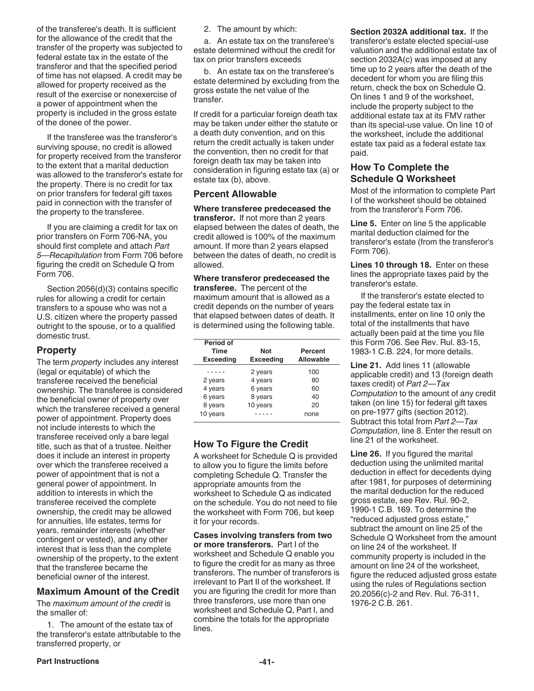<span id="page-40-0"></span>of the transferee's death. It is sufficient for the allowance of the credit that the transfer of the property was subjected to federal estate tax in the estate of the transferor and that the specified period of time has not elapsed. A credit may be allowed for property received as the result of the exercise or nonexercise of a power of appointment when the property is included in the gross estate of the donee of the power.

If the transferee was the transferor's surviving spouse, no credit is allowed for property received from the transferor to the extent that a marital deduction was allowed to the transferor's estate for the property. There is no credit for tax on prior transfers for federal gift taxes paid in connection with the transfer of the property to the transferee.

If you are claiming a credit for tax on prior transfers on Form 706-NA, you should first complete and attach *Part 5—Recapitulation* from Form 706 before figuring the credit on Schedule Q from Form 706.

Section 2056(d)(3) contains specific rules for allowing a credit for certain transfers to a spouse who was not a U.S. citizen where the property passed outright to the spouse, or to a qualified domestic trust.

#### **Property**

The term *property* includes any interest (legal or equitable) of which the transferee received the beneficial ownership. The transferee is considered the beneficial owner of property over which the transferee received a general power of appointment. Property does not include interests to which the transferee received only a bare legal title, such as that of a trustee. Neither does it include an interest in property over which the transferee received a power of appointment that is not a general power of appointment. In addition to interests in which the transferee received the complete ownership, the credit may be allowed for annuities, life estates, terms for years, remainder interests (whether contingent or vested), and any other interest that is less than the complete ownership of the property, to the extent that the transferee became the beneficial owner of the interest.

#### **Maximum Amount of the Credit**

The *maximum amount of the credit* is the smaller of:

1. The amount of the estate tax of the transferor's estate attributable to the transferred property, or

2. The amount by which:

a. An estate tax on the transferee's estate determined without the credit for tax on prior transfers exceeds

b. An estate tax on the transferee's estate determined by excluding from the gross estate the net value of the transfer.

If credit for a particular foreign death tax may be taken under either the statute or a death duty convention, and on this return the credit actually is taken under the convention, then no credit for that foreign death tax may be taken into consideration in figuring estate tax (a) or estate tax (b), above.

#### **Percent Allowable**

**Where transferee predeceased the transferor.** If not more than 2 years elapsed between the dates of death, the credit allowed is 100% of the maximum amount. If more than 2 years elapsed between the dates of death, no credit is allowed.

### **Where transferor predeceased the**

**transferee.** The percent of the maximum amount that is allowed as a credit depends on the number of years that elapsed between dates of death. It is determined using the following table.

| Period of<br><b>Time</b><br><b>Exceeding</b> | Not<br><b>Exceeding</b> | Percent<br><b>Allowable</b> |
|----------------------------------------------|-------------------------|-----------------------------|
|                                              | 2 years                 | 100                         |
| 2 years                                      | 4 years                 | 80                          |
| 4 years                                      | 6 years                 | 60                          |
| 6 years                                      | 8 years                 | 40                          |
| 8 years                                      | 10 years                | 20                          |
| 10 years                                     |                         | none                        |

# **How To Figure the Credit**

A worksheet for Schedule Q is provided to allow you to figure the limits before completing Schedule Q. Transfer the appropriate amounts from the worksheet to Schedule Q as indicated on the schedule. You do not need to file the worksheet with Form 706, but keep it for your records.

**Cases involving transfers from two or more transferors.** Part I of the worksheet and Schedule Q enable you to figure the credit for as many as three transferors. The number of transferors is irrelevant to Part II of the worksheet. If you are figuring the credit for more than three transferors, use more than one worksheet and Schedule Q, Part I, and combine the totals for the appropriate lines.

**Section 2032A additional tax.** If the transferor's estate elected special-use valuation and the additional estate tax of section 2032A(c) was imposed at any time up to 2 years after the death of the decedent for whom you are filing this return, check the box on Schedule Q. On lines 1 and 9 of the worksheet, include the property subject to the additional estate tax at its FMV rather than its special-use value. On line 10 of the worksheet, include the additional estate tax paid as a federal estate tax paid.

#### **How To Complete the Schedule Q Worksheet**

Most of the information to complete Part I of the worksheet should be obtained from the transferor's Form 706.

**Line 5.** Enter on line 5 the applicable marital deduction claimed for the transferor's estate (from the transferor's Form 706).

**Lines 10 through 18.** Enter on these lines the appropriate taxes paid by the transferor's estate.

If the transferor's estate elected to pay the federal estate tax in installments, enter on line 10 only the total of the installments that have actually been paid at the time you file this Form 706. See Rev. Rul. 83-15, 1983-1 C.B. 224, for more details.

**Line 21.** Add lines 11 (allowable applicable credit) and 13 (foreign death taxes credit) of *Part 2—Tax Computation* to the amount of any credit taken (on line 15) for federal gift taxes on pre-1977 gifts (section 2012). Subtract this total from *Part 2—Tax Computation*, line 8. Enter the result on line 21 of the worksheet.

**Line 26.** If you figured the marital deduction using the unlimited marital deduction in effect for decedents dying after 1981, for purposes of determining the marital deduction for the reduced gross estate, see Rev. Rul. 90-2, 1990-1 C.B. 169. To determine the "reduced adjusted gross estate," subtract the amount on line 25 of the Schedule Q Worksheet from the amount on line 24 of the worksheet. If community property is included in the amount on line 24 of the worksheet, figure the reduced adjusted gross estate using the rules of Regulations section 20.2056(c)-2 and Rev. Rul. 76-311, 1976-2 C.B. 261.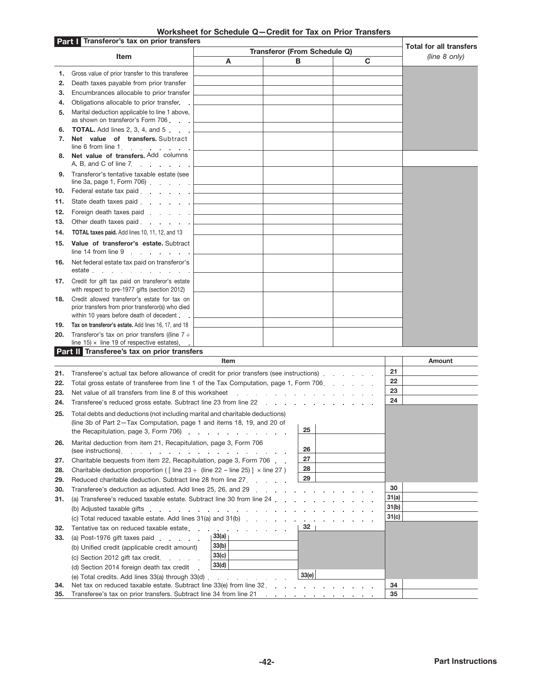#### Worksheet for Schedule Q—Credit for Tax on Prior Transfers

| Part   Transferor's tax on prior transfers<br>Transferor (From Schedule Q) |                                                                                                                                                                                                                                |                                     |                             |                                        | <b>Total for all transfers</b> |                |                 |
|----------------------------------------------------------------------------|--------------------------------------------------------------------------------------------------------------------------------------------------------------------------------------------------------------------------------|-------------------------------------|-----------------------------|----------------------------------------|--------------------------------|----------------|-----------------|
|                                                                            | Item                                                                                                                                                                                                                           | Α                                   |                             | в                                      | C                              |                | (line $8$ only) |
| 1.                                                                         | Gross value of prior transfer to this transferee                                                                                                                                                                               |                                     |                             |                                        |                                |                |                 |
| 2.                                                                         | Death taxes payable from prior transfer                                                                                                                                                                                        |                                     |                             |                                        |                                |                |                 |
| з.                                                                         | Encumbrances allocable to prior transfer                                                                                                                                                                                       |                                     |                             |                                        |                                |                |                 |
| 4.                                                                         | Obligations allocable to prior transfer.                                                                                                                                                                                       |                                     |                             |                                        |                                |                |                 |
| 5.                                                                         | Marital deduction applicable to line 1 above,<br>as shown on transferor's Form 706                                                                                                                                             |                                     |                             |                                        |                                |                |                 |
| 6.                                                                         | <b>TOTAL.</b> Add lines 2, 3, 4, and 5                                                                                                                                                                                         |                                     |                             |                                        |                                |                |                 |
|                                                                            | 7. Net value of transfers. Subtract<br>line 6 from line $1 \quad \ldots \quad \ldots$                                                                                                                                          |                                     |                             |                                        |                                |                |                 |
|                                                                            | 8. Net value of transfers. Add columns<br>A, B, and C of line 7. $\ldots$ $\ldots$                                                                                                                                             |                                     |                             |                                        |                                |                |                 |
|                                                                            | 9. Transferor's tentative taxable estate (see<br>line 3a, page 1, Form 706) $\ldots$                                                                                                                                           |                                     |                             |                                        |                                |                |                 |
| 10.                                                                        | Federal estate tax paid                                                                                                                                                                                                        |                                     |                             |                                        |                                |                |                 |
| 11.                                                                        | State death taxes paid                                                                                                                                                                                                         |                                     |                             |                                        |                                |                |                 |
| 12.                                                                        | Foreign death taxes paid                                                                                                                                                                                                       |                                     |                             |                                        |                                |                |                 |
| 13.                                                                        | Other death taxes paid                                                                                                                                                                                                         |                                     |                             |                                        |                                |                |                 |
| 14.                                                                        | <b>TOTAL taxes paid.</b> Add lines 10, 11, 12, and 13                                                                                                                                                                          |                                     |                             |                                        |                                |                |                 |
| 15.                                                                        | Value of transferor's estate. Subtract<br>$line 14 from line 9$ $\ldots$                                                                                                                                                       |                                     |                             |                                        |                                |                |                 |
|                                                                            | 16. Net federal estate tax paid on transferor's<br>estate                                                                                                                                                                      |                                     |                             |                                        |                                |                |                 |
|                                                                            | 17. Credit for gift tax paid on transferor's estate<br>with respect to pre-1977 gifts (section 2012)                                                                                                                           |                                     |                             |                                        |                                |                |                 |
|                                                                            | 18. Credit allowed transferor's estate for tax on<br>prior transfers from prior transferor(s) who died<br>within 10 years before death of decedent.                                                                            |                                     |                             |                                        |                                |                |                 |
|                                                                            | 19. Tax on transferor's estate. Add lines 16, 17, and 18                                                                                                                                                                       |                                     |                             |                                        |                                |                |                 |
| 20.                                                                        | Transferor's tax on prior transfers ((line $7 \div$<br>line $15$ $\times$ line 19 of respective estates).                                                                                                                      |                                     |                             |                                        |                                |                |                 |
|                                                                            | <b>Part II</b> Transferee's tax on prior transfers                                                                                                                                                                             |                                     |                             |                                        |                                |                |                 |
|                                                                            |                                                                                                                                                                                                                                | Item                                |                             |                                        |                                |                | Amount          |
| 21.                                                                        | Transferee's actual tax before allowance of credit for prior transfers (see instructions) enterstanding that i                                                                                                                 |                                     |                             |                                        |                                | 21             |                 |
| 22.                                                                        | Total gross estate of transferee from line 1 of the Tax Computation, page 1, Form 706.                                                                                                                                         |                                     |                             |                                        |                                | 22             |                 |
| 23.                                                                        | Net value of all transfers from line 8 of this worksheet                                                                                                                                                                       |                                     |                             | design and a state of the state of the |                                | 23<br>24       |                 |
| 24.                                                                        | Transferee's reduced gross estate. Subtract line 23 from line 22 manus and contact the contract of the contract of the 23 from line 22 manus and contact the contact of the contact of the contact of the contact of the conta |                                     |                             |                                        |                                |                |                 |
| 25.                                                                        | Total debts and deductions (not including marital and charitable deductions)<br>(line 3b of Part 2-Tax Computation, page 1 and items 18, 19, and 20 of<br>the Recapitulation, page 3, Form 706)                                |                                     |                             | $25$                                   |                                |                |                 |
| 26.                                                                        | Marital deduction from item 21, Recapitulation, page 3, Form 706<br>(see instructions).<br>the contract of the contract of the contract of the contract of the contract of the contract of the contract of                     |                                     |                             | 26                                     |                                |                |                 |
| 27.                                                                        | Charitable bequests from item 22, Recapitulation, page 3, Form 706.                                                                                                                                                            |                                     |                             | 27                                     |                                |                |                 |
| 28.                                                                        | Charitable deduction proportion (   line $23 \div$ (line $22 -$ line $25$ )   $\times$ line 27 )                                                                                                                               |                                     |                             | 28                                     |                                |                |                 |
| 29.                                                                        | Reduced charitable deduction. Subtract line 28 from line 27.                                                                                                                                                                   |                                     |                             | 29                                     |                                |                |                 |
| 30.                                                                        | Transferee's deduction as adjusted. Add lines 25, 26, and 29                                                                                                                                                                   |                                     |                             |                                        |                                | 30             |                 |
| 31.                                                                        | (a) Transferee's reduced taxable estate. Subtract line 30 from line 24                                                                                                                                                         |                                     |                             |                                        |                                | 31(a)          |                 |
|                                                                            |                                                                                                                                                                                                                                |                                     |                             |                                        |                                | 31(b)<br>31(c) |                 |
|                                                                            | (c) Total reduced taxable estate. Add lines $31(a)$ and $31(b)$ , , , , , ,                                                                                                                                                    |                                     |                             | 32                                     |                                |                |                 |
| 32.                                                                        | Tentative tax on reduced taxable estate.                                                                                                                                                                                       | 33(a)                               | and a state of the state of |                                        |                                |                |                 |
| 33.                                                                        | (a) Post-1976 gift taxes paid<br>(b) Unified credit (applicable credit amount)                                                                                                                                                 | 33(b)                               |                             |                                        |                                |                |                 |
|                                                                            | (c) Section 2012 gift tax credit                                                                                                                                                                                               | 33(c)                               |                             |                                        |                                |                |                 |
|                                                                            | (d) Section 2014 foreign death tax credit                                                                                                                                                                                      | 33(d)                               |                             |                                        |                                |                |                 |
|                                                                            | (e) Total credits. Add lines 33(a) through 33(d).                                                                                                                                                                              | the contract of the contract of the |                             | 33(e)                                  |                                |                |                 |
| 34.                                                                        | Net tax on reduced taxable estate. Subtract line 33(e) from line 32                                                                                                                                                            |                                     |                             | $\alpha$ . $\alpha$ , $\alpha$         |                                | 34             |                 |
| 35.                                                                        | Transferee's tax on prior transfers. Subtract line 34 from line 21                                                                                                                                                             |                                     |                             |                                        |                                | 35             |                 |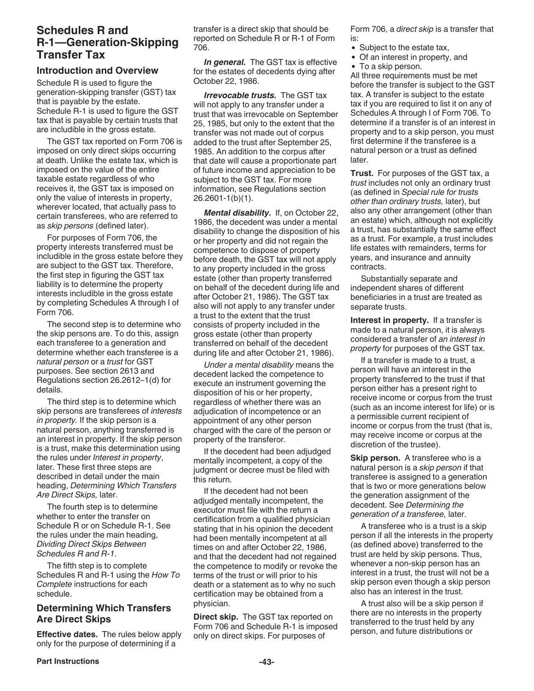# <span id="page-42-0"></span>**Schedules R and R-1—Generation-Skipping Transfer Tax**

#### **Introduction and Overview**

Schedule R is used to figure the generation-skipping transfer (GST) tax that is payable by the estate. Schedule R-1 is used to figure the GST tax that is payable by certain trusts that are includible in the gross estate.

The GST tax reported on Form 706 is imposed on only direct skips occurring at death. Unlike the estate tax, which is imposed on the value of the entire taxable estate regardless of who receives it, the GST tax is imposed on only the value of interests in property, wherever located, that actually pass to certain transferees, who are referred to as *skip persons* (defined later).

For purposes of Form 706, the property interests transferred must be includible in the gross estate before they are subject to the GST tax. Therefore, the first step in figuring the GST tax liability is to determine the property interests includible in the gross estate by completing Schedules A through I of Form 706.

The second step is to determine who the skip persons are. To do this, assign each transferee to a generation and determine whether each transferee is a *natural person* or a *trust* for GST purposes. See section 2613 and Regulations section 26.2612–1(d) for details.

The third step is to determine which skip persons are transferees of *interests in property.* If the skip person is a natural person, anything transferred is an interest in property. If the skip person is a trust, make this determination using the rules under *Interest in property*, later. These first three steps are described in detail under the main heading, *Determining Which Transfers Are Direct Skips,* later.

The fourth step is to determine whether to enter the transfer on Schedule R or on Schedule R-1. See the rules under the main heading, *Dividing Direct Skips Between Schedules R and R-1*.

The fifth step is to complete Schedules R and R-1 using the *How To Complete* instructions for each schedule.

#### **Determining Which Transfers Are Direct Skips**

**Effective dates.** The rules below apply only for the purpose of determining if a

transfer is a direct skip that should be reported on Schedule R or R-1 of Form 706.

*In general.* The GST tax is effective for the estates of decedents dying after October 22, 1986.

*Irrevocable trusts.* The GST tax will not apply to any transfer under a trust that was irrevocable on September 25, 1985, but only to the extent that the transfer was not made out of corpus added to the trust after September 25, 1985. An addition to the corpus after that date will cause a proportionate part of future income and appreciation to be subject to the GST tax. For more information, see Regulations section 26.2601-1(b)(1).

*Mental disability.* If, on October 22, 1986, the decedent was under a mental disability to change the disposition of his or her property and did not regain the competence to dispose of property before death, the GST tax will not apply to any property included in the gross estate (other than property transferred on behalf of the decedent during life and after October 21, 1986). The GST tax also will not apply to any transfer under a trust to the extent that the trust consists of property included in the gross estate (other than property transferred on behalf of the decedent during life and after October 21, 1986).

*Under a mental disability* means the decedent lacked the competence to execute an instrument governing the disposition of his or her property, regardless of whether there was an adjudication of incompetence or an appointment of any other person charged with the care of the person or property of the transferor.

If the decedent had been adjudged mentally incompetent, a copy of the judgment or decree must be filed with this return.

If the decedent had not been adjudged mentally incompetent, the executor must file with the return a certification from a qualified physician stating that in his opinion the decedent had been mentally incompetent at all times on and after October 22, 1986, and that the decedent had not regained the competence to modify or revoke the terms of the trust or will prior to his death or a statement as to why no such certification may be obtained from a physician.

**Direct skip.** The GST tax reported on Form 706 and Schedule R-1 is imposed only on direct skips. For purposes of

Form 706, a *direct skip* is a transfer that is:

- Subject to the estate tax,
- Of an interest in property, and
- To a skip person.

All three requirements must be met before the transfer is subject to the GST tax. A transfer is subject to the estate tax if you are required to list it on any of Schedules A through I of Form 706. To determine if a transfer is of an interest in property and to a skip person, you must first determine if the transferee is a natural person or a trust as defined later.

**Trust.** For purposes of the GST tax, a *trust* includes not only an ordinary trust (as defined in *Special rule for trusts other than ordinary trusts,* later), but also any other arrangement (other than an estate) which, although not explicitly a trust, has substantially the same effect as a trust. For example, a trust includes life estates with remainders, terms for years, and insurance and annuity contracts.

Substantially separate and independent shares of different beneficiaries in a trust are treated as separate trusts.

**Interest in property.** If a transfer is made to a natural person, it is always considered a transfer of *an interest in property* for purposes of the GST tax.

If a transfer is made to a trust, a person will have an interest in the property transferred to the trust if that person either has a present right to receive income or corpus from the trust (such as an income interest for life) or is a permissible current recipient of income or corpus from the trust (that is, may receive income or corpus at the discretion of the trustee).

**Skip person.** A transferee who is a natural person is a *skip person* if that transferee is assigned to a generation that is two or more generations below the generation assignment of the decedent. See *Determining the generation of a transferee,* later.

A transferee who is a trust is a skip person if all the interests in the property (as defined above) transferred to the trust are held by skip persons. Thus, whenever a non-skip person has an interest in a trust, the trust will not be a skip person even though a skip person also has an interest in the trust.

A trust also will be a skip person if there are no interests in the property transferred to the trust held by any person, and future distributions or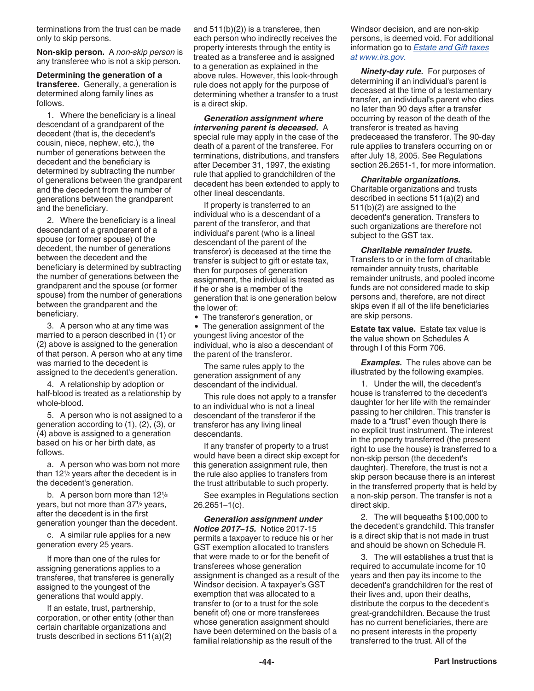terminations from the trust can be made only to skip persons.

**Non-skip person.** A *non-skip person* is any transferee who is not a skip person.

**Determining the generation of a transferee.** Generally, a generation is determined along family lines as follows.

1. Where the beneficiary is a lineal descendant of a grandparent of the decedent (that is, the decedent's cousin, niece, nephew, etc.), the number of generations between the decedent and the beneficiary is determined by subtracting the number of generations between the grandparent and the decedent from the number of generations between the grandparent and the beneficiary.

2. Where the beneficiary is a lineal descendant of a grandparent of a spouse (or former spouse) of the decedent, the number of generations between the decedent and the beneficiary is determined by subtracting the number of generations between the grandparent and the spouse (or former spouse) from the number of generations between the grandparent and the beneficiary.

3. A person who at any time was married to a person described in (1) or (2) above is assigned to the generation of that person. A person who at any time was married to the decedent is assigned to the decedent's generation.

4. A relationship by adoption or half-blood is treated as a relationship by whole-blood.

5. A person who is not assigned to a generation according to (1), (2), (3), or (4) above is assigned to a generation based on his or her birth date, as follows.

a. A person who was born not more than 12**<sup>1</sup> <sup>2</sup>** years after the decedent is in the decedent's generation.

b. A person born more than 12**<sup>1</sup>** years, but not more than 37**<sup>1</sup> <sup>2</sup>** years, after the decedent is in the first generation younger than the decedent.

c. A similar rule applies for a new generation every 25 years.

If more than one of the rules for assigning generations applies to a transferee, that transferee is generally assigned to the youngest of the generations that would apply.

If an estate, trust, partnership, corporation, or other entity (other than certain charitable organizations and trusts described in sections 511(a)(2)

and  $511(b)(2)$ ) is a transferee, then each person who indirectly receives the property interests through the entity is treated as a transferee and is assigned to a generation as explained in the above rules. However, this look-through rule does not apply for the purpose of determining whether a transfer to a trust is a direct skip.

*Generation assignment where intervening parent is deceased.* A special rule may apply in the case of the death of a parent of the transferee. For terminations, distributions, and transfers after December 31, 1997, the existing rule that applied to grandchildren of the decedent has been extended to apply to other lineal descendants.

If property is transferred to an individual who is a descendant of a parent of the transferor, and that individual's parent (who is a lineal descendant of the parent of the transferor) is deceased at the time the transfer is subject to gift or estate tax, then for purposes of generation assignment, the individual is treated as if he or she is a member of the generation that is one generation below the lower of:

The transferor's generation, or • The generation assignment of the youngest living ancestor of the individual, who is also a descendant of the parent of the transferor.

The same rules apply to the generation assignment of any descendant of the individual.

This rule does not apply to a transfer to an individual who is not a lineal descendant of the transferor if the transferor has any living lineal descendants.

If any transfer of property to a trust would have been a direct skip except for this generation assignment rule, then the rule also applies to transfers from the trust attributable to such property.

**2** See examples in Regulations section 26.2651–1(c).

> *Generation assignment under Notice 2017–15.* Notice 2017-15 permits a taxpayer to reduce his or her GST exemption allocated to transfers that were made to or for the benefit of transferees whose generation assignment is changed as a result of the Windsor decision. A taxpayer's GST exemption that was allocated to a transfer to (or to a trust for the sole benefit of) one or more transferees whose generation assignment should have been determined on the basis of a familial relationship as the result of the

Windsor decision, and are non-skip persons, is deemed void. For additional information go to *[Estate and Gift taxes](https://www.irs.gov/businesses/small-businesses-self-employed/estate-and-gift-taxes) [at www.irs.gov.](https://www.irs.gov/businesses/small-businesses-self-employed/estate-and-gift-taxes)*

*Ninety-day rule.* For purposes of determining if an individual's parent is deceased at the time of a testamentary transfer, an individual's parent who dies no later than 90 days after a transfer occurring by reason of the death of the transferor is treated as having predeceased the transferor. The 90-day rule applies to transfers occurring on or after July 18, 2005. See Regulations section 26.2651-1, for more information.

*Charitable organizations.*  Charitable organizations and trusts described in sections 511(a)(2) and 511(b)(2) are assigned to the decedent's generation. Transfers to such organizations are therefore not

subject to the GST tax.

*Charitable remainder trusts.*  Transfers to or in the form of charitable remainder annuity trusts, charitable remainder unitrusts, and pooled income funds are not considered made to skip persons and, therefore, are not direct skips even if all of the life beneficiaries are skip persons.

**Estate tax value.** Estate tax value is the value shown on Schedules A through I of this Form 706.

*Examples.* The rules above can be illustrated by the following examples.

1. Under the will, the decedent's house is transferred to the decedent's daughter for her life with the remainder passing to her children. This transfer is made to a "trust" even though there is no explicit trust instrument. The interest in the property transferred (the present right to use the house) is transferred to a non-skip person (the decedent's daughter). Therefore, the trust is not a skip person because there is an interest in the transferred property that is held by a non-skip person. The transfer is not a direct skip.

2. The will bequeaths \$100,000 to the decedent's grandchild. This transfer is a direct skip that is not made in trust and should be shown on Schedule R.

3. The will establishes a trust that is required to accumulate income for 10 years and then pay its income to the decedent's grandchildren for the rest of their lives and, upon their deaths, distribute the corpus to the decedent's great-grandchildren. Because the trust has no current beneficiaries, there are no present interests in the property transferred to the trust. All of the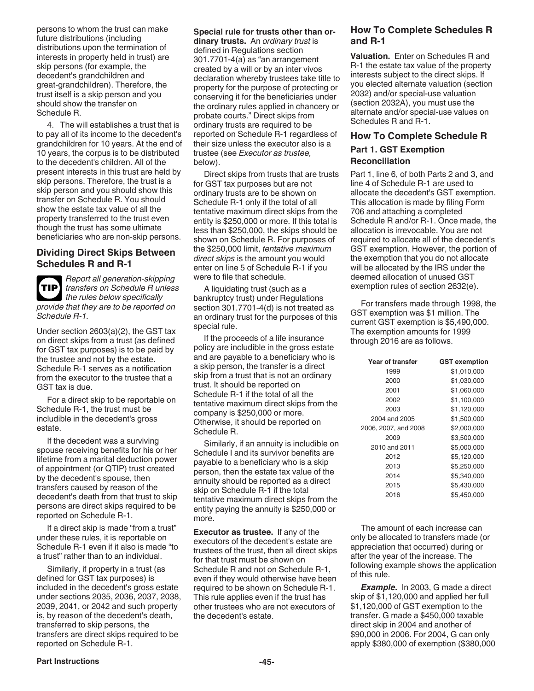persons to whom the trust can make future distributions (including distributions upon the termination of interests in property held in trust) are skip persons (for example, the decedent's grandchildren and great-grandchildren). Therefore, the trust itself is a skip person and you should show the transfer on Schedule R.

4. The will establishes a trust that is to pay all of its income to the decedent's grandchildren for 10 years. At the end of 10 years, the corpus is to be distributed to the decedent's children. All of the present interests in this trust are held by skip persons. Therefore, the trust is a skip person and you should show this transfer on Schedule R. You should show the estate tax value of all the property transferred to the trust even though the trust has some ultimate beneficiaries who are non-skip persons.

#### **Dividing Direct Skips Between Schedules R and R-1**

*Report all generation-skipping transfers on Schedule R unless the rules below specifically provide that they are to be reported on Schedule R-1.* **TIP**

Under section 2603(a)(2), the GST tax on direct skips from a trust (as defined for GST tax purposes) is to be paid by the trustee and not by the estate. Schedule R-1 serves as a notification from the executor to the trustee that a GST tax is due.

For a direct skip to be reportable on Schedule R-1, the trust must be includible in the decedent's gross estate.

If the decedent was a surviving spouse receiving benefits for his or her lifetime from a marital deduction power of appointment (or QTIP) trust created by the decedent's spouse, then transfers caused by reason of the decedent's death from that trust to skip persons are direct skips required to be reported on Schedule R-1.

If a direct skip is made "from a trust" under these rules, it is reportable on Schedule R-1 even if it also is made "to a trust" rather than to an individual.

Similarly, if property in a trust (as defined for GST tax purposes) is included in the decedent's gross estate under sections 2035, 2036, 2037, 2038, 2039, 2041, or 2042 and such property is, by reason of the decedent's death, transferred to skip persons, the transfers are direct skips required to be reported on Schedule R-1.

**Special rule for trusts other than ordinary trusts.** An *ordinary trust* is defined in Regulations section 301.7701-4(a) as "an arrangement created by a will or by an inter vivos declaration whereby trustees take title to property for the purpose of protecting or conserving it for the beneficiaries under the ordinary rules applied in chancery or probate courts." Direct skips from ordinary trusts are required to be reported on Schedule R-1 regardless of their size unless the executor also is a trustee (see *Executor as trustee,*  below).

Direct skips from trusts that are trusts for GST tax purposes but are not ordinary trusts are to be shown on Schedule R-1 only if the total of all tentative maximum direct skips from the entity is \$250,000 or more. If this total is less than \$250,000, the skips should be shown on Schedule R. For purposes of the \$250,000 limit, *tentative maximum direct skips* is the amount you would enter on line 5 of Schedule R-1 if you were to file that schedule.

A liquidating trust (such as a bankruptcy trust) under Regulations section 301.7701-4(d) is not treated as an ordinary trust for the purposes of this special rule.

If the proceeds of a life insurance policy are includible in the gross estate and are payable to a beneficiary who is a skip person, the transfer is a direct skip from a trust that is not an ordinary trust. It should be reported on Schedule R-1 if the total of all the tentative maximum direct skips from the company is \$250,000 or more. Otherwise, it should be reported on Schedule R.

Similarly, if an annuity is includible on Schedule I and its survivor benefits are payable to a beneficiary who is a skip person, then the estate tax value of the annuity should be reported as a direct skip on Schedule R-1 if the total tentative maximum direct skips from the entity paying the annuity is \$250,000 or more.

**Executor as trustee.** If any of the executors of the decedent's estate are trustees of the trust, then all direct skips for that trust must be shown on Schedule R and not on Schedule R-1, even if they would otherwise have been required to be shown on Schedule R-1. This rule applies even if the trust has other trustees who are not executors of the decedent's estate.

#### **How To Complete Schedules R and R-1**

**Valuation.** Enter on Schedules R and R-1 the estate tax value of the property interests subject to the direct skips. If you elected alternate valuation (section 2032) and/or special-use valuation (section 2032A), you must use the alternate and/or special-use values on Schedules R and R-1.

#### **How To Complete Schedule R**

#### **Part 1. GST Exemption Reconciliation**

Part 1, line 6, of both Parts 2 and 3, and line 4 of Schedule R-1 are used to allocate the decedent's GST exemption. This allocation is made by filing Form 706 and attaching a completed Schedule R and/or R-1. Once made, the allocation is irrevocable. You are not required to allocate all of the decedent's GST exemption. However, the portion of the exemption that you do not allocate will be allocated by the IRS under the deemed allocation of unused GST exemption rules of section 2632(e).

For transfers made through 1998, the GST exemption was \$1 million. The current GST exemption is \$5,490,000. The exemption amounts for 1999 through 2016 are as follows.

| <b>Year of transfer</b> | <b>GST</b> exemption |
|-------------------------|----------------------|
| 1999                    | \$1,010,000          |
| 2000                    | \$1.030.000          |
| 2001                    | \$1.060.000          |
| 2002                    | \$1,100,000          |
| 2003                    | \$1.120.000          |
| 2004 and 2005           | \$1,500,000          |
| 2006, 2007, and 2008    | \$2,000,000          |
| 2009                    | \$3,500,000          |
| 2010 and 2011           | \$5,000,000          |
| 2012                    | \$5,120,000          |
| 2013                    | \$5.250.000          |
| 2014                    | \$5.340.000          |
| 2015                    | \$5.430.000          |
| 2016                    | \$5.450.000          |
|                         |                      |

The amount of each increase can only be allocated to transfers made (or appreciation that occurred) during or after the year of the increase. The following example shows the application of this rule.

*Example.* In 2003, G made a direct skip of \$1,120,000 and applied her full \$1,120,000 of GST exemption to the transfer. G made a \$450,000 taxable direct skip in 2004 and another of \$90,000 in 2006. For 2004, G can only apply \$380,000 of exemption (\$380,000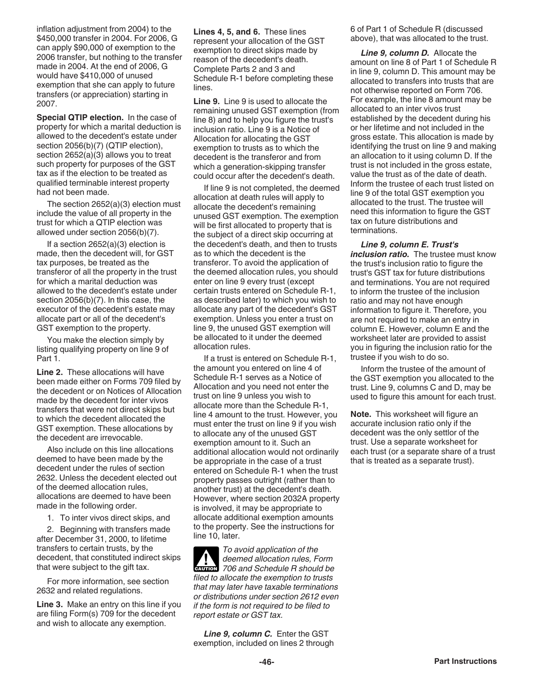<span id="page-45-0"></span>inflation adjustment from 2004) to the \$450,000 transfer in 2004. For 2006, G can apply \$90,000 of exemption to the 2006 transfer, but nothing to the transfer made in 2004. At the end of 2006, G would have \$410,000 of unused exemption that she can apply to future transfers (or appreciation) starting in 2007.

**Special QTIP election.** In the case of property for which a marital deduction is allowed to the decedent's estate under section 2056(b)(7) (QTIP election), section 2652(a)(3) allows you to treat such property for purposes of the GST tax as if the election to be treated as qualified terminable interest property had not been made.

The section 2652(a)(3) election must include the value of all property in the trust for which a QTIP election was allowed under section 2056(b)(7).

If a section 2652(a)(3) election is made, then the decedent will, for GST tax purposes, be treated as the transferor of all the property in the trust for which a marital deduction was allowed to the decedent's estate under section 2056(b)(7). In this case, the executor of the decedent's estate may allocate part or all of the decedent's GST exemption to the property.

You make the election simply by listing qualifying property on line 9 of Part 1.

**Line 2.** These allocations will have been made either on Forms 709 filed by the decedent or on Notices of Allocation made by the decedent for inter vivos transfers that were not direct skips but to which the decedent allocated the GST exemption. These allocations by the decedent are irrevocable.

Also include on this line allocations deemed to have been made by the decedent under the rules of section 2632. Unless the decedent elected out of the deemed allocation rules, allocations are deemed to have been made in the following order.

1. To inter vivos direct skips, and

2. Beginning with transfers made after December 31, 2000, to lifetime transfers to certain trusts, by the decedent, that constituted indirect skips that were subject to the gift tax.

For more information, see section 2632 and related regulations.

**Line 3.** Make an entry on this line if you are filing Form(s) 709 for the decedent and wish to allocate any exemption.

**Lines 4, 5, and 6.** These lines represent your allocation of the GST exemption to direct skips made by reason of the decedent's death. Complete Parts 2 and 3 and Schedule R-1 before completing these lines.

**Line 9.** Line 9 is used to allocate the remaining unused GST exemption (from line 8) and to help you figure the trust's inclusion ratio. Line 9 is a Notice of Allocation for allocating the GST exemption to trusts as to which the decedent is the transferor and from which a generation-skipping transfer could occur after the decedent's death.

If line 9 is not completed, the deemed allocation at death rules will apply to allocate the decedent's remaining unused GST exemption. The exemption will be first allocated to property that is the subject of a direct skip occurring at the decedent's death, and then to trusts as to which the decedent is the transferor. To avoid the application of the deemed allocation rules, you should enter on line 9 every trust (except certain trusts entered on Schedule R-1, as described later) to which you wish to allocate any part of the decedent's GST exemption. Unless you enter a trust on line 9, the unused GST exemption will be allocated to it under the deemed allocation rules.

If a trust is entered on Schedule R-1, the amount you entered on line 4 of Schedule R-1 serves as a Notice of Allocation and you need not enter the trust on line 9 unless you wish to allocate more than the Schedule R-1, line 4 amount to the trust. However, you must enter the trust on line 9 if you wish to allocate any of the unused GST exemption amount to it. Such an additional allocation would not ordinarily be appropriate in the case of a trust entered on Schedule R-1 when the trust property passes outright (rather than to another trust) at the decedent's death. However, where section 2032A property is involved, it may be appropriate to allocate additional exemption amounts to the property. See the instructions for line 10, later.

*To avoid application of the deemed allocation rules, Form*  **z** *deemed allocation rules, Form*<br> *706 and Schedule R should be filed to allocate the exemption to trusts that may later have taxable terminations or distributions under section 2612 even if the form is not required to be filed to report estate or GST tax.*

*Line 9, column C.* Enter the GST exemption, included on lines 2 through 6 of Part 1 of Schedule R (discussed above), that was allocated to the trust.

*Line 9, column D.* Allocate the amount on line 8 of Part 1 of Schedule R in line 9, column D. This amount may be allocated to transfers into trusts that are not otherwise reported on Form 706. For example, the line 8 amount may be allocated to an inter vivos trust established by the decedent during his or her lifetime and not included in the gross estate. This allocation is made by identifying the trust on line 9 and making an allocation to it using column D. If the trust is not included in the gross estate, value the trust as of the date of death. Inform the trustee of each trust listed on line 9 of the total GST exemption you allocated to the trust. The trustee will need this information to figure the GST tax on future distributions and terminations.

*Line 9, column E. Trust's inclusion ratio.* The trustee must know

the trust's inclusion ratio to figure the trust's GST tax for future distributions and terminations. You are not required to inform the trustee of the inclusion ratio and may not have enough information to figure it. Therefore, you are not required to make an entry in column E. However, column E and the worksheet later are provided to assist you in figuring the inclusion ratio for the trustee if you wish to do so.

Inform the trustee of the amount of the GST exemption you allocated to the trust. Line 9, columns C and D, may be used to figure this amount for each trust.

**Note.** This worksheet will figure an accurate inclusion ratio only if the decedent was the only settlor of the trust. Use a separate worksheet for each trust (or a separate share of a trust that is treated as a separate trust).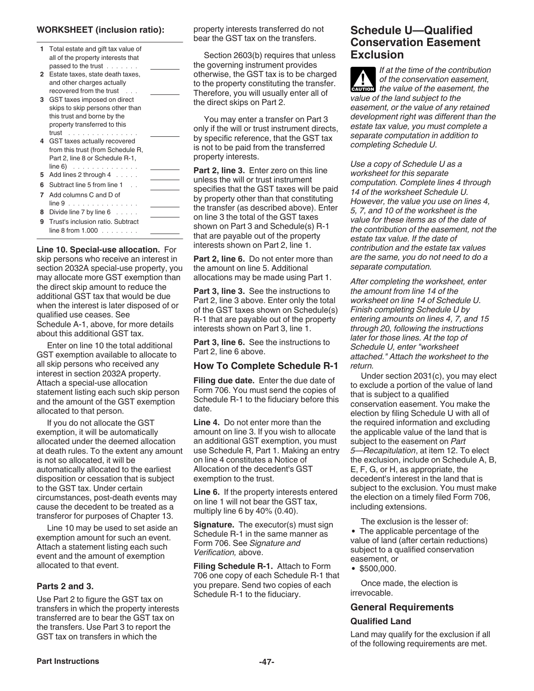#### <span id="page-46-0"></span>**WORKSHEET (inclusion ratio):**

| 1. | Total estate and gift tax value of<br>all of the property interests that<br>passed to the trust |
|----|-------------------------------------------------------------------------------------------------|
| 2. | Estate taxes, state death taxes,                                                                |
|    | and other charges actually<br>recovered from the trust                                          |
| 3  | GST taxes imposed on direct                                                                     |
|    | skips to skip persons other than                                                                |
|    | this trust and borne by the                                                                     |
|    | property transferred to this<br><u>trustance</u>                                                |
| 4  | GST taxes actually recovered                                                                    |
|    | from this trust (from Schedule R,                                                               |
|    | Part 2, line 8 or Schedule R-1,                                                                 |
|    | line 6)<br>.                                                                                    |
| 5  | Add lines 2 through $4 \ldots$                                                                  |
| 6  | Subtract line 5 from line 1                                                                     |
| 7  | Add columns C and D of                                                                          |
|    | $line 9$                                                                                        |
| 8  | Divide line $7$ by line $6 \ldots$ .                                                            |
| 9  | Trust's inclusion ratio. Subtract                                                               |
|    | line 8 from 1.000 $\, \ldots \, \ldots \,$ .                                                    |

**Line 10. Special-use allocation.** For skip persons who receive an interest in section 2032A special-use property, you may allocate more GST exemption than the direct skip amount to reduce the additional GST tax that would be due when the interest is later disposed of or qualified use ceases. See Schedule A-1, above, for more details about this additional GST tax.

Enter on line 10 the total additional GST exemption available to allocate to all skip persons who received any interest in section 2032A property. Attach a special-use allocation statement listing each such skip person and the amount of the GST exemption allocated to that person.

If you do not allocate the GST exemption, it will be automatically allocated under the deemed allocation at death rules. To the extent any amount is not so allocated, it will be automatically allocated to the earliest disposition or cessation that is subject to the GST tax. Under certain circumstances, post-death events may cause the decedent to be treated as a transferor for purposes of Chapter 13.

Line 10 may be used to set aside an exemption amount for such an event. Attach a statement listing each such event and the amount of exemption allocated to that event.

#### **Parts 2 and 3.**

Use Part 2 to figure the GST tax on transfers in which the property interests transferred are to bear the GST tax on the transfers. Use Part 3 to report the GST tax on transfers in which the

property interests transferred do not bear the GST tax on the transfers.

Section 2603(b) requires that unless the governing instrument provides otherwise, the GST tax is to be charged to the property constituting the transfer. Therefore, you will usually enter all of the direct skips on Part 2.

You may enter a transfer on Part 3 only if the will or trust instrument directs, by specific reference, that the GST tax is not to be paid from the transferred property interests.

Part 2, line 3. Enter zero on this line unless the will or trust instrument specifies that the GST taxes will be paid by property other than that constituting the transfer (as described above). Enter on line 3 the total of the GST taxes shown on Part 3 and Schedule(s) R-1 that are payable out of the property interests shown on Part 2, line 1.

**Part 2. line 6.** Do not enter more than the amount on line 5. Additional allocations may be made using Part 1.

**Part 3, line 3.** See the instructions to Part 2, line 3 above. Enter only the total of the GST taxes shown on Schedule(s) R-1 that are payable out of the property interests shown on Part 3, line 1.

**Part 3, line 6.** See the instructions to Part 2, line 6 above.

#### **How To Complete Schedule R-1**

**Filing due date.** Enter the due date of Form 706. You must send the copies of Schedule R-1 to the fiduciary before this date.

**Line 4.** Do not enter more than the amount on line 3. If you wish to allocate an additional GST exemption, you must use Schedule R, Part 1. Making an entry on line 4 constitutes a Notice of Allocation of the decedent's GST exemption to the trust.

**Line 6.** If the property interests entered on line 1 will not bear the GST tax, multiply line 6 by 40% (0.40).

**Signature.** The executor(s) must sign Schedule R-1 in the same manner as Form 706. See *Signature and Verification,* above.

**Filing Schedule R-1.** Attach to Form 706 one copy of each Schedule R-1 that you prepare. Send two copies of each Schedule R-1 to the fiduciary.

# **Schedule U—Qualified Conservation Easement Exclusion**

*If at the time of the contribution of the conservation easement,*  of the conservation easement,<br>the value of the easement, the *value of the land subject to the easement, or the value of any retained development right was different than the estate tax value, you must complete a separate computation in addition to completing Schedule U.*

*Use a copy of Schedule U as a worksheet for this separate computation. Complete lines 4 through 14 of the worksheet Schedule U. However, the value you use on lines 4, 5, 7, and 10 of the worksheet is the value for these items as of the date of the contribution of the easement, not the estate tax value. If the date of contribution and the estate tax values are the same, you do not need to do a separate computation.*

*After completing the worksheet, enter the amount from line 14 of the worksheet on line 14 of Schedule U. Finish completing Schedule U by entering amounts on lines 4, 7, and 15 through 20, following the instructions later for those lines. At the top of Schedule U, enter "worksheet attached." Attach the worksheet to the return.*

Under section 2031(c), you may elect to exclude a portion of the value of land that is subject to a qualified conservation easement. You make the election by filing Schedule U with all of the required information and excluding the applicable value of the land that is subject to the easement on *Part 5—Recapitulation*, at item 12. To elect the exclusion, include on Schedule A, B, E, F, G, or H, as appropriate, the decedent's interest in the land that is subject to the exclusion. You must make the election on a timely filed Form 706, including extensions.

The exclusion is the lesser of: The applicable percentage of the value of land (after certain reductions) subject to a qualified conservation easement, or

 $•$  \$500,000.

Once made, the election is irrevocable.

### **General Requirements**

#### **Qualified Land**

Land may qualify for the exclusion if all of the following requirements are met.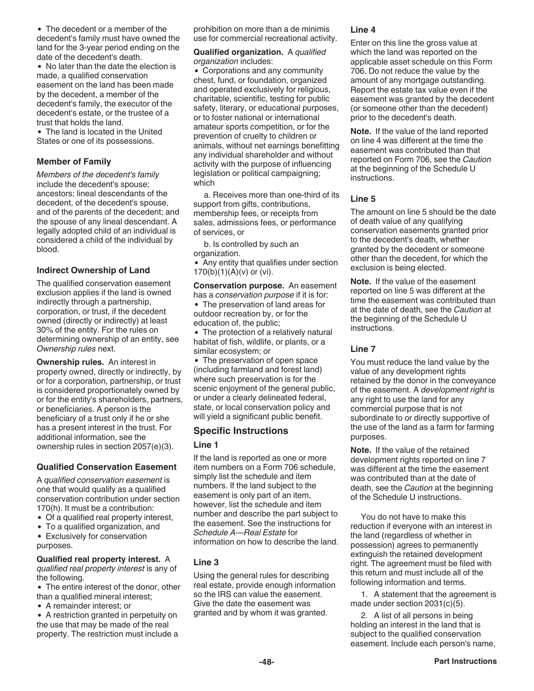The decedent or a member of the decedent's family must have owned the land for the 3-year period ending on the date of the decedent's death.

No later than the date the election is made, a qualified conservation easement on the land has been made by the decedent, a member of the decedent's family, the executor of the decedent's estate, or the trustee of a trust that holds the land.

The land is located in the United States or one of its possessions.

#### **Member of Family**

*Members of the decedent's family*  include the decedent's spouse; ancestors; lineal descendants of the decedent, of the decedent's spouse, and of the parents of the decedent; and the spouse of any lineal descendant. A legally adopted child of an individual is considered a child of the individual by blood.

#### **Indirect Ownership of Land**

The qualified conservation easement exclusion applies if the land is owned indirectly through a partnership, corporation, or trust, if the decedent owned (directly or indirectly) at least 30% of the entity. For the rules on determining ownership of an entity, see *Ownership rules* next.

**Ownership rules.** An interest in property owned, directly or indirectly, by or for a corporation, partnership, or trust is considered proportionately owned by or for the entity's shareholders, partners, or beneficiaries. A person is the beneficiary of a trust only if he or she has a present interest in the trust. For additional information, see the ownership rules in section 2057(e)(3).

### **Qualified Conservation Easement**

A *qualified conservation easement* is one that would qualify as a qualified conservation contribution under section 170(h). It must be a contribution:

- Of a qualified real property interest,
- To a qualified organization, and
- Exclusively for conservation purposes.

**Qualified real property interest.** A *qualified real property interest* is any of the following.

• The entire interest of the donor, other than a qualified mineral interest;

A remainder interest; or

A restriction granted in perpetuity on the use that may be made of the real property. The restriction must include a prohibition on more than a de minimis use for commercial recreational activity.

**Qualified organization.** A *qualified organization* includes:

Corporations and any community chest, fund, or foundation, organized and operated exclusively for religious, charitable, scientific, testing for public safety, literary, or educational purposes, or to foster national or international amateur sports competition, or for the prevention of cruelty to children or animals, without net earnings benefitting any individual shareholder and without activity with the purpose of influencing legislation or political campaigning; which

a. Receives more than one-third of its support from gifts, contributions, membership fees, or receipts from sales, admissions fees, or performance of services, or

b. Is controlled by such an organization.

Any entity that qualifies under section 170(b)(1)(A)(v) or (vi).

**Conservation purpose.** An easement has a *conservation purpose* if it is for:

The preservation of land areas for outdoor recreation by, or for the education of, the public;

• The protection of a relatively natural habitat of fish, wildlife, or plants, or a similar ecosystem; or

• The preservation of open space (including farmland and forest land) where such preservation is for the scenic enjoyment of the general public, or under a clearly delineated federal, state, or local conservation policy and will yield a significant public benefit.

#### **Specific Instructions**

#### **Line 1**

If the land is reported as one or more item numbers on a Form 706 schedule, simply list the schedule and item numbers. If the land subject to the easement is only part of an item, however, list the schedule and item number and describe the part subject to the easement. See the instructions for *Schedule A—Real Estate* for information on how to describe the land.

#### **Line 3**

Using the general rules for describing real estate, provide enough information so the IRS can value the easement. Give the date the easement was granted and by whom it was granted.

#### **Line 4**

Enter on this line the gross value at which the land was reported on the applicable asset schedule on this Form 706. Do not reduce the value by the amount of any mortgage outstanding. Report the estate tax value even if the easement was granted by the decedent (or someone other than the decedent) prior to the decedent's death.

**Note.** If the value of the land reported on line 4 was different at the time the easement was contributed than that reported on Form 706, see the *Caution*  at the beginning of the Schedule U instructions.

#### **Line 5**

The amount on line 5 should be the date of death value of any qualifying conservation easements granted prior to the decedent's death, whether granted by the decedent or someone other than the decedent, for which the exclusion is being elected.

**Note.** If the value of the easement reported on line 5 was different at the time the easement was contributed than at the date of death, see the *Caution* at the beginning of the Schedule U instructions.

#### **Line 7**

You must reduce the land value by the value of any development rights retained by the donor in the conveyance of the easement. A *development right* is any right to use the land for any commercial purpose that is not subordinate to or directly supportive of the use of the land as a farm for farming purposes.

**Note.** If the value of the retained development rights reported on line 7 was different at the time the easement was contributed than at the date of death, see the *Caution* at the beginning of the Schedule U instructions.

You do not have to make this reduction if everyone with an interest in the land (regardless of whether in possession) agrees to permanently extinguish the retained development right. The agreement must be filed with this return and must include all of the following information and terms.

1. A statement that the agreement is made under section 2031(c)(5).

2. A list of all persons in being holding an interest in the land that is subject to the qualified conservation easement. Include each person's name,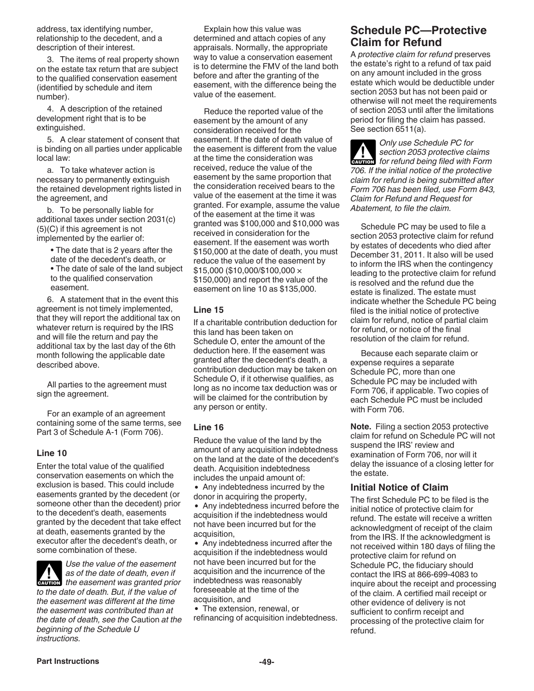<span id="page-48-0"></span>address, tax identifying number, relationship to the decedent, and a description of their interest.

3. The items of real property shown on the estate tax return that are subject to the qualified conservation easement (identified by schedule and item number).

4. A description of the retained development right that is to be extinguished.

5. A clear statement of consent that is binding on all parties under applicable local law:

a. To take whatever action is necessary to permanently extinguish the retained development rights listed in the agreement, and

b. To be personally liable for additional taxes under section 2031(c) (5)(C) if this agreement is not implemented by the earlier of:

**•** The date that is 2 years after the date of the decedent's death, or

**•** The date of sale of the land subject to the qualified conservation easement.

6. A statement that in the event this agreement is not timely implemented, that they will report the additional tax on whatever return is required by the IRS and will file the return and pay the additional tax by the last day of the 6th month following the applicable date described above.

All parties to the agreement must sign the agreement.

For an example of an agreement containing some of the same terms, see Part 3 of Schedule A-1 (Form 706).

#### **Line 10**

Enter the total value of the qualified conservation easements on which the exclusion is based. This could include easements granted by the decedent (or someone other than the decedent) prior to the decedent's death, easements granted by the decedent that take effect at death, easements granted by the executor after the decedent's death, or some combination of these.

*Use the value of the easement as of the date of death, even if*  **z** as of the date of death, even if the easement was granted prior *to the date of death. But, if the value of the easement was different at the time the easement was contributed than at the date of death, see the* Caution *at the beginning of the Schedule U instructions.*

Explain how this value was determined and attach copies of any appraisals. Normally, the appropriate way to value a conservation easement is to determine the FMV of the land both before and after the granting of the easement, with the difference being the value of the easement.

Reduce the reported value of the easement by the amount of any consideration received for the easement. If the date of death value of the easement is different from the value at the time the consideration was received, reduce the value of the easement by the same proportion that the consideration received bears to the value of the easement at the time it was granted. For example, assume the value of the easement at the time it was granted was \$100,000 and \$10,000 was received in consideration for the easement. If the easement was worth \$150,000 at the date of death, you must reduce the value of the easement by  $$15,000 ($10,000/\$100,000 \times$ \$150,000) and report the value of the easement on line 10 as \$135,000.

#### **Line 15**

If a charitable contribution deduction for this land has been taken on Schedule O, enter the amount of the deduction here. If the easement was granted after the decedent's death, a contribution deduction may be taken on Schedule O, if it otherwise qualifies, as long as no income tax deduction was or will be claimed for the contribution by any person or entity.

### **Line 16**

Reduce the value of the land by the amount of any acquisition indebtedness on the land at the date of the decedent's death. Acquisition indebtedness includes the unpaid amount of:

Any indebtedness incurred by the donor in acquiring the property,

Any indebtedness incurred before the acquisition if the indebtedness would not have been incurred but for the acquisition,

Any indebtedness incurred after the acquisition if the indebtedness would not have been incurred but for the acquisition and the incurrence of the indebtedness was reasonably foreseeable at the time of the acquisition, and

The extension, renewal, or refinancing of acquisition indebtedness.

# **Schedule PC—Protective Claim for Refund**

A *protective claim for refund* preserves the estate's right to a refund of tax paid on any amount included in the gross estate which would be deductible under section 2053 but has not been paid or otherwise will not meet the requirements of section 2053 until after the limitations period for filing the claim has passed. See section 6511(a).

*Only use Schedule PC for section 2053 protective claims for refund being filed with Form 706. If the initial notice of the protective claim for refund is being submitted after Form 706 has been filed, use Form 843, Claim for Refund and Request for Abatement, to file the claim.*

Schedule PC may be used to file a section 2053 protective claim for refund by estates of decedents who died after December 31, 2011. It also will be used to inform the IRS when the contingency leading to the protective claim for refund is resolved and the refund due the estate is finalized. The estate must indicate whether the Schedule PC being filed is the initial notice of protective claim for refund, notice of partial claim for refund, or notice of the final resolution of the claim for refund.

Because each separate claim or expense requires a separate Schedule PC, more than one Schedule PC may be included with Form 706, if applicable. Two copies of each Schedule PC must be included with Form 706.

**Note.** Filing a section 2053 protective claim for refund on Schedule PC will not suspend the IRS' review and examination of Form 706, nor will it delay the issuance of a closing letter for the estate.

### **Initial Notice of Claim**

The first Schedule PC to be filed is the initial notice of protective claim for refund. The estate will receive a written acknowledgment of receipt of the claim from the IRS. If the acknowledgment is not received within 180 days of filing the protective claim for refund on Schedule PC, the fiduciary should contact the IRS at 866-699-4083 to inquire about the receipt and processing of the claim. A certified mail receipt or other evidence of delivery is not sufficient to confirm receipt and processing of the protective claim for refund.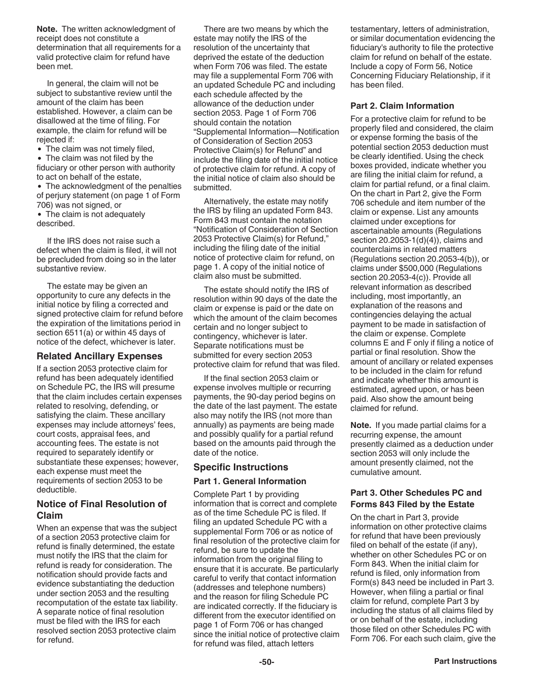**Note.** The written acknowledgment of receipt does not constitute a determination that all requirements for a valid protective claim for refund have been met.

In general, the claim will not be subject to substantive review until the amount of the claim has been established. However, a claim can be disallowed at the time of filing. For example, the claim for refund will be rejected if:

The claim was not timely filed,

The claim was not filed by the fiduciary or other person with authority to act on behalf of the estate,

• The acknowledgment of the penalties of perjury statement (on page 1 of Form 706) was not signed, or

• The claim is not adequately described.

If the IRS does not raise such a defect when the claim is filed, it will not be precluded from doing so in the later substantive review.

The estate may be given an opportunity to cure any defects in the initial notice by filing a corrected and signed protective claim for refund before the expiration of the limitations period in section 6511(a) or within 45 days of notice of the defect, whichever is later.

#### **Related Ancillary Expenses**

If a section 2053 protective claim for refund has been adequately identified on Schedule PC, the IRS will presume that the claim includes certain expenses related to resolving, defending, or satisfying the claim. These ancillary expenses may include attorneys' fees, court costs, appraisal fees, and accounting fees. The estate is not required to separately identify or substantiate these expenses; however, each expense must meet the requirements of section 2053 to be deductible.

#### **Notice of Final Resolution of Claim**

When an expense that was the subject of a section 2053 protective claim for refund is finally determined, the estate must notify the IRS that the claim for refund is ready for consideration. The notification should provide facts and evidence substantiating the deduction under section 2053 and the resulting recomputation of the estate tax liability. A separate notice of final resolution must be filed with the IRS for each resolved section 2053 protective claim for refund.

There are two means by which the estate may notify the IRS of the resolution of the uncertainty that deprived the estate of the deduction when Form 706 was filed. The estate may file a supplemental Form 706 with an updated Schedule PC and including each schedule affected by the allowance of the deduction under section 2053. Page 1 of Form 706 should contain the notation "Supplemental Information—Notification of Consideration of Section 2053 Protective Claim(s) for Refund" and include the filing date of the initial notice of protective claim for refund. A copy of the initial notice of claim also should be submitted.

Alternatively, the estate may notify the IRS by filing an updated Form 843. Form 843 must contain the notation "Notification of Consideration of Section 2053 Protective Claim(s) for Refund," including the filing date of the initial notice of protective claim for refund, on page 1. A copy of the initial notice of claim also must be submitted.

The estate should notify the IRS of resolution within 90 days of the date the claim or expense is paid or the date on which the amount of the claim becomes certain and no longer subject to contingency, whichever is later. Separate notifications must be submitted for every section 2053 protective claim for refund that was filed.

If the final section 2053 claim or expense involves multiple or recurring payments, the 90-day period begins on the date of the last payment. The estate also may notify the IRS (not more than annually) as payments are being made and possibly qualify for a partial refund based on the amounts paid through the date of the notice.

#### **Specific Instructions**

#### **Part 1. General Information**

Complete Part 1 by providing information that is correct and complete as of the time Schedule PC is filed. If filing an updated Schedule PC with a supplemental Form 706 or as notice of final resolution of the protective claim for refund, be sure to update the information from the original filing to ensure that it is accurate. Be particularly careful to verify that contact information (addresses and telephone numbers) and the reason for filing Schedule PC are indicated correctly. If the fiduciary is different from the executor identified on page 1 of Form 706 or has changed since the initial notice of protective claim for refund was filed, attach letters

testamentary, letters of administration, or similar documentation evidencing the fiduciary's authority to file the protective claim for refund on behalf of the estate. Include a copy of Form 56, Notice Concerning Fiduciary Relationship, if it has been filed.

#### **Part 2. Claim Information**

For a protective claim for refund to be properly filed and considered, the claim or expense forming the basis of the potential section 2053 deduction must be clearly identified. Using the check boxes provided, indicate whether you are filing the initial claim for refund, a claim for partial refund, or a final claim. On the chart in Part 2, give the Form 706 schedule and item number of the claim or expense. List any amounts claimed under exceptions for ascertainable amounts (Regulations section 20.2053-1(d)(4)), claims and counterclaims in related matters (Regulations section 20.2053-4(b)), or claims under \$500,000 (Regulations section 20.2053-4(c)). Provide all relevant information as described including, most importantly, an explanation of the reasons and contingencies delaying the actual payment to be made in satisfaction of the claim or expense. Complete columns E and F only if filing a notice of partial or final resolution. Show the amount of ancillary or related expenses to be included in the claim for refund and indicate whether this amount is estimated, agreed upon, or has been paid. Also show the amount being claimed for refund.

**Note.** If you made partial claims for a recurring expense, the amount presently claimed as a deduction under section 2053 will only include the amount presently claimed, not the cumulative amount.

#### **Part 3. Other Schedules PC and Forms 843 Filed by the Estate**

On the chart in Part 3, provide information on other protective claims for refund that have been previously filed on behalf of the estate (if any), whether on other Schedules PC or on Form 843. When the initial claim for refund is filed, only information from Form(s) 843 need be included in Part 3. However, when filing a partial or final claim for refund, complete Part 3 by including the status of all claims filed by or on behalf of the estate, including those filed on other Schedules PC with Form 706. For each such claim, give the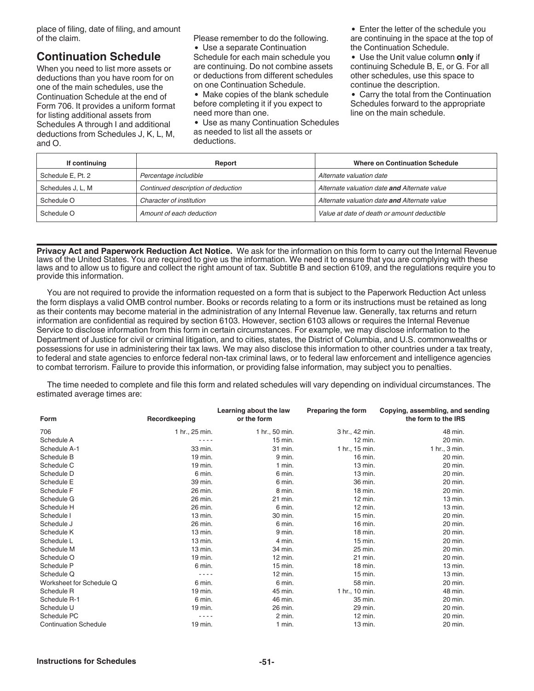<span id="page-50-0"></span>place of filing, date of filing, and amount of the claim.

# **Continuation Schedule**

When you need to list more assets or deductions than you have room for on one of the main schedules, use the Continuation Schedule at the end of Form 706. It provides a uniform format for listing additional assets from Schedules A through I and additional deductions from Schedules J, K, L, M, and O.

Please remember to do the following.

Use a separate Continuation Schedule for each main schedule you are continuing. Do not combine assets or deductions from different schedules on one Continuation Schedule.

• Make copies of the blank schedule before completing it if you expect to need more than one.

Use as many Continuation Schedules as needed to list all the assets or deductions.

Enter the letter of the schedule you are continuing in the space at the top of the Continuation Schedule.

Use the Unit value column **only** if continuing Schedule B, E, or G. For all other schedules, use this space to continue the description.

• Carry the total from the Continuation Schedules forward to the appropriate line on the main schedule.

| If continuing                                           | Report                   | <b>Where on Continuation Schedule</b>        |  |
|---------------------------------------------------------|--------------------------|----------------------------------------------|--|
| Schedule E. Pt. 2                                       | Percentage includible    | Alternate valuation date                     |  |
| Schedules J, L, M<br>Continued description of deduction |                          | Alternate valuation date and Alternate value |  |
| Schedule O                                              | Character of institution | Alternate valuation date and Alternate value |  |
| Schedule O                                              | Amount of each deduction | Value at date of death or amount deductible  |  |

**Privacy Act and Paperwork Reduction Act Notice.** We ask for the information on this form to carry out the Internal Revenue laws of the United States. You are required to give us the information. We need it to ensure that you are complying with these laws and to allow us to figure and collect the right amount of tax. Subtitle B and section 6109, and the regulations require you to provide this information.

You are not required to provide the information requested on a form that is subject to the Paperwork Reduction Act unless the form displays a valid OMB control number. Books or records relating to a form or its instructions must be retained as long as their contents may become material in the administration of any Internal Revenue law. Generally, tax returns and return information are confidential as required by section 6103. However, section 6103 allows or requires the Internal Revenue Service to disclose information from this form in certain circumstances. For example, we may disclose information to the Department of Justice for civil or criminal litigation, and to cities, states, the District of Columbia, and U.S. commonwealths or possessions for use in administering their tax laws. We may also disclose this information to other countries under a tax treaty, to federal and state agencies to enforce federal non-tax criminal laws, or to federal law enforcement and intelligence agencies to combat terrorism. Failure to provide this information, or providing false information, may subject you to penalties.

The time needed to complete and file this form and related schedules will vary depending on individual circumstances. The estimated average times are:

| Form                         | Recordkeeping  | Learning about the law<br>or the form | Preparing the form | Copying, assembling, and sending<br>the form to the IRS |
|------------------------------|----------------|---------------------------------------|--------------------|---------------------------------------------------------|
| 706                          | 1 hr., 25 min. | 1 hr., 50 min.                        | 3 hr., 42 min.     | 48 min.                                                 |
| Schedule A                   |                | $15$ min.                             | $12 \text{ min.}$  | 20 min.                                                 |
| Schedule A-1                 | 33 min.        | 31 min.                               | 1 hr., 15 min.     | 1 hr., 3 min.                                           |
| Schedule B                   | 19 min.        | 9 min.                                | 16 min.            | 20 min.                                                 |
| Schedule C                   | 19 min.        | 1 min.                                | 13 min.            | 20 min.                                                 |
| Schedule D                   | 6 min.         | 6 min.                                | 13 min.            | 20 min.                                                 |
| Schedule E                   | 39 min.        | 6 min.                                | 36 min.            | 20 min.                                                 |
| Schedule F                   | 26 min.        | 8 min.                                | 18 min.            | 20 min.                                                 |
| Schedule G                   | 26 min.        | 21 min.                               | $12$ min.          | 13 min.                                                 |
| Schedule H                   | 26 min.        | 6 min.                                | $12 \text{ min.}$  | 13 min.                                                 |
| Schedule I                   | 13 min.        | 30 min.                               | 15 min.            | 20 min.                                                 |
| Schedule J                   | 26 min.        | 6 min.                                | 16 min.            | 20 min.                                                 |
| Schedule K                   | 13 min.        | 9 min.                                | 18 min.            | 20 min.                                                 |
| Schedule L                   | 13 min.        | 4 min.                                | 15 min.            | 20 min.                                                 |
| Schedule M                   | 13 min.        | 34 min.                               | 25 min.            | 20 min.                                                 |
| Schedule O                   | 19 min.        | $12 \text{ min.}$                     | 21 min.            | 20 min.                                                 |
| Schedule P                   | 6 min.         | 15 min.                               | 18 min.            | 13 min.                                                 |
| Schedule Q                   |                | $12$ min.                             | 15 min.            | 13 min.                                                 |
| Worksheet for Schedule Q     | 6 min.         | 6 min.                                | 58 min.            | 20 min.                                                 |
| Schedule R                   | 19 min.        | 45 min.                               | 1 hr., 10 min.     | 48 min.                                                 |
| Schedule R-1                 | 6 min.         | 46 min.                               | 35 min.            | 20 min.                                                 |
| Schedule U                   | 19 min.        | 26 min.                               | 29 min.            | 20 min.                                                 |
| Schedule PC                  |                | 2 min.                                | $12 \text{ min.}$  | 20 min.                                                 |
| <b>Continuation Schedule</b> | 19 min.        | 1 min.                                | 13 min.            | 20 min.                                                 |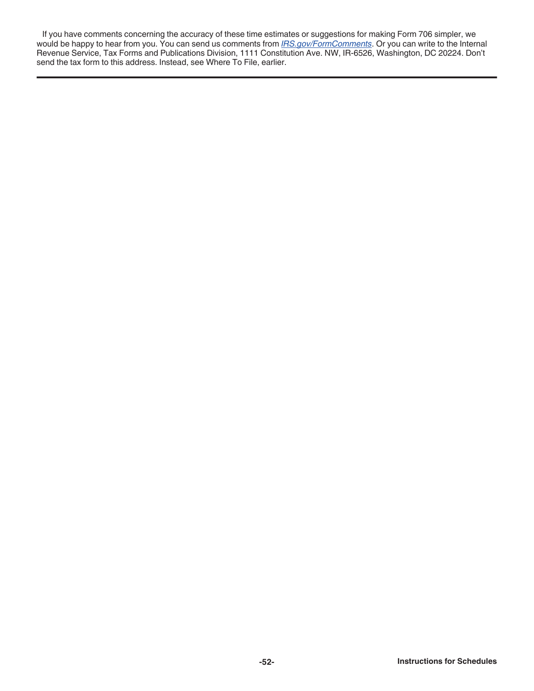If you have comments concerning the accuracy of these time estimates or suggestions for making Form 706 simpler, we would be happy to hear from you. You can send us comments from *[IRS.gov/FormComments](https://www.irs.gov/uac/comment-on-tax-forms-and-publications)*. Or you can write to the Internal Revenue Service, Tax Forms and Publications Division, 1111 Constitution Ave. NW, IR-6526, Washington, DC 20224. Don't send the tax form to this address. Instead, see Where To File, earlier.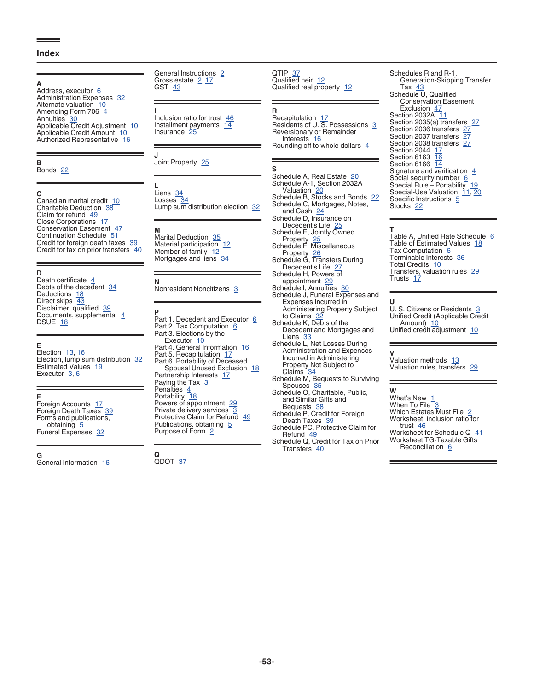#### <span id="page-52-0"></span>**Index**

#### **A**

Address, executor [6](#page-5-0) Administration Expenses [32](#page-31-0) Alternate valuation [10](#page-9-0) Amending Form 706 [4](#page-3-0) Annuities<sup>[30](#page-29-0)</sup> Applicable Credit Adjustment [10](#page-9-0) Applicable Credit Amount [10](#page-9-0) Authorized Representative [16](#page-15-0)

#### **B**

Bonds [22](#page-21-0)

#### **C**

Canadian marital credit [10](#page-9-0) Charitable Deduction [38](#page-37-0) Claim for refund [49](#page-48-0) Close Corporations [17](#page-16-0) Conservation Easement [47](#page-46-0) Continuation Schedule [51](#page-50-0) Credit for foreign death taxes [39](#page-38-0) Credit for tax on prior transfers [40](#page-39-0)

#### **D**

Death certificate [4](#page-3-0) Debts of the decedent [34](#page-33-0) Deductions [18](#page-17-0) Direct skips  $\overline{43}$  $\overline{43}$  $\overline{43}$ Disclaimer, qualified [39](#page-38-0) Documents, supplemental [4](#page-3-0) DSUE [18](#page-17-0)

#### **E**

Election [13](#page-12-0), [16](#page-15-0) Election, lump sum distribution [32](#page-31-0) Estimated Values [19](#page-18-0) Executor  $\frac{3}{6}$ 

#### **F**

Foreign Accounts [17](#page-16-0) Foreign Death Taxes [39](#page-38-0) Forms and publications, obtaining [5](#page-4-0) Funeral Expenses [32](#page-31-0)

**G**

General Information [16](#page-15-0)

General Instructions [2](#page-1-0) Gross estate  $2, 17$  $2, 17$  $2, 17$ GST [43](#page-42-0)

**I** Inclusion ratio for trust [46](#page-45-0) Installment payments [14](#page-13-0) Insurance [25](#page-24-0)

#### **J** Joint Property [25](#page-24-0)

**L** Liens [34](#page-33-0) Losses<sub>[34](#page-33-0)</sub>

# Lump sum distribution election  $32$

**M** Marital Deduction [35](#page-34-0)

Material participation [12](#page-11-0) Member of family [12](#page-11-0) Mortgages and liens [34](#page-33-0)

**N** Nonresident Noncitizens [3](#page-2-0)

**P**

Part 1. Decedent and Executor [6](#page-5-0) Part 2. Tax Computation [6](#page-5-0) Part 3. Elections by the Executor [10](#page-9-0) Part 4. General Information [16](#page-15-0) Part 5. Recapitulation [17](#page-16-0) Part 6. Portability of Deceased Spousal Unused Exclusion [18](#page-17-0) Partnership Interests [17](#page-16-0) Paying the Tax [3](#page-2-0) Penalties [4](#page-3-0) Portability [18](#page-17-0) Powers of appointment [29](#page-28-0) Private delivery services [3](#page-2-0) Protective Claim for Refund [49](#page-48-0) Publications, obtaining [5](#page-4-0) Purpose of Form [2](#page-1-0)

QDOT [37](#page-36-0)

**Q**

QTIP [37](#page-36-0) Qualified heir [12](#page-11-0) Qualified real property [12](#page-11-0)

### **R**

Recapitulation [17](#page-16-0) Residents of U.S. Possessions [3](#page-2-0) Reversionary or Remainder Interests [16](#page-15-0) Rounding off to whole dollars  $\frac{4}{3}$  $\frac{4}{3}$  $\frac{4}{3}$ 

#### **S**

Schedule A, Real Estate [20](#page-19-0) Schedule A-1, Section 2032A Valuation [20](#page-19-0) Schedule B, Stocks and Bonds [22](#page-21-0) Schedule C, Mortgages, Notes, and Cash [24](#page-23-0) Schedule D, Insurance on Decedent's Life [25](#page-24-0) Schedule E, Jointly Owned Property [25](#page-24-0)<br>Schedule F, Miscellaneous Property [26](#page-25-0) Schedule G, Transfers During Decedent's Life [27](#page-26-0) Schedule H, Powers of appointment [29](#page-28-0) Schedule I, Annuities [30](#page-29-0) Schedule J, Funeral Expenses and Expenses Incurred in Administering Property Subject to Claims [32](#page-31-0) Schedule K, Debts of the Decedent and Mortgages and Liens [33](#page-32-0) Schedule L, Net Losses During Administration and Expenses Incurred in Administering Property Not Subject to

Claims [34](#page-33-0) Schedule M, Bequests to Surviving Spouses [35](#page-34-0) Schedule O, Charitable, Public, and Similar Gifts and

Bequests [38](#page-37-0) Schedule P, Credit for Foreign Death Taxes [39](#page-38-0)

Schedule PC, Protective Claim for Refund [49](#page-48-0)

Schedule Q, Credit for Tax on Prior Transfers [40](#page-39-0)

Schedules R and R-1, Generation-Skipping Transfer Tax [43](#page-42-0) Schedule U, Qualified Conservation Easement Exclusion [47](#page-46-0) Section 2032A [11](#page-10-0) Section 2035(a) transfers [27](#page-26-0) Section 2036 transfers [27](#page-26-0) Section 2037 transfers [27](#page-26-0) Section 2038 transfers [27](#page-26-0) Section 2044 [17](#page-16-0) Section 6[16](#page-15-0)3 16 Section 6166  $\overline{14}$  $\overline{14}$  $\overline{14}$ Signature and verification [4](#page-3-0) Social security number [6](#page-5-0) Special Rule – Portability [19](#page-18-0) Special-Use Valuation [11,](#page-10-0) [20](#page-19-0) Specific Instructions [5](#page-4-0) Stocks [22](#page-21-0)

Table A, Unified Rate Schedule [6](#page-5-0) Table of Estimated Values [18](#page-17-0) Tax Computation [6](#page-5-0) Terminable Interests [36](#page-35-0) Total Credits [10](#page-9-0) Transfers, valuation rules [29](#page-28-0) Trusts [17](#page-16-0)

#### **U**

**T**

U. S. Citizens or Residents [3](#page-2-0) Unified Credit (Applicable Credit Amount) [10](#page-9-0) Unified credit adjustment [10](#page-9-0)

#### **V**

Valuation methods [13](#page-12-0) Valuation rules, transfers [29](#page-28-0)

#### **W**

What's New  $1$ When To File [3](#page-2-0) Which Estates Must File [2](#page-1-0) Worksheet, inclusion ratio for trust [46](#page-45-0) Worksheet for Schedule Q [41](#page-40-0) Worksheet TG-Taxable Gifts Reconciliation [6](#page-5-0)

**-53-**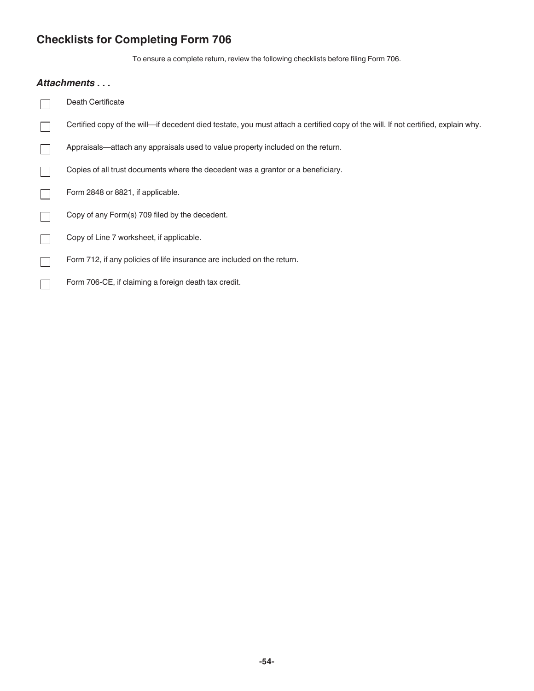# <span id="page-53-0"></span>**Checklists for Completing Form 706**

To ensure a complete return, review the following checklists before filing Form 706.

#### *Attachments . . .*

- Death Certificate  $\Box$
- Certified copy of the will—if decedent died testate, you must attach a certified copy of the will. If not certified, explain why.  $\Box$
- Appraisals—attach any appraisals used to value property included on the return.  $\Box$
- $\Box$ Copies of all trust documents where the decedent was a grantor or a beneficiary.
- Form 2848 or 8821, if applicable.  $\Box$
- $\Box$ Copy of any Form(s) 709 filed by the decedent.
- $\Box$ Copy of Line 7 worksheet, if applicable.
- Form 712, if any policies of life insurance are included on the return.  $\Box$
- Form 706-CE, if claiming a foreign death tax credit.  $\Box$